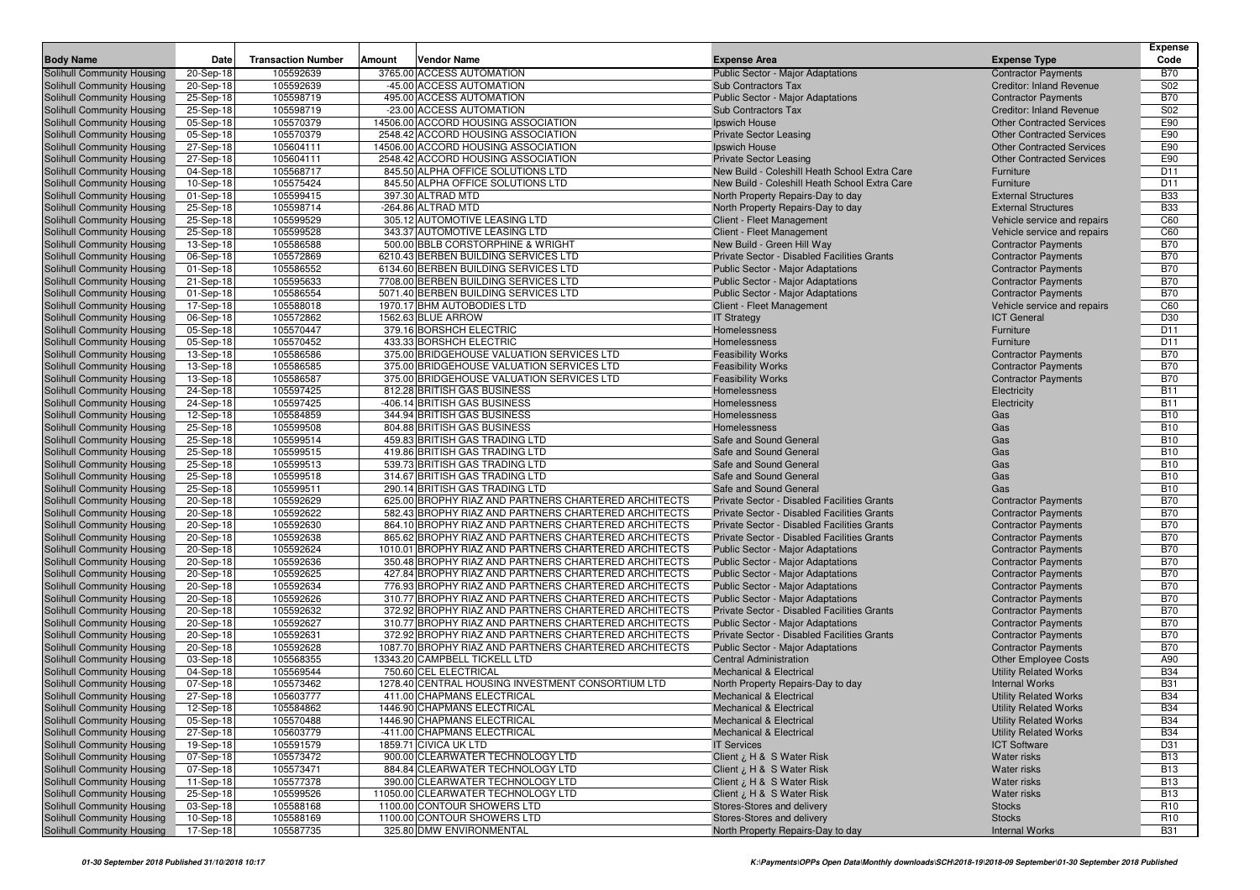|                                                          |                        |                           |        |                                                                                                              |                                                                                         |                                                           | <b>Expense</b>           |
|----------------------------------------------------------|------------------------|---------------------------|--------|--------------------------------------------------------------------------------------------------------------|-----------------------------------------------------------------------------------------|-----------------------------------------------------------|--------------------------|
| <b>Body Name</b>                                         | Date                   | <b>Transaction Number</b> | Amount | <b>Vendor Name</b>                                                                                           | <b>Expense Area</b>                                                                     | <b>Expense Type</b>                                       | Code                     |
| Solihull Community Housing                               | $20-Sep-18$            | 105592639                 |        | 3765.00 ACCESS AUTOMATION                                                                                    | <b>Public Sector - Major Adaptations</b>                                                | <b>Contractor Payments</b>                                | <b>B70</b>               |
| Solihull Community Housing                               | 20-Sep-18              | 105592639                 |        | -45.00 ACCESS AUTOMATION                                                                                     | <b>Sub Contractors Tax</b>                                                              | <b>Creditor: Inland Revenue</b>                           | S <sub>02</sub>          |
| Solihull Community Housing                               | 25-Sep-18              | 105598719                 |        | 495.00 ACCESS AUTOMATION                                                                                     | <b>Public Sector - Major Adaptations</b>                                                | <b>Contractor Payments</b>                                | <b>B70</b>               |
| Solihull Community Housing                               | 25-Sep-18              | 105598719                 |        | -23.00 ACCESS AUTOMATION                                                                                     | <b>Sub Contractors Tax</b>                                                              | <b>Creditor: Inland Revenue</b>                           | S02                      |
| Solihull Community Housing                               | 05-Sep-18              | 105570379                 |        | 14506.00 ACCORD HOUSING ASSOCIATION                                                                          | Ipswich House                                                                           | <b>Other Contracted Services</b>                          | E90                      |
| Solihull Community Housing                               | 05-Sep-18              | 105570379                 |        | 2548.42 ACCORD HOUSING ASSOCIATION                                                                           | <b>Private Sector Leasing</b>                                                           | <b>Other Contracted Services</b>                          | E90                      |
| Solihull Community Housing                               | 27-Sep-18              | 105604111                 |        | 14506.00 ACCORD HOUSING ASSOCIATION                                                                          | Ipswich House                                                                           | <b>Other Contracted Services</b>                          | E90                      |
| Solihull Community Housing                               | 27-Sep-18              | 105604111                 |        | 2548.42 ACCORD HOUSING ASSOCIATION                                                                           | <b>Private Sector Leasing</b>                                                           | <b>Other Contracted Services</b>                          | E90                      |
| Solihull Community Housing                               | 04-Sep-18              | 105568717                 |        | 845.50 ALPHA OFFICE SOLUTIONS LTD                                                                            | New Build - Coleshill Heath School Extra Care                                           | Furniture                                                 | D11                      |
| Solihull Community Housing                               | 10-Sep-18              | 105575424                 |        | 845.50 ALPHA OFFICE SOLUTIONS LTD                                                                            | New Build - Coleshill Heath School Extra Care                                           | Furniture                                                 | D11                      |
| Solihull Community Housing                               | 01-Sep-18              | 105599415                 |        | 397.30 ALTRAD MTD                                                                                            | North Property Repairs-Day to day                                                       | <b>External Structures</b>                                | <b>B33</b>               |
| Solihull Community Housing                               | 25-Sep-18              | 105598714                 |        | -264.86 ALTRAD MTD                                                                                           | North Property Repairs-Day to day                                                       | <b>External Structures</b>                                | <b>B33</b>               |
| Solihull Community Housing<br>Solihull Community Housing | 25-Sep-18              | 105599529                 |        | 305.12 AUTOMOTIVE LEASING LTD                                                                                | Client - Fleet Management                                                               | Vehicle service and repairs                               | C60                      |
| Solihull Community Housing                               | 25-Sep-18<br>13-Sep-18 | 105599528<br>105586588    |        | 343.37 AUTOMOTIVE LEASING LTD<br>500.00 BBLB CORSTORPHINE & WRIGHT                                           | Client - Fleet Management<br>New Build - Green Hill Way                                 | Vehicle service and repairs<br><b>Contractor Payments</b> | C60<br><b>B70</b>        |
| Solihull Community Housing                               | 06-Sep-18              | 105572869                 |        | 6210.43 BERBEN BUILDING SERVICES LTD                                                                         | Private Sector - Disabled Facilities Grants                                             | <b>Contractor Payments</b>                                | <b>B70</b>               |
| Solihull Community Housing                               | 01-Sep-18              | 105586552                 |        | 6134.60 BERBEN BUILDING SERVICES LTD                                                                         | <b>Public Sector - Major Adaptations</b>                                                | <b>Contractor Payments</b>                                | <b>B70</b>               |
| Solihull Community Housing                               | 21-Sep-18              | 105595633                 |        | 7708.00 BERBEN BUILDING SERVICES LTD                                                                         | Public Sector - Major Adaptations                                                       | <b>Contractor Payments</b>                                | <b>B70</b>               |
| Solihull Community Housing                               | 01-Sep-18              | 105586554                 |        | 5071.40 BERBEN BUILDING SERVICES LTD                                                                         | <b>Public Sector - Major Adaptations</b>                                                | <b>Contractor Payments</b>                                | <b>B70</b>               |
| Solihull Community Housing                               | 17-Sep-18              | 105588018                 |        | 1970.17 BHM AUTOBODIES LTD                                                                                   | Client - Fleet Management                                                               | Vehicle service and repairs                               | C60                      |
| Solihull Community Housing                               | 06-Sep-18              | 105572862                 |        | 1562.63 BLUE ARROW                                                                                           | <b>IT Strategy</b>                                                                      | <b>ICT General</b>                                        | D30                      |
| Solihull Community Housing                               | 05-Sep-18              | 105570447                 |        | 379.16 BORSHCH ELECTRIC                                                                                      | Homelessness                                                                            | Furniture                                                 | D <sub>11</sub>          |
| Solihull Community Housing                               | 05-Sep-18              | 105570452                 |        | 433.33 BORSHCH ELECTRIC                                                                                      | Homelessness                                                                            | Furniture                                                 | D11                      |
| Solihull Community Housing                               | 13-Sep-18              | 105586586                 |        | 375.00 BRIDGEHOUSE VALUATION SERVICES LTD                                                                    | <b>Feasibility Works</b>                                                                | <b>Contractor Payments</b>                                | <b>B70</b>               |
| Solihull Community Housing                               | 13-Sep-18              | 105586585                 |        | 375.00 BRIDGEHOUSE VALUATION SERVICES LTD                                                                    | <b>Feasibility Works</b>                                                                | <b>Contractor Payments</b>                                | <b>B70</b>               |
| Solihull Community Housing                               | 13-Sep-18              | 105586587                 |        | 375.00 BRIDGEHOUSE VALUATION SERVICES LTD                                                                    | <b>Feasibility Works</b>                                                                | <b>Contractor Payments</b>                                | <b>B70</b>               |
| Solihull Community Housing                               | 24-Sep-18              | 105597425                 |        | 812.28 BRITISH GAS BUSINESS                                                                                  | Homelessness                                                                            | Electricity                                               | <b>B11</b>               |
| Solihull Community Housing                               | 24-Sep-18              | 105597425                 |        | -406.14 BRITISH GAS BUSINESS                                                                                 | Homelessness                                                                            | Electricity                                               | <b>B11</b>               |
| Solihull Community Housing                               | 12-Sep-18              | 105584859                 |        | 344.94 BRITISH GAS BUSINESS                                                                                  | Homelessness                                                                            | Gas                                                       | <b>B10</b>               |
| Solihull Community Housing                               | 25-Sep-18              | 105599508                 |        | 804.88 BRITISH GAS BUSINESS                                                                                  | Homelessness                                                                            | Gas                                                       | <b>B10</b>               |
| Solihull Community Housing                               | 25-Sep-18              | 105599514                 |        | 459.83 BRITISH GAS TRADING LTD                                                                               | Safe and Sound General                                                                  | Gas                                                       | <b>B10</b>               |
| Solihull Community Housing                               | 25-Sep-18              | 105599515                 |        | 419.86 BRITISH GAS TRADING LTD                                                                               | Safe and Sound General                                                                  | Gas                                                       | <b>B10</b>               |
| Solihull Community Housing                               | 25-Sep-18              | 105599513                 |        | 539.73 BRITISH GAS TRADING LTD                                                                               | Safe and Sound General                                                                  | Gas                                                       | <b>B10</b>               |
| Solihull Community Housing                               | 25-Sep-18              | 105599518                 |        | 314.67 BRITISH GAS TRADING LTD                                                                               | Safe and Sound General                                                                  | Gas                                                       | <b>B10</b>               |
| Solihull Community Housing                               | 25-Sep-18              | 105599511                 |        | 290.14 BRITISH GAS TRADING LTD                                                                               | Safe and Sound General                                                                  | Gas                                                       | <b>B10</b>               |
| Solihull Community Housing                               | 20-Sep-18              | 105592629                 |        | 625.00 BROPHY RIAZ AND PARTNERS CHARTERED ARCHITECTS                                                         | Private Sector - Disabled Facilities Grants                                             | <b>Contractor Payments</b>                                | <b>B70</b>               |
| Solihull Community Housing                               | 20-Sep-18              | 105592622                 |        | 582.43 BROPHY RIAZ AND PARTNERS CHARTERED ARCHITECTS                                                         | Private Sector - Disabled Facilities Grants                                             | <b>Contractor Payments</b>                                | <b>B70</b>               |
| Solihull Community Housing                               | 20-Sep-18              | 105592630                 |        | 864.10 BROPHY RIAZ AND PARTNERS CHARTERED ARCHITECTS                                                         | Private Sector - Disabled Facilities Grants                                             | <b>Contractor Payments</b>                                | <b>B70</b>               |
| Solihull Community Housing                               | 20-Sep-18              | 105592638                 |        | 865.62 BROPHY RIAZ AND PARTNERS CHARTERED ARCHITECTS                                                         | Private Sector - Disabled Facilities Grants                                             | <b>Contractor Payments</b>                                | <b>B70</b>               |
| Solihull Community Housing                               | 20-Sep-18              | 105592624                 |        | 1010.01 BROPHY RIAZ AND PARTNERS CHARTERED ARCHITECTS                                                        | <b>Public Sector - Major Adaptations</b>                                                | <b>Contractor Payments</b>                                | <b>B70</b>               |
| Solihull Community Housing                               | 20-Sep-18              | 105592636                 |        | 350.48 BROPHY RIAZ AND PARTNERS CHARTERED ARCHITECTS                                                         | <b>Public Sector - Major Adaptations</b>                                                | <b>Contractor Payments</b>                                | <b>B70</b>               |
| Solihull Community Housing                               | 20-Sep-18              | 105592625                 |        | 427.84 BROPHY RIAZ AND PARTNERS CHARTERED ARCHITECTS                                                         | <b>Public Sector - Major Adaptations</b>                                                | <b>Contractor Payments</b>                                | <b>B70</b>               |
| Solihull Community Housing                               | 20-Sep-18              | 105592634                 |        | 776.93 BROPHY RIAZ AND PARTNERS CHARTERED ARCHITECTS                                                         | Public Sector - Major Adaptations                                                       | <b>Contractor Payments</b>                                | <b>B70</b>               |
| <b>Solihull Community Housing</b>                        | 20-Sep-18              | 105592626                 |        | 310.77 BROPHY RIAZ AND PARTNERS CHARTERED ARCHITECTS<br>372.92 BROPHY RIAZ AND PARTNERS CHARTERED ARCHITECTS | Public Sector - Major Adaptations                                                       | <b>Contractor Payments</b>                                | <b>B70</b><br><b>B70</b> |
| Solihull Community Housing                               | 20-Sep-18              | 105592632                 |        | 310.77 BROPHY RIAZ AND PARTNERS CHARTERED ARCHITECTS                                                         | Private Sector - Disabled Facilities Grants<br><b>Public Sector - Major Adaptations</b> | <b>Contractor Payments</b>                                | <b>B70</b>               |
| Solihull Community Housing<br>Solihull Community Housing | 20-Sep-18              | 105592627<br>105592631    |        | 372.92 BROPHY RIAZ AND PARTNERS CHARTERED ARCHITECTS                                                         | Private Sector - Disabled Facilities Grants                                             | <b>Contractor Payments</b><br><b>Contractor Payments</b>  | <b>B70</b>               |
| Solihull Community Housing                               | 20-Sep-18<br>20-Sep-18 | 105592628                 |        | 1087.70 BROPHY RIAZ AND PARTNERS CHARTERED ARCHITECTS                                                        | <b>Public Sector - Major Adaptations</b>                                                | <b>Contractor Payments</b>                                | <b>B70</b>               |
| Solihull Community Housing                               | 03-Sep-18              | 105568355                 |        | 13343.20 CAMPBELL TICKELL LTD                                                                                | <b>Central Administration</b>                                                           | <b>Other Employee Costs</b>                               | A90                      |
| Solihull Community Housing                               | 04-Sep-18              | 105569544                 |        | 750.60 CEL ELECTRICAL                                                                                        | <b>Mechanical &amp; Electrical</b>                                                      | <b>Utility Related Works</b>                              | <b>B34</b>               |
| Solihull Community Housing                               | 07-Sep-18              | 105573462                 |        | 1278.40 CENTRAL HOUSING INVESTMENT CONSORTIUM LTD                                                            | North Property Repairs-Day to day                                                       | <b>Internal Works</b>                                     | <b>B31</b>               |
| Solihull Community Housing                               | 27-Sep-18              | 105603777                 |        | 411.00 CHAPMANS ELECTRICAL                                                                                   | <b>Mechanical &amp; Electrical</b>                                                      | <b>Utility Related Works</b>                              | <b>B34</b>               |
| <b>Solihull Community Housing</b>                        | 12-Sep-18              | 105584862                 |        | 1446.90 CHAPMANS ELECTRICAL                                                                                  | <b>Mechanical &amp; Electrical</b>                                                      | <b>Utility Related Works</b>                              | <b>B34</b>               |
| Solihull Community Housing                               | 05-Sep-18              | 105570488                 |        | 1446.90 CHAPMANS ELECTRICAL                                                                                  | <b>Mechanical &amp; Electrical</b>                                                      | <b>Utility Related Works</b>                              | <b>B34</b>               |
| Solihull Community Housing                               | 27-Sep-18              | 105603779                 |        | -411.00 CHAPMANS ELECTRICAL                                                                                  | <b>Mechanical &amp; Electrical</b>                                                      | <b>Utility Related Works</b>                              | <b>B34</b>               |
| Solihull Community Housing                               | 19-Sep-18              | 105591579                 |        | 1859.71 CIVICA UK LTD                                                                                        | <b>IT Services</b>                                                                      | <b>ICT Software</b>                                       | D31                      |
| Solihull Community Housing                               | 07-Sep-18              | 105573472                 |        | 900.00 CLEARWATER TECHNOLOGY LTD                                                                             | Client ¿ H & S Water Risk                                                               | Water risks                                               | <b>B13</b>               |
| Solihull Community Housing                               | 07-Sep-18              | 105573471                 |        | 884.84 CLEARWATER TECHNOLOGY LTD                                                                             | Client ¿ H & S Water Risk                                                               | Water risks                                               | <b>B13</b>               |
| Solihull Community Housing                               | 11-Sep-18              | 105577378                 |        | 390.00 CLEARWATER TECHNOLOGY LTD                                                                             | Client ¿ H & S Water Risk                                                               | Water risks                                               | <b>B13</b>               |
| Solihull Community Housing                               | 25-Sep-18              | 105599526                 |        | 11050.00 CLEARWATER TECHNOLOGY LTD                                                                           | Client ¿ H & S Water Risk                                                               | Water risks                                               | <b>B13</b>               |
| Solihull Community Housing                               | 03-Sep-18              | 105588168                 |        | 1100.00 CONTOUR SHOWERS LTD                                                                                  | Stores-Stores and delivery                                                              | <b>Stocks</b>                                             | R <sub>10</sub>          |
| Solihull Community Housing                               | $10-Sep-18$            | 105588169                 |        | 1100.00 CONTOUR SHOWERS LTD                                                                                  | Stores-Stores and delivery                                                              | <b>Stocks</b>                                             | R <sub>10</sub>          |
| Solihull Community Housing                               | 17-Sep-18              | 105587735                 |        | 325.80 DMW ENVIRONMENTAL                                                                                     | North Property Repairs-Day to day                                                       | <b>Internal Works</b>                                     | <b>B31</b>               |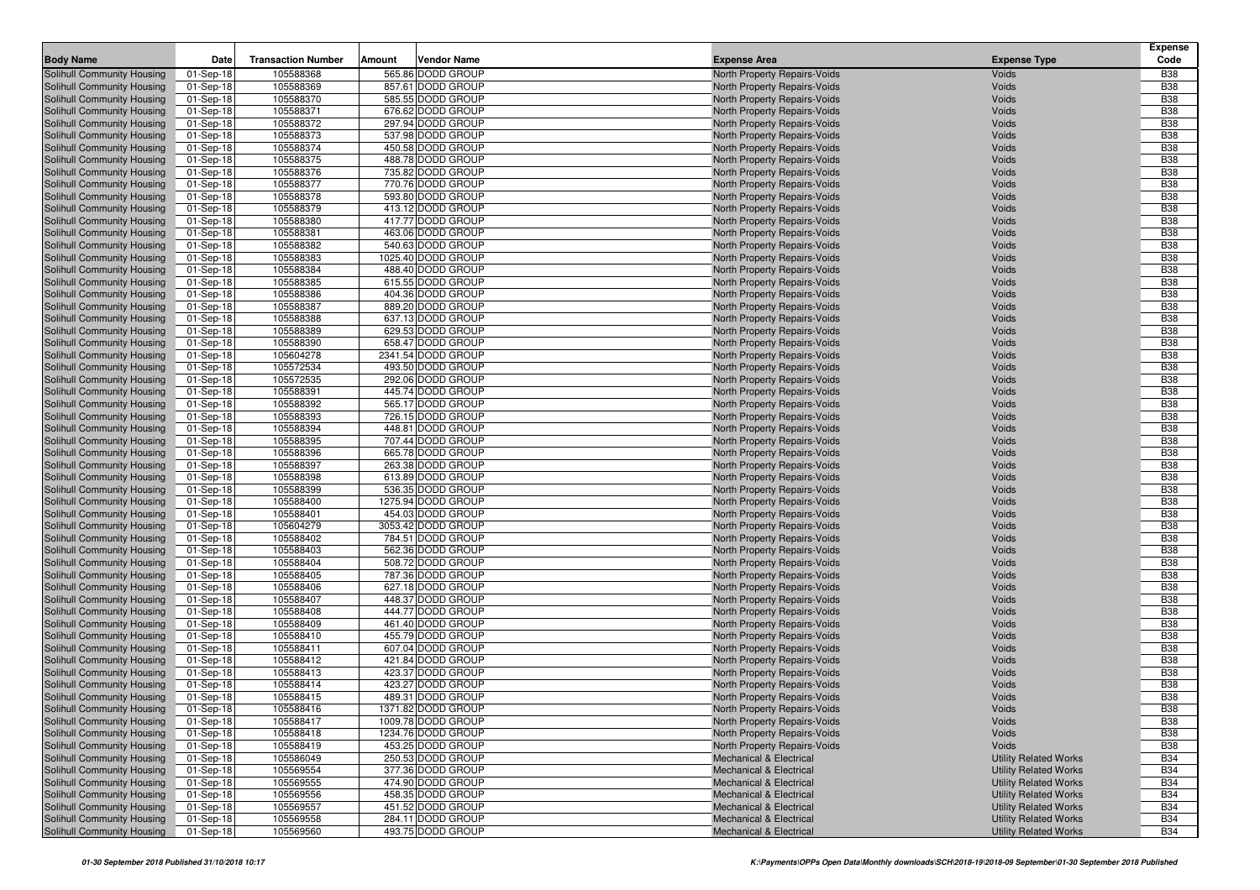| <b>Body Name</b>                                         | Date                   | <b>Transaction Number</b> | Amount | <b>Vendor Name</b>                     | <b>Expense Area</b>                                          | <b>Expense Type</b>          | <b>Expense</b><br>Code   |
|----------------------------------------------------------|------------------------|---------------------------|--------|----------------------------------------|--------------------------------------------------------------|------------------------------|--------------------------|
| Solihull Community Housing                               | 01-Sep-18              | 105588368                 |        | 565.86 DODD GROUP                      | North Property Repairs-Voids                                 | Voids                        | <b>B38</b>               |
| Solihull Community Housing                               | 01-Sep-18              | 105588369                 |        | 857.61 DODD GROUP                      | North Property Repairs-Voids                                 | Voids                        | <b>B38</b>               |
| Solihull Community Housing                               | 01-Sep-18              | 105588370                 |        | 585.55 DODD GROUP                      | North Property Repairs-Voids                                 | Voids                        | <b>B38</b>               |
| Solihull Community Housing                               | 01-Sep-18              | 105588371                 |        | 676.62 DODD GROUP                      | North Property Repairs-Voids                                 | Voids                        | <b>B38</b>               |
| Solihull Community Housing                               | 01-Sep-18              | 105588372                 |        | 297.94 DODD GROUP                      | North Property Repairs-Voids                                 | Voids                        | <b>B38</b>               |
| Solihull Community Housing                               | 01-Sep-18              | 105588373                 |        | 537.98 DODD GROUP                      | North Property Repairs-Voids                                 | Voids                        | <b>B38</b>               |
| Solihull Community Housing                               | 01-Sep-18              | 105588374                 |        | 450.58 DODD GROUP                      | North Property Repairs-Voids                                 | Voids                        | <b>B38</b>               |
| Solihull Community Housing                               | 01-Sep-18              | 105588375                 |        | 488.78 DODD GROUP                      | North Property Repairs-Voids                                 | Voids                        | <b>B38</b>               |
| Solihull Community Housing                               | 01-Sep-18              | 105588376                 |        | 735.82 DODD GROUP                      | North Property Repairs-Voids                                 | Voids                        | <b>B38</b>               |
| Solihull Community Housing                               | 01-Sep-18              | 105588377                 |        | 770.76 DODD GROUP                      | North Property Repairs-Voids                                 | Voids                        | <b>B38</b>               |
| Solihull Community Housing                               | 01-Sep-18              | 105588378                 |        | 593.80 DODD GROUP                      | North Property Repairs-Voids                                 | Voids                        | <b>B38</b>               |
| Solihull Community Housing                               | 01-Sep-18              | 105588379                 |        | 413.12 DODD GROUP                      | North Property Repairs-Voids                                 | Voids                        | <b>B38</b>               |
| Solihull Community Housing                               | 01-Sep-18              | 105588380                 |        | 417.77 DODD GROUP                      | North Property Repairs-Voids                                 | Voids                        | <b>B38</b>               |
| Solihull Community Housing                               | 01-Sep-18              | 105588381                 |        | 463.06 DODD GROUP                      | North Property Repairs-Voids                                 | Voids                        | <b>B38</b>               |
| Solihull Community Housing                               | 01-Sep-18              | 105588382                 |        | 540.63 DODD GROUP                      | North Property Repairs-Voids                                 | Voids                        | <b>B38</b>               |
| Solihull Community Housing                               | 01-Sep-18              | 105588383                 |        | 1025.40 DODD GROUP                     | North Property Repairs-Voids                                 | Voids                        | <b>B38</b>               |
| Solihull Community Housing                               | 01-Sep-18              | 105588384                 |        | 488.40 DODD GROUP                      | North Property Repairs-Voids                                 | Voids                        | <b>B38</b>               |
| Solihull Community Housing                               | 01-Sep-18              | 105588385                 |        | 615.55 DODD GROUP                      | North Property Repairs-Voids                                 | Voids                        | <b>B38</b>               |
| Solihull Community Housing                               | 01-Sep-18              | 105588386                 |        | 404.36 DODD GROUP                      | North Property Repairs-Voids                                 | Voids                        | <b>B38</b>               |
| Solihull Community Housing                               | 01-Sep-18              | 105588387                 |        | 889.20 DODD GROUP                      | North Property Repairs-Voids                                 | Voids                        | <b>B38</b><br><b>B38</b> |
| Solihull Community Housing<br>Solihull Community Housing | 01-Sep-18              | 105588388<br>105588389    |        | 637.13 DODD GROUP<br>629.53 DODD GROUP | North Property Repairs-Voids<br>North Property Repairs-Voids | Voids<br>Voids               | <b>B38</b>               |
| Solihull Community Housing                               | 01-Sep-18              | 105588390                 |        | 658.47 DODD GROUP                      |                                                              | Voids                        | <b>B38</b>               |
| Solihull Community Housing                               | 01-Sep-18<br>01-Sep-18 | 105604278                 |        | 2341.54 DODD GROUP                     | North Property Repairs-Voids<br>North Property Repairs-Voids | Voids                        | <b>B38</b>               |
| Solihull Community Housing                               | 01-Sep-18              | 105572534                 |        | 493.50 DODD GROUP                      | North Property Repairs-Voids                                 | Voids                        | <b>B38</b>               |
| Solihull Community Housing                               | 01-Sep-18              | 105572535                 |        | 292.06 DODD GROUP                      | North Property Repairs-Voids                                 | Voids                        | <b>B38</b>               |
| Solihull Community Housing                               | 01-Sep-18              | 105588391                 |        | 445.74 DODD GROUP                      | North Property Repairs-Voids                                 | Voids                        | <b>B38</b>               |
| Solihull Community Housing                               | 01-Sep-18              | 105588392                 |        | 565.17 DODD GROUP                      | North Property Repairs-Voids                                 | Voids                        | <b>B38</b>               |
| Solihull Community Housing                               | 01-Sep-18              | 105588393                 |        | 726.15 DODD GROUP                      | North Property Repairs-Voids                                 | Voids                        | <b>B38</b>               |
| Solihull Community Housing                               | 01-Sep-18              | 105588394                 |        | 448.81 DODD GROUP                      | North Property Repairs-Voids                                 | Voids                        | <b>B38</b>               |
| Solihull Community Housing                               | 01-Sep-18              | 105588395                 |        | 707.44 DODD GROUP                      | North Property Repairs-Voids                                 | Voids                        | <b>B38</b>               |
| Solihull Community Housing                               | 01-Sep-18              | 105588396                 |        | 665.78 DODD GROUP                      | North Property Repairs-Voids                                 | Voids                        | <b>B38</b>               |
| Solihull Community Housing                               | 01-Sep-18              | 105588397                 |        | 263.38 DODD GROUP                      | North Property Repairs-Voids                                 | Voids                        | <b>B38</b>               |
| Solihull Community Housing                               | 01-Sep-18              | 105588398                 |        | 613.89 DODD GROUP                      | North Property Repairs-Voids                                 | Voids                        | <b>B38</b>               |
| Solihull Community Housing                               | 01-Sep-18              | 105588399                 |        | 536.35 DODD GROUP                      | North Property Repairs-Voids                                 | Voids                        | <b>B38</b>               |
| Solihull Community Housing                               | 01-Sep-18              | 105588400                 |        | 1275.94 DODD GROUP                     | North Property Repairs-Voids                                 | Voids                        | <b>B38</b>               |
| Solihull Community Housing                               | 01-Sep-18              | 105588401                 |        | 454.03 DODD GROUP                      | North Property Repairs-Voids                                 | Voids                        | <b>B38</b>               |
| Solihull Community Housing                               | 01-Sep-18              | 105604279                 |        | 3053.42 DODD GROUP                     | North Property Repairs-Voids                                 | Voids                        | <b>B38</b>               |
| Solihull Community Housing                               | 01-Sep-18              | 105588402                 |        | 784.51 DODD GROUP                      | North Property Repairs-Voids                                 | Voids                        | <b>B38</b>               |
| Solihull Community Housing                               | 01-Sep-18              | 105588403                 |        | 562.36 DODD GROUP                      | North Property Repairs-Voids                                 | Voids                        | <b>B38</b>               |
| Solihull Community Housing                               | 01-Sep-18              | 105588404                 |        | 508.72 DODD GROUP                      | North Property Repairs-Voids                                 | Voids                        | <b>B38</b>               |
| Solihull Community Housing                               | 01-Sep-18              | 105588405                 |        | 787.36 DODD GROUP                      | North Property Repairs-Voids                                 | Voids<br>Voids               | <b>B38</b><br><b>B38</b> |
| Solihull Community Housing<br>Solihull Community Housing | 01-Sep-18              | 105588406<br>105588407    |        | 627.18 DODD GROUP<br>448.37 DODD GROUP | North Property Repairs-Voids<br>North Property Repairs-Voids | Voids                        | <b>B38</b>               |
| Solihull Community Housing                               | 01-Sep-18<br>01-Sep-18 | 105588408                 |        | 444.77 DODD GROUP                      | North Property Repairs-Voids                                 | Voids                        | <b>B38</b>               |
| Solihull Community Housing                               | 01-Sep-18              | 105588409                 |        | 461.40 DODD GROUP                      | North Property Repairs-Voids                                 | Voids                        | <b>B38</b>               |
| Solihull Community Housing                               | 01-Sep-18              | 105588410                 |        | 455.79 DODD GROUP                      | North Property Repairs-Voids                                 | Voids                        | <b>B38</b>               |
| Solihull Community Housing                               | 01-Sep-18              | 105588411                 |        | 607.04 DODD GROUP                      | North Property Repairs-Voids                                 | Voids                        | <b>B38</b>               |
| Solihull Community Housing                               | 01-Sep-18              | 105588412                 |        | 421.84 DODD GROUP                      | North Property Repairs-Voids                                 | Voids                        | <b>B38</b>               |
| Solihull Community Housing                               | 01-Sep-18              | 105588413                 |        | 423.37 DODD GROUP                      | North Property Repairs-Voids                                 | Voids                        | <b>B38</b>               |
| Solihull Community Housing                               | 01-Sep-18              | 105588414                 |        | 423.27 DODD GROUP                      | North Property Repairs-Voids                                 | Voids                        | <b>B38</b>               |
| Solihull Community Housing                               | 01-Sep-18              | 105588415                 |        | 489.31 DODD GROUP                      | North Property Repairs-Voids                                 | Voids                        | <b>B38</b>               |
| Solihull Community Housing                               | 01-Sep-18              | 105588416                 |        | 1371.82 DODD GROUP                     | North Property Repairs-Voids                                 | Voids                        | <b>B38</b>               |
| Solihull Community Housing                               | 01-Sep-18              | 105588417                 |        | 1009.78 DODD GROUP                     | North Property Repairs-Voids                                 | Voids                        | <b>B38</b>               |
| Solihull Community Housing                               | 01-Sep-18              | 105588418                 |        | 1234.76 DODD GROUP                     | North Property Repairs-Voids                                 | Voids                        | <b>B38</b>               |
| Solihull Community Housing                               | 01-Sep-18              | 105588419                 |        | 453.25 DODD GROUP                      | North Property Repairs-Voids                                 | Voids                        | <b>B38</b>               |
| Solihull Community Housing                               | 01-Sep-18              | 105586049                 |        | 250.53 DODD GROUP                      | <b>Mechanical &amp; Electrical</b>                           | <b>Utility Related Works</b> | <b>B34</b>               |
| Solihull Community Housing                               | 01-Sep-18              | 105569554                 |        | 377.36 DODD GROUP                      | <b>Mechanical &amp; Electrical</b>                           | <b>Utility Related Works</b> | <b>B34</b>               |
| Solihull Community Housing                               | 01-Sep-18              | 105569555                 |        | 474.90 DODD GROUP                      | <b>Mechanical &amp; Electrical</b>                           | <b>Utility Related Works</b> | <b>B34</b>               |
| Solihull Community Housing                               | 01-Sep-18              | 105569556                 |        | 458.35 DODD GROUP                      | <b>Mechanical &amp; Electrical</b>                           | <b>Utility Related Works</b> | <b>B34</b>               |
| Solihull Community Housing                               | 01-Sep-18              | 105569557                 |        | 451.52 DODD GROUP                      | <b>Mechanical &amp; Electrical</b>                           | <b>Utility Related Works</b> | <b>B34</b>               |
| Solihull Community Housing                               | 01-Sep-18              | 105569558                 |        | 284.11 DODD GROUP                      | <b>Mechanical &amp; Electrical</b>                           | <b>Utility Related Works</b> | <b>B34</b>               |
| Solihull Community Housing                               | 01-Sep-18              | 105569560                 |        | 493.75 DODD GROUP                      | Mechanical & Electrical                                      | <b>Utility Related Works</b> | <b>B34</b>               |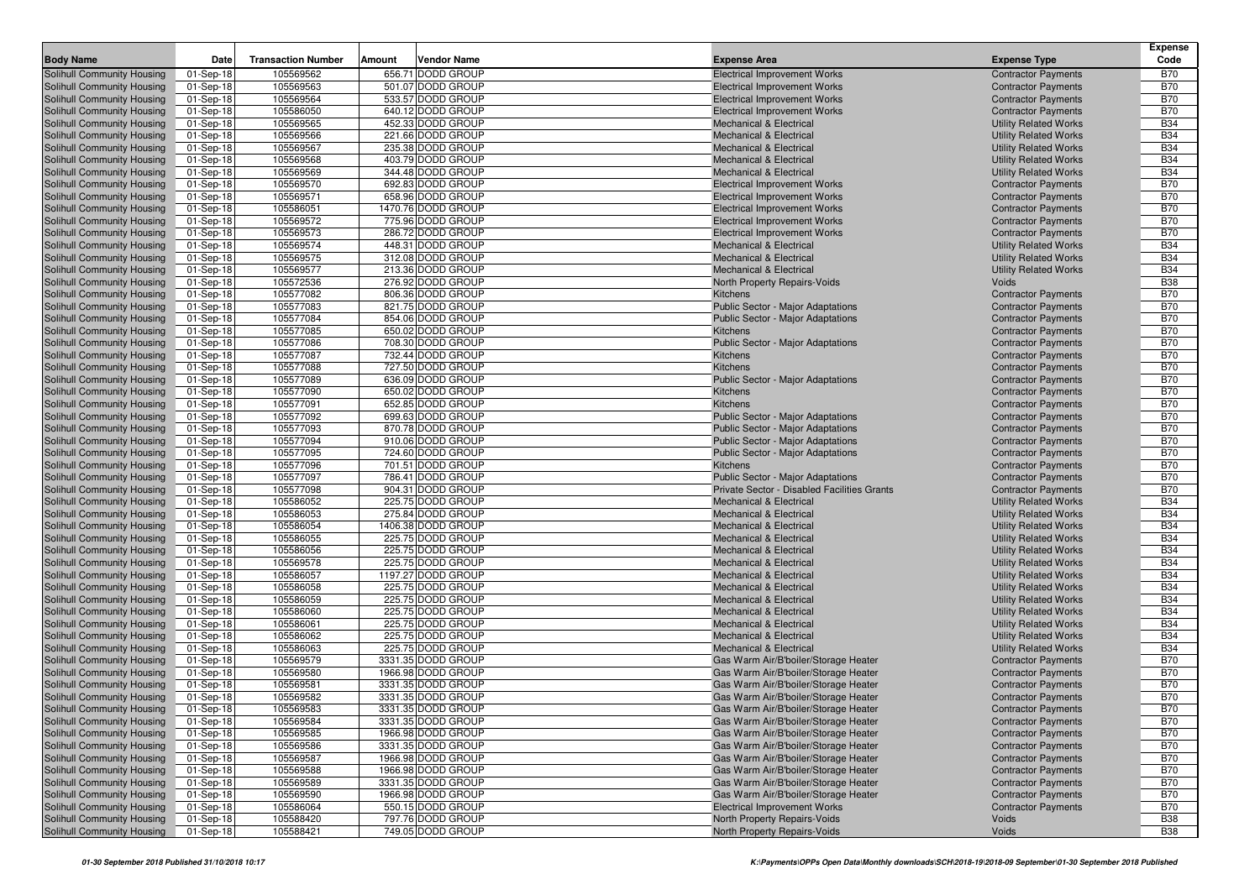|                                                          |                        |                           |        |                                        |                                                               |                                                              | Expense                  |
|----------------------------------------------------------|------------------------|---------------------------|--------|----------------------------------------|---------------------------------------------------------------|--------------------------------------------------------------|--------------------------|
| <b>Body Name</b>                                         | <b>Date</b>            | <b>Transaction Number</b> | Amount | Vendor Name                            | <b>Expense Area</b>                                           | <b>Expense Type</b>                                          | Code                     |
| Solihull Community Housing                               | 01-Sep-18              | 105569562                 |        | 656.71 DODD GROUP                      | <b>Electrical Improvement Works</b>                           | <b>Contractor Payments</b>                                   | <b>B70</b>               |
| Solihull Community Housing                               | 01-Sep-18              | 105569563                 |        | 501.07 DODD GROUP                      | <b>Electrical Improvement Works</b>                           | <b>Contractor Payments</b>                                   | <b>B70</b>               |
| Solihull Community Housing                               | 01-Sep-18              | 105569564                 |        | 533.57 DODD GROUP                      | <b>Electrical Improvement Works</b>                           | <b>Contractor Payments</b>                                   | <b>B70</b>               |
| Solihull Community Housing                               | 01-Sep-18              | 105586050                 |        | 640.12 DODD GROUP                      | <b>Electrical Improvement Works</b>                           | <b>Contractor Payments</b>                                   | <b>B70</b>               |
| Solihull Community Housing                               | 01-Sep-18              | 105569565                 |        | 452.33 DODD GROUP                      | Mechanical & Electrical                                       | <b>Utility Related Works</b>                                 | <b>B34</b>               |
| Solihull Community Housing                               | 01-Sep-18              | 105569566                 |        | 221.66 DODD GROUP                      | <b>Mechanical &amp; Electrical</b>                            | <b>Utility Related Works</b>                                 | <b>B34</b>               |
| Solihull Community Housing                               | 01-Sep-18              | 105569567                 |        | 235.38 DODD GROUP                      | <b>Mechanical &amp; Electrical</b>                            | <b>Utility Related Works</b>                                 | <b>B34</b>               |
| <b>Solihull Community Housing</b>                        | 01-Sep-18              | 105569568                 |        | 403.79 DODD GROUP                      | <b>Mechanical &amp; Electrical</b>                            | <b>Utility Related Works</b>                                 | <b>B34</b>               |
| Solihull Community Housing                               | 01-Sep-18              | 105569569                 |        | 344.48 DODD GROUP                      | <b>Mechanical &amp; Electrical</b>                            | <b>Utility Related Works</b>                                 | <b>B34</b>               |
| Solihull Community Housing                               | 01-Sep-18              | 105569570                 |        | 692.83 DODD GROUP                      | <b>Electrical Improvement Works</b>                           | <b>Contractor Payments</b>                                   | <b>B70</b>               |
| Solihull Community Housing                               | 01-Sep-18              | 105569571                 |        | 658.96 DODD GROUP                      | <b>Electrical Improvement Works</b>                           | <b>Contractor Payments</b>                                   | <b>B70</b>               |
| Solihull Community Housing                               | 01-Sep-18              | 105586051                 |        | 1470.76 DODD GROUP                     | <b>Electrical Improvement Works</b>                           | <b>Contractor Payments</b>                                   | <b>B70</b>               |
| Solihull Community Housing                               | 01-Sep-18              | 105569572                 |        | 775.96 DODD GROUP                      | <b>Electrical Improvement Works</b>                           | <b>Contractor Payments</b>                                   | <b>B70</b>               |
| Solihull Community Housing                               | 01-Sep-18              | 105569573                 |        | 286.72 DODD GROUP                      | <b>Electrical Improvement Works</b>                           | <b>Contractor Payments</b>                                   | <b>B70</b>               |
| Solihull Community Housing                               | 01-Sep-18              | 105569574                 |        | 448.31 DODD GROUP                      | <b>Mechanical &amp; Electrical</b>                            | <b>Utility Related Works</b>                                 | <b>B34</b>               |
| Solihull Community Housing                               | 01-Sep-18              | 105569575                 |        | 312.08 DODD GROUP                      | <b>Mechanical &amp; Electrical</b>                            | <b>Utility Related Works</b>                                 | <b>B34</b>               |
| Solihull Community Housing                               | 01-Sep-18              | 105569577                 |        | 213.36 DODD GROUP<br>276.92 DODD GROUP | Mechanical & Electrical                                       | <b>Utility Related Works</b>                                 | <b>B34</b><br><b>B38</b> |
| Solihull Community Housing                               | 01-Sep-18              | 105572536<br>105577082    |        | 806.36 DODD GROUP                      | North Property Repairs-Voids<br>Kitchens                      | Voids                                                        | <b>B70</b>               |
| Solihull Community Housing<br>Solihull Community Housing | 01-Sep-18              | 105577083                 |        | 821.75 DODD GROUP                      | <b>Public Sector - Major Adaptations</b>                      | <b>Contractor Payments</b><br><b>Contractor Payments</b>     | <b>B70</b>               |
| Solihull Community Housing                               | 01-Sep-18<br>01-Sep-18 | 105577084                 |        | 854.06 DODD GROUP                      | <b>Public Sector - Major Adaptations</b>                      | <b>Contractor Payments</b>                                   | <b>B70</b>               |
| Solihull Community Housing                               | 01-Sep-18              | 105577085                 |        | 650.02 DODD GROUP                      | Kitchens                                                      | <b>Contractor Payments</b>                                   | <b>B70</b>               |
| Solihull Community Housing                               | 01-Sep-18              | 105577086                 |        | 708.30 DODD GROUP                      | <b>Public Sector - Major Adaptations</b>                      | <b>Contractor Payments</b>                                   | <b>B70</b>               |
| Solihull Community Housing                               | 01-Sep-18              | 105577087                 |        | 732.44 DODD GROUP                      | Kitchens                                                      | <b>Contractor Payments</b>                                   | <b>B70</b>               |
| Solihull Community Housing                               | 01-Sep-18              | 105577088                 |        | 727.50 DODD GROUP                      | Kitchens                                                      | <b>Contractor Payments</b>                                   | <b>B70</b>               |
| Solihull Community Housing                               | 01-Sep-18              | 105577089                 |        | 636.09 DODD GROUP                      | <b>Public Sector - Major Adaptations</b>                      | <b>Contractor Payments</b>                                   | <b>B70</b>               |
| Solihull Community Housing                               | 01-Sep-18              | 105577090                 |        | 650.02 DODD GROUP                      | <b>Kitchens</b>                                               | <b>Contractor Payments</b>                                   | <b>B70</b>               |
| Solihull Community Housing                               | 01-Sep-18              | 105577091                 |        | 652.85 DODD GROUP                      | Kitchens                                                      | <b>Contractor Payments</b>                                   | <b>B70</b>               |
| Solihull Community Housing                               | 01-Sep-18              | 105577092                 |        | 699.63 DODD GROUP                      | <b>Public Sector - Major Adaptations</b>                      | <b>Contractor Payments</b>                                   | <b>B70</b>               |
| Solihull Community Housing                               | 01-Sep-18              | 105577093                 |        | 870.78 DODD GROUP                      | <b>Public Sector - Major Adaptations</b>                      | <b>Contractor Payments</b>                                   | <b>B70</b>               |
| Solihull Community Housing                               | 01-Sep-18              | 105577094                 |        | 910.06 DODD GROUP                      | <b>Public Sector - Major Adaptations</b>                      | <b>Contractor Payments</b>                                   | <b>B70</b>               |
| Solihull Community Housing                               | 01-Sep-18              | 105577095                 |        | 724.60 DODD GROUP                      | <b>Public Sector - Major Adaptations</b>                      | <b>Contractor Payments</b>                                   | <b>B70</b>               |
| Solihull Community Housing                               | 01-Sep-18              | 105577096                 |        | 701.51 DODD GROUP                      | Kitchens                                                      | <b>Contractor Payments</b>                                   | <b>B70</b>               |
| Solihull Community Housing                               | 01-Sep-18              | 105577097                 |        | 786.41 DODD GROUP                      | <b>Public Sector - Major Adaptations</b>                      | <b>Contractor Payments</b>                                   | <b>B70</b>               |
| Solihull Community Housing                               | 01-Sep-18              | 105577098                 |        | 904.31 DODD GROUP                      | Private Sector - Disabled Facilities Grants                   | <b>Contractor Payments</b>                                   | <b>B70</b>               |
| Solihull Community Housing                               | 01-Sep-18              | 105586052                 |        | 225.75 DODD GROUP                      | <b>Mechanical &amp; Electrical</b>                            | <b>Utility Related Works</b>                                 | <b>B34</b>               |
| Solihull Community Housing                               | 01-Sep-18              | 105586053                 |        | 275.84 DODD GROUP                      | <b>Mechanical &amp; Electrical</b>                            | <b>Utility Related Works</b>                                 | <b>B34</b>               |
| Solihull Community Housing                               | 01-Sep-18              | 105586054                 |        | 1406.38 DODD GROUP                     | <b>Mechanical &amp; Electrical</b>                            | <b>Utility Related Works</b>                                 | <b>B34</b>               |
| Solihull Community Housing                               | 01-Sep-18              | 105586055                 |        | 225.75 DODD GROUP                      | Mechanical & Electrical                                       | <b>Utility Related Works</b>                                 | <b>B34</b>               |
| Solihull Community Housing                               | 01-Sep-18              | 105586056                 |        | 225.75 DODD GROUP                      | <b>Mechanical &amp; Electrical</b>                            | <b>Utility Related Works</b>                                 | <b>B34</b>               |
| Solihull Community Housing                               | 01-Sep-18              | 105569578                 |        | 225.75 DODD GROUP                      | <b>Mechanical &amp; Electrical</b>                            | <b>Utility Related Works</b>                                 | <b>B34</b>               |
| Solihull Community Housing                               | 01-Sep-18              | 105586057                 |        | 1197.27 DODD GROUP                     | <b>Mechanical &amp; Electrical</b>                            | <b>Utility Related Works</b>                                 | <b>B34</b>               |
| Solihull Community Housing                               | 01-Sep-18              | 105586058                 |        | 225.75 DODD GROUP<br>225.75 DODD GROUP | <b>Mechanical &amp; Electrical</b>                            | <b>Utility Related Works</b>                                 | <b>B34</b><br><b>B34</b> |
| Solihull Community Housing                               | 01-Sep-18              | 105586059<br>105586060    |        | 225.75 DODD GROUP                      | Mechanical & Electrical<br><b>Mechanical &amp; Electrical</b> | <b>Utility Related Works</b>                                 | <b>B34</b>               |
| Solihull Community Housing<br>Solihull Community Housing | 01-Sep-18<br>01-Sep-18 | 105586061                 |        | 225.75 DODD GROUP                      | <b>Mechanical &amp; Electrical</b>                            | <b>Utility Related Works</b><br><b>Utility Related Works</b> | <b>B34</b>               |
| Solihull Community Housing                               | 01-Sep-18              | 105586062                 |        | 225.75 DODD GROUP                      | <b>Mechanical &amp; Electrical</b>                            | <b>Utility Related Works</b>                                 | <b>B34</b>               |
| Solihull Community Housing                               | 01-Sep-18              | 105586063                 |        | 225.75 DODD GROUP                      | <b>Mechanical &amp; Electrical</b>                            | <b>Utility Related Works</b>                                 | <b>B34</b>               |
| Solihull Community Housing                               | 01-Sep-18              | 105569579                 |        | 3331.35 DODD GROUP                     | Gas Warm Air/B'boiler/Storage Heater                          | <b>Contractor Payments</b>                                   | <b>B70</b>               |
| Solihull Community Housing                               | 01-Sep-18              | 105569580                 |        | 1966.98 DODD GROUP                     | Gas Warm Air/B'boiler/Storage Heater                          | <b>Contractor Payments</b>                                   | <b>B70</b>               |
| Solihull Community Housing                               | 01-Sep-18              | 105569581                 |        | 3331.35 DODD GROUP                     | Gas Warm Air/B'boiler/Storage Heater                          | <b>Contractor Payments</b>                                   | <b>B70</b>               |
| Solihull Community Housing                               | 01-Sep-18              | 105569582                 |        | 3331.35 DODD GROUP                     | Gas Warm Air/B'boiler/Storage Heater                          | <b>Contractor Payments</b>                                   | <b>B70</b>               |
| Solihull Community Housing                               | $01-Sep-18$            | 105569583                 |        | 3331.35 DODD GROUP                     | Gas Warm Air/B'boiler/Storage Heater                          | <b>Contractor Payments</b>                                   | <b>B70</b>               |
| Solihull Community Housing                               | 01-Sep-18              | 105569584                 |        | 3331.35 DODD GROUP                     | Gas Warm Air/B'boiler/Storage Heater                          | <b>Contractor Payments</b>                                   | <b>B70</b>               |
| Solihull Community Housing                               | 01-Sep-18              | 105569585                 |        | 1966.98 DODD GROUP                     | Gas Warm Air/B'boiler/Storage Heater                          | <b>Contractor Payments</b>                                   | <b>B70</b>               |
| Solihull Community Housing                               | 01-Sep-18              | 105569586                 |        | 3331.35 DODD GROUP                     | Gas Warm Air/B'boiler/Storage Heater                          | <b>Contractor Payments</b>                                   | <b>B70</b>               |
| Solihull Community Housing                               | 01-Sep-18              | 105569587                 |        | 1966.98 DODD GROUP                     | Gas Warm Air/B'boiler/Storage Heater                          | <b>Contractor Payments</b>                                   | <b>B70</b>               |
| Solihull Community Housing                               | 01-Sep-18              | 105569588                 |        | 1966.98 DODD GROUP                     | Gas Warm Air/B'boiler/Storage Heater                          | <b>Contractor Payments</b>                                   | <b>B70</b>               |
| Solihull Community Housing                               | 01-Sep-18              | 105569589                 |        | 3331.35 DODD GROUP                     | Gas Warm Air/B'boiler/Storage Heater                          | <b>Contractor Payments</b>                                   | <b>B70</b>               |
| Solihull Community Housing                               | 01-Sep-18              | 105569590                 |        | 1966.98 DODD GROUP                     | Gas Warm Air/B'boiler/Storage Heater                          | <b>Contractor Payments</b>                                   | <b>B70</b>               |
| Solihull Community Housing                               | 01-Sep-18              | 105586064                 |        | 550.15 DODD GROUP                      | <b>Electrical Improvement Works</b>                           | <b>Contractor Payments</b>                                   | <b>B70</b>               |
| Solihull Community Housing                               | 01-Sep-18              | 105588420                 |        | 797.76 DODD GROUP                      | North Property Repairs-Voids                                  | Voids                                                        | <b>B38</b>               |
| Solihull Community Housing                               | 01-Sep-18              | 105588421                 |        | 749.05 DODD GROUP                      | North Property Repairs-Voids                                  | Voids                                                        | <b>B38</b>               |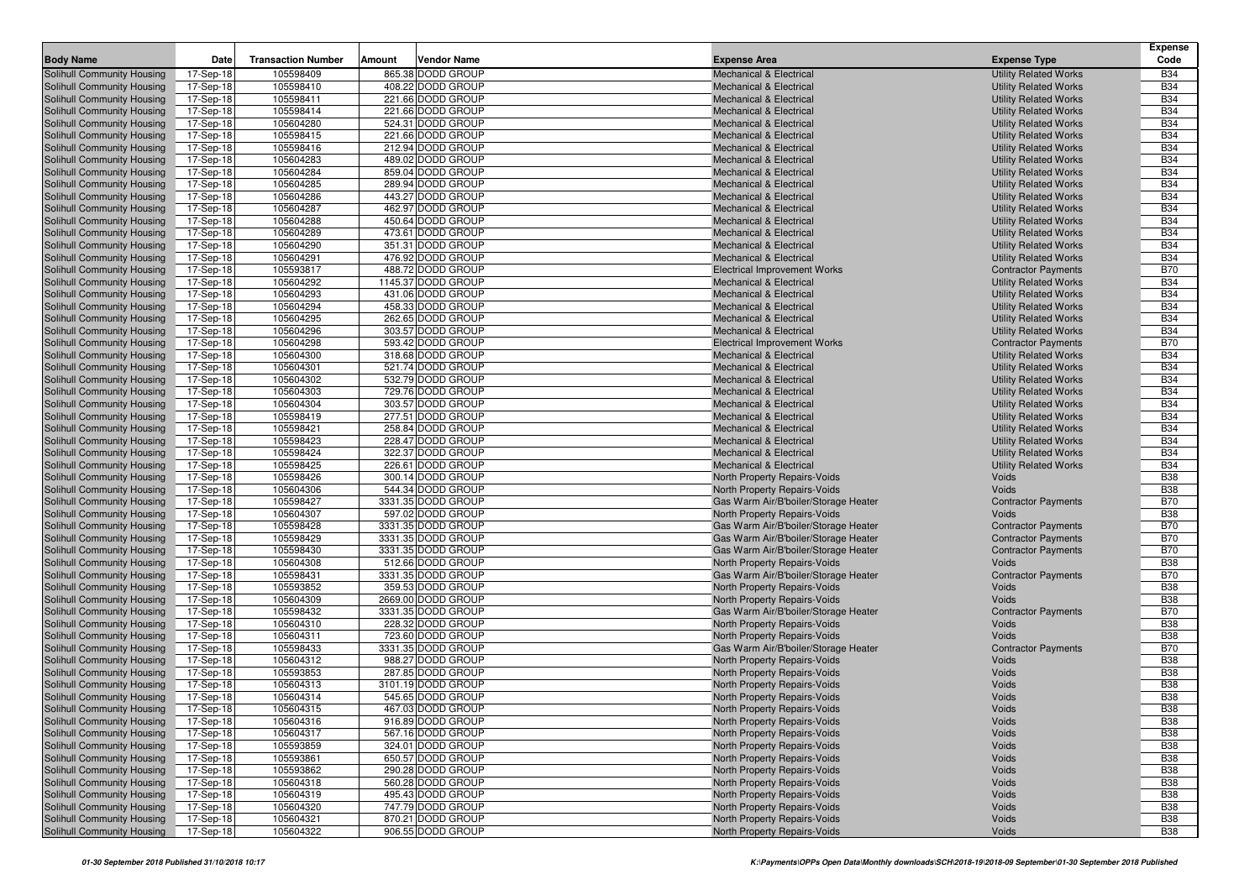|                                                          |                        |                           |        |                                         |                                                                          |                                                              | <b>Expense</b>           |
|----------------------------------------------------------|------------------------|---------------------------|--------|-----------------------------------------|--------------------------------------------------------------------------|--------------------------------------------------------------|--------------------------|
| <b>Body Name</b>                                         | Date                   | <b>Transaction Number</b> | Amount | <b>Vendor Name</b>                      | <b>Expense Area</b>                                                      | <b>Expense Type</b>                                          | Code                     |
| Solihull Community Housing                               | 17-Sep-18              | 105598409                 |        | 865.38 DODD GROUP                       | <b>Mechanical &amp; Electrical</b>                                       | <b>Utility Related Works</b>                                 | <b>B34</b>               |
| Solihull Community Housing                               | 17-Sep-18              | 105598410                 |        | 408.22 DODD GROUP                       | <b>Mechanical &amp; Electrical</b>                                       | <b>Utility Related Works</b>                                 | <b>B34</b>               |
| Solihull Community Housing                               | 17-Sep-18              | 105598411                 |        | 221.66 DODD GROUP                       | <b>Mechanical &amp; Electrical</b>                                       | <b>Utility Related Works</b>                                 | <b>B34</b>               |
| Solihull Community Housing                               | 17-Sep-18              | 105598414                 |        | 221.66 DODD GROUP                       | <b>Mechanical &amp; Electrical</b>                                       | <b>Utility Related Works</b>                                 | <b>B34</b>               |
| Solihull Community Housing                               | 17-Sep-18              | 105604280                 |        | 524.31 DODD GROUP                       | <b>Mechanical &amp; Electrical</b>                                       | <b>Utility Related Works</b>                                 | <b>B34</b>               |
| Solihull Community Housing                               | 17-Sep-18              | 105598415                 |        | 221.66 DODD GROUP                       | Mechanical & Electrical                                                  | <b>Utility Related Works</b>                                 | <b>B34</b>               |
| Solihull Community Housing                               | 17-Sep-18              | 105598416                 |        | 212.94 DODD GROUP                       | <b>Mechanical &amp; Electrical</b>                                       | <b>Utility Related Works</b>                                 | <b>B34</b>               |
| Solihull Community Housing                               | 17-Sep-18              | 105604283                 |        | 489.02 DODD GROUP                       | <b>Mechanical &amp; Electrical</b>                                       | <b>Utility Related Works</b>                                 | <b>B34</b>               |
| Solihull Community Housing                               | 17-Sep-18              | 105604284                 |        | 859.04 DODD GROUP                       | <b>Mechanical &amp; Electrical</b>                                       | <b>Utility Related Works</b>                                 | <b>B34</b>               |
| Solihull Community Housing                               | 17-Sep-18              | 105604285                 |        | 289.94 DODD GROUP                       | <b>Mechanical &amp; Electrical</b>                                       | <b>Utility Related Works</b>                                 | <b>B34</b>               |
| Solihull Community Housing                               | 17-Sep-18              | 105604286                 |        | 443.27 DODD GROUP                       | <b>Mechanical &amp; Electrical</b>                                       | <b>Utility Related Works</b>                                 | <b>B34</b>               |
| Solihull Community Housing                               | 17-Sep-18              | 105604287<br>105604288    |        | 462.97 DODD GROUP<br>450.64 DODD GROUP  | <b>Mechanical &amp; Electrical</b>                                       | <b>Utility Related Works</b>                                 | <b>B34</b><br><b>B34</b> |
| Solihull Community Housing<br>Solihull Community Housing | 17-Sep-18<br>17-Sep-18 | 105604289                 |        | 473.61 DODD GROUP                       | <b>Mechanical &amp; Electrical</b><br><b>Mechanical &amp; Electrical</b> | <b>Utility Related Works</b><br><b>Utility Related Works</b> | <b>B34</b>               |
| Solihull Community Housing                               |                        | 105604290                 |        | 351.31 DODD GROUP                       | <b>Mechanical &amp; Electrical</b>                                       | <b>Utility Related Works</b>                                 | <b>B34</b>               |
| Solihull Community Housing                               | 17-Sep-18<br>17-Sep-18 | 105604291                 |        | 476.92 DODD GROUP                       | <b>Mechanical &amp; Electrical</b>                                       | <b>Utility Related Works</b>                                 | <b>B34</b>               |
| Solihull Community Housing                               | 17-Sep-18              | 105593817                 |        | 488.72 DODD GROUP                       | <b>Electrical Improvement Works</b>                                      | <b>Contractor Payments</b>                                   | <b>B70</b>               |
| Solihull Community Housing                               | 17-Sep-18              | 105604292                 |        | 1145.37 DODD GROUP                      | <b>Mechanical &amp; Electrical</b>                                       | <b>Utility Related Works</b>                                 | <b>B34</b>               |
| Solihull Community Housing                               | 17-Sep-18              | 105604293                 |        | 431.06 DODD GROUP                       | <b>Mechanical &amp; Electrical</b>                                       | <b>Utility Related Works</b>                                 | <b>B34</b>               |
| Solihull Community Housing                               | 17-Sep-18              | 105604294                 |        | 458.33 DODD GROUP                       | <b>Mechanical &amp; Electrical</b>                                       | <b>Utility Related Works</b>                                 | <b>B34</b>               |
| Solihull Community Housing                               | 17-Sep-18              | 105604295                 |        | 262.65 DODD GROUP                       | <b>Mechanical &amp; Electrical</b>                                       | <b>Utility Related Works</b>                                 | <b>B34</b>               |
| Solihull Community Housing                               | 17-Sep-18              | 105604296                 |        | 303.57 DODD GROUP                       | <b>Mechanical &amp; Electrical</b>                                       | <b>Utility Related Works</b>                                 | <b>B34</b>               |
| Solihull Community Housing                               | 17-Sep-18              | 105604298                 |        | 593.42 DODD GROUP                       | <b>Electrical Improvement Works</b>                                      | <b>Contractor Payments</b>                                   | <b>B70</b>               |
| Solihull Community Housing                               | 17-Sep-18              | 105604300                 |        | 318.68 DODD GROUP                       | <b>Mechanical &amp; Electrical</b>                                       | <b>Utility Related Works</b>                                 | <b>B34</b>               |
| <b>Solihull Community Housing</b>                        | 17-Sep-18              | 105604301                 |        | 521.74 DODD GROUP                       | <b>Mechanical &amp; Electrical</b>                                       | <b>Utility Related Works</b>                                 | <b>B34</b>               |
| Solihull Community Housing                               | 17-Sep-18              | 105604302                 |        | 532.79 DODD GROUP                       | <b>Mechanical &amp; Electrical</b>                                       | <b>Utility Related Works</b>                                 | <b>B34</b>               |
| Solihull Community Housing                               | 17-Sep-18              | 105604303                 |        | 729.76 DODD GROUP                       | <b>Mechanical &amp; Electrical</b>                                       | <b>Utility Related Works</b>                                 | <b>B34</b>               |
| Solihull Community Housing                               | 17-Sep-18              | 105604304                 |        | 303.57 DODD GROUP                       | <b>Mechanical &amp; Electrical</b>                                       | <b>Utility Related Works</b>                                 | <b>B34</b>               |
| Solihull Community Housing                               | 17-Sep-18              | 105598419                 |        | 277.51 DODD GROUP                       | <b>Mechanical &amp; Electrical</b>                                       | <b>Utility Related Works</b>                                 | <b>B34</b>               |
| Solihull Community Housing                               | 17-Sep-18              | 105598421                 |        | 258.84 DODD GROUP                       | <b>Mechanical &amp; Electrical</b>                                       | <b>Utility Related Works</b>                                 | <b>B34</b>               |
| Solihull Community Housing                               | 17-Sep-18              | 105598423                 |        | 228.47 DODD GROUP                       | <b>Mechanical &amp; Electrical</b>                                       | <b>Utility Related Works</b>                                 | <b>B34</b>               |
| Solihull Community Housing                               | 17-Sep-18              | 105598424                 |        | 322.37 DODD GROUP                       | <b>Mechanical &amp; Electrical</b>                                       | <b>Utility Related Works</b>                                 | <b>B34</b>               |
| Solihull Community Housing                               | 17-Sep-18              | 105598425                 |        | 226.61 DODD GROUP                       | <b>Mechanical &amp; Electrical</b>                                       | <b>Utility Related Works</b>                                 | <b>B34</b>               |
| Solihull Community Housing                               | 17-Sep-18              | 105598426                 |        | 300.14 DODD GROUP                       | North Property Repairs-Voids                                             | Voids                                                        | <b>B38</b>               |
| Solihull Community Housing                               | 17-Sep-18              | 105604306                 |        | 544.34 DODD GROUP                       | North Property Repairs-Voids                                             | Voids                                                        | <b>B38</b>               |
| Solihull Community Housing                               | 17-Sep-18              | 105598427                 |        | 3331.35 DODD GROUP                      | Gas Warm Air/B'boiler/Storage Heater                                     | <b>Contractor Payments</b>                                   | <b>B70</b>               |
| Solihull Community Housing                               | 17-Sep-18              | 105604307                 |        | 597.02 DODD GROUP                       | North Property Repairs-Voids                                             | Voids                                                        | <b>B38</b>               |
| Solihull Community Housing                               | 17-Sep-18              | 105598428                 |        | 3331.35 DODD GROUP                      | Gas Warm Air/B'boiler/Storage Heater                                     | <b>Contractor Payments</b>                                   | <b>B70</b>               |
| Solihull Community Housing                               | 17-Sep-18              | 105598429                 |        | 3331.35 DODD GROUP                      | Gas Warm Air/B'boiler/Storage Heater                                     | <b>Contractor Payments</b>                                   | <b>B70</b>               |
| Solihull Community Housing                               | 17-Sep-18              | 105598430                 |        | 3331.35 DODD GROUP                      | Gas Warm Air/B'boiler/Storage Heater                                     | <b>Contractor Payments</b>                                   | <b>B70</b>               |
| Solihull Community Housing                               | 17-Sep-18              | 105604308                 |        | 512.66 DODD GROUP                       | North Property Repairs-Voids                                             | Voids                                                        | <b>B38</b>               |
| Solihull Community Housing                               | 17-Sep-18              | 105598431<br>105593852    |        | 3331.35 DODD GROUP<br>359.53 DODD GROUP | Gas Warm Air/B'boiler/Storage Heater                                     | <b>Contractor Payments</b><br>Voids                          | <b>B70</b><br><b>B38</b> |
| Solihull Community Housing<br>Solihull Community Housing | 17-Sep-18<br>17-Sep-18 | 105604309                 |        | 2669.00 DODD GROUP                      | North Property Repairs-Voids<br>North Property Repairs-Voids             | Voids                                                        | <b>B38</b>               |
| Solihull Community Housing                               | 17-Sep-18              | 105598432                 |        | 3331.35 DODD GROUP                      | Gas Warm Air/B'boiler/Storage Heater                                     | <b>Contractor Payments</b>                                   | <b>B70</b>               |
| Solihull Community Housing                               | 17-Sep-18              | 105604310                 |        | 228.32 DODD GROUP                       | North Property Repairs-Voids                                             | Voids                                                        | <b>B38</b>               |
| Solihull Community Housing                               | 17-Sep-18              | 105604311                 |        | 723.60 DODD GROUP                       | North Property Repairs-Voids                                             | Voids                                                        | <b>B38</b>               |
| Solihull Community Housing                               | 17-Sep-18              | 105598433                 |        | 3331.35 DODD GROUP                      | Gas Warm Air/B'boiler/Storage Heater                                     | <b>Contractor Payments</b>                                   | <b>B70</b>               |
| Solihull Community Housing                               | 17-Sep-18              | 105604312                 |        | 988.27 DODD GROUP                       | North Property Repairs-Voids                                             | Voids                                                        | <b>B38</b>               |
| <b>Solihull Community Housing</b>                        | 17-Sep-18              | 105593853                 |        | 287.85 DODD GROUP                       | North Property Repairs-Voids                                             | Voids                                                        | <b>B38</b>               |
| Solihull Community Housing                               | 17-Sep-18              | 105604313                 |        | 3101.19 DODD GROUP                      | North Property Repairs-Voids                                             | Voids                                                        | <b>B38</b>               |
| Solihull Community Housing                               | 17-Sep-18              | 105604314                 |        | 545.65 DODD GROUP                       | North Property Repairs-Voids                                             | Voids                                                        | <b>B38</b>               |
| Solihull Community Housing                               | 17-Sep-18              | 105604315                 |        | 467.03 DODD GROUP                       | North Property Repairs-Voids                                             | Voids                                                        | <b>B38</b>               |
| Solihull Community Housing                               | 17-Sep-18              | 105604316                 |        | 916.89 DODD GROUP                       | North Property Repairs-Voids                                             | Voids                                                        | <b>B38</b>               |
| Solihull Community Housing                               | 17-Sep-18              | 105604317                 |        | 567.16 DODD GROUP                       | North Property Repairs-Voids                                             | Voids                                                        | <b>B38</b>               |
| Solihull Community Housing                               | 17-Sep-18              | 105593859                 |        | 324.01 DODD GROUP                       | North Property Repairs-Voids                                             | Voids                                                        | <b>B38</b>               |
| Solihull Community Housing                               | 17-Sep-18              | 105593861                 |        | 650.57 DODD GROUP                       | North Property Repairs-Voids                                             | Voids                                                        | <b>B38</b>               |
| Solihull Community Housing                               | 17-Sep-18              | 105593862                 |        | 290.28 DODD GROUP                       | North Property Repairs-Voids                                             | Voids                                                        | <b>B38</b>               |
| Solihull Community Housing                               | 17-Sep-18              | 105604318                 |        | 560.28 DODD GROUP                       | North Property Repairs-Voids                                             | Voids                                                        | <b>B38</b>               |
| Solihull Community Housing                               | 17-Sep-18              | 105604319                 |        | 495.43 DODD GROUP                       | North Property Repairs-Voids                                             | Voids                                                        | <b>B38</b>               |
| Solihull Community Housing                               | 17-Sep-18              | 105604320                 |        | 747.79 DODD GROUP                       | North Property Repairs-Voids                                             | Voids                                                        | <b>B38</b>               |
| Solihull Community Housing                               | 17-Sep-18              | 105604321                 |        | 870.21 DODD GROUP                       | North Property Repairs-Voids                                             | Voids                                                        | <b>B38</b>               |
| Solihull Community Housing                               | 17-Sep-18              | 105604322                 |        | 906.55 DODD GROUP                       | North Property Repairs-Voids                                             | Voids                                                        | <b>B38</b>               |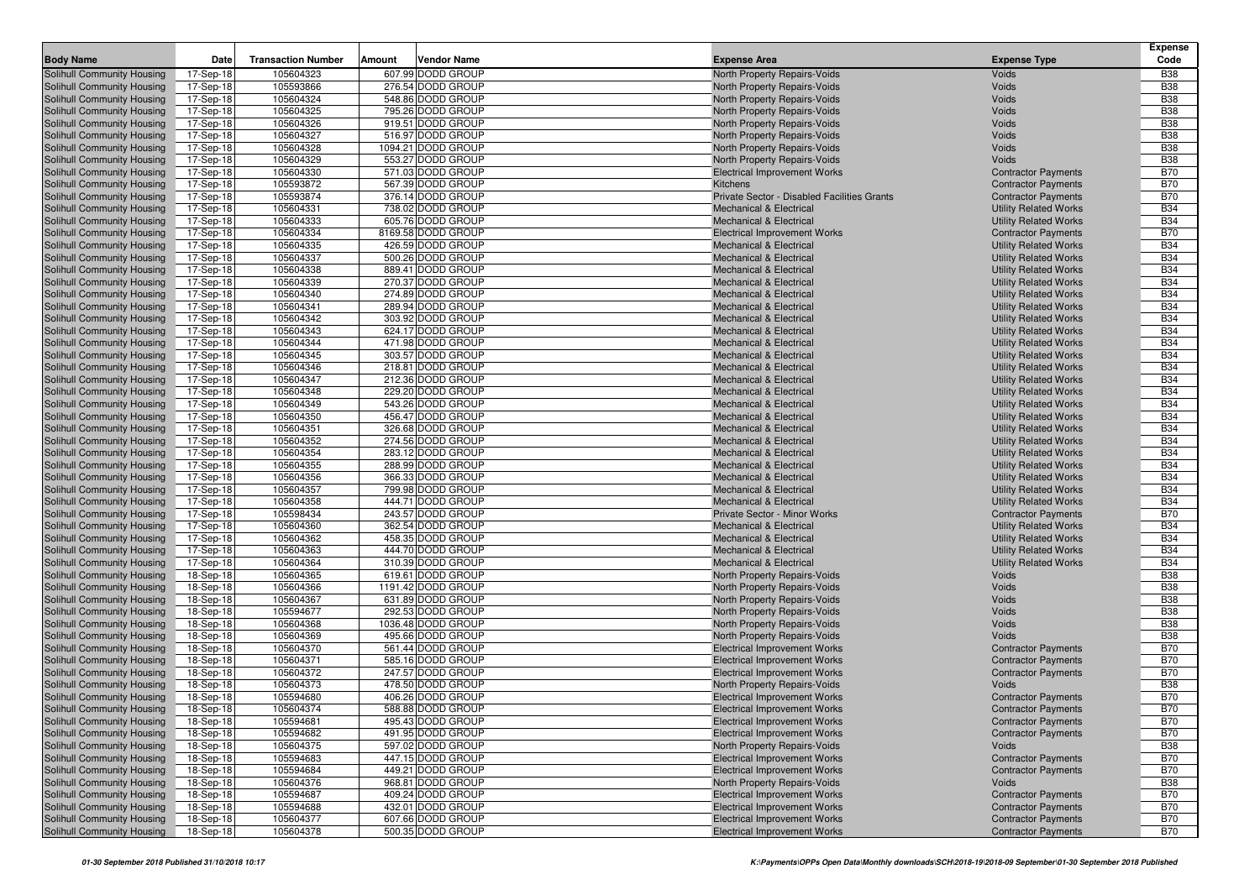| <b>Body Name</b><br><b>Transaction Number</b><br><b>Vendor Name</b><br>Date<br>Amount<br><b>Expense Area</b><br><b>Expense Type</b><br>607.99 DODD GROUP<br>105604323<br>North Property Repairs-Voids<br>Voids<br>Solihull Community Housing<br>17-Sep-18<br>17-Sep-18<br>105593866<br>276.54 DODD GROUP<br>Solihull Community Housing<br>North Property Repairs-Voids<br>Voids<br>105604324<br>548.86 DODD GROUP<br>Solihull Community Housing<br>17-Sep-18<br>North Property Repairs-Voids<br>Voids<br>17-Sep-18<br>105604325<br>795.26 DODD GROUP<br>Solihull Community Housing<br>North Property Repairs-Voids<br>Voids<br>105604326<br>919.51 DODD GROUP<br>Solihull Community Housing<br>17-Sep-18<br>North Property Repairs-Voids<br>Voids<br>105604327<br>516.97 DODD GROUP<br>Solihull Community Housing<br>17-Sep-18<br><b>North Property Repairs-Voids</b><br>Voids<br>105604328<br>1094.21 DODD GROUP<br>Solihull Community Housing<br>17-Sep-18<br><b>North Property Repairs-Voids</b><br>Voids<br>Solihull Community Housing<br>105604329<br>553.27 DODD GROUP<br>17-Sep-18<br>North Property Repairs-Voids<br>Voids<br>105604330<br>571.03 DODD GROUP<br>Solihull Community Housing<br>17-Sep-18<br><b>Electrical Improvement Works</b><br><b>Contractor Payments</b><br>105593872<br>567.39 DODD GROUP<br>Solihull Community Housing<br>17-Sep-18<br>Kitchens<br><b>Contractor Payments</b><br>105593874<br>376.14 DODD GROUP<br><b>Contractor Payments</b><br>Solihull Community Housing<br>17-Sep-18<br>Private Sector - Disabled Facilities Grants<br>738.02 DODD GROUP<br>105604331<br><b>Utility Related Works</b><br>Solihull Community Housing<br>17-Sep-18<br><b>Mechanical &amp; Electrical</b><br>105604333<br>605.76 DODD GROUP<br><b>Utility Related Works</b><br>Solihull Community Housing<br>17-Sep-18<br><b>Mechanical &amp; Electrical</b><br>105604334<br>8169.58 DODD GROUP<br>Solihull Community Housing<br>17-Sep-18<br><b>Electrical Improvement Works</b><br><b>Contractor Payments</b><br>105604335<br>426.59 DODD GROUP<br><b>Utility Related Works</b><br>Solihull Community Housing<br>17-Sep-18<br><b>Mechanical &amp; Electrical</b><br>500.26 DODD GROUP<br>105604337<br><b>Utility Related Works</b><br>Solihull Community Housing<br>17-Sep-18<br><b>Mechanical &amp; Electrical</b><br>105604338<br>889.41 DODD GROUP<br>Solihull Community Housing<br>17-Sep-18<br><b>Mechanical &amp; Electrical</b><br><b>Utility Related Works</b> | <b>Expense</b><br>Code   |
|-----------------------------------------------------------------------------------------------------------------------------------------------------------------------------------------------------------------------------------------------------------------------------------------------------------------------------------------------------------------------------------------------------------------------------------------------------------------------------------------------------------------------------------------------------------------------------------------------------------------------------------------------------------------------------------------------------------------------------------------------------------------------------------------------------------------------------------------------------------------------------------------------------------------------------------------------------------------------------------------------------------------------------------------------------------------------------------------------------------------------------------------------------------------------------------------------------------------------------------------------------------------------------------------------------------------------------------------------------------------------------------------------------------------------------------------------------------------------------------------------------------------------------------------------------------------------------------------------------------------------------------------------------------------------------------------------------------------------------------------------------------------------------------------------------------------------------------------------------------------------------------------------------------------------------------------------------------------------------------------------------------------------------------------------------------------------------------------------------------------------------------------------------------------------------------------------------------------------------------------------------------------------------------------------------------------------------------------------------------------------------------------------------------------------------------------------------------------------------------------|--------------------------|
|                                                                                                                                                                                                                                                                                                                                                                                                                                                                                                                                                                                                                                                                                                                                                                                                                                                                                                                                                                                                                                                                                                                                                                                                                                                                                                                                                                                                                                                                                                                                                                                                                                                                                                                                                                                                                                                                                                                                                                                                                                                                                                                                                                                                                                                                                                                                                                                                                                                                                         | <b>B38</b>               |
|                                                                                                                                                                                                                                                                                                                                                                                                                                                                                                                                                                                                                                                                                                                                                                                                                                                                                                                                                                                                                                                                                                                                                                                                                                                                                                                                                                                                                                                                                                                                                                                                                                                                                                                                                                                                                                                                                                                                                                                                                                                                                                                                                                                                                                                                                                                                                                                                                                                                                         | <b>B38</b>               |
|                                                                                                                                                                                                                                                                                                                                                                                                                                                                                                                                                                                                                                                                                                                                                                                                                                                                                                                                                                                                                                                                                                                                                                                                                                                                                                                                                                                                                                                                                                                                                                                                                                                                                                                                                                                                                                                                                                                                                                                                                                                                                                                                                                                                                                                                                                                                                                                                                                                                                         | <b>B38</b>               |
|                                                                                                                                                                                                                                                                                                                                                                                                                                                                                                                                                                                                                                                                                                                                                                                                                                                                                                                                                                                                                                                                                                                                                                                                                                                                                                                                                                                                                                                                                                                                                                                                                                                                                                                                                                                                                                                                                                                                                                                                                                                                                                                                                                                                                                                                                                                                                                                                                                                                                         | <b>B38</b>               |
|                                                                                                                                                                                                                                                                                                                                                                                                                                                                                                                                                                                                                                                                                                                                                                                                                                                                                                                                                                                                                                                                                                                                                                                                                                                                                                                                                                                                                                                                                                                                                                                                                                                                                                                                                                                                                                                                                                                                                                                                                                                                                                                                                                                                                                                                                                                                                                                                                                                                                         | <b>B38</b>               |
|                                                                                                                                                                                                                                                                                                                                                                                                                                                                                                                                                                                                                                                                                                                                                                                                                                                                                                                                                                                                                                                                                                                                                                                                                                                                                                                                                                                                                                                                                                                                                                                                                                                                                                                                                                                                                                                                                                                                                                                                                                                                                                                                                                                                                                                                                                                                                                                                                                                                                         | <b>B38</b>               |
|                                                                                                                                                                                                                                                                                                                                                                                                                                                                                                                                                                                                                                                                                                                                                                                                                                                                                                                                                                                                                                                                                                                                                                                                                                                                                                                                                                                                                                                                                                                                                                                                                                                                                                                                                                                                                                                                                                                                                                                                                                                                                                                                                                                                                                                                                                                                                                                                                                                                                         | <b>B38</b>               |
|                                                                                                                                                                                                                                                                                                                                                                                                                                                                                                                                                                                                                                                                                                                                                                                                                                                                                                                                                                                                                                                                                                                                                                                                                                                                                                                                                                                                                                                                                                                                                                                                                                                                                                                                                                                                                                                                                                                                                                                                                                                                                                                                                                                                                                                                                                                                                                                                                                                                                         | <b>B38</b>               |
|                                                                                                                                                                                                                                                                                                                                                                                                                                                                                                                                                                                                                                                                                                                                                                                                                                                                                                                                                                                                                                                                                                                                                                                                                                                                                                                                                                                                                                                                                                                                                                                                                                                                                                                                                                                                                                                                                                                                                                                                                                                                                                                                                                                                                                                                                                                                                                                                                                                                                         | <b>B70</b>               |
|                                                                                                                                                                                                                                                                                                                                                                                                                                                                                                                                                                                                                                                                                                                                                                                                                                                                                                                                                                                                                                                                                                                                                                                                                                                                                                                                                                                                                                                                                                                                                                                                                                                                                                                                                                                                                                                                                                                                                                                                                                                                                                                                                                                                                                                                                                                                                                                                                                                                                         | <b>B70</b>               |
|                                                                                                                                                                                                                                                                                                                                                                                                                                                                                                                                                                                                                                                                                                                                                                                                                                                                                                                                                                                                                                                                                                                                                                                                                                                                                                                                                                                                                                                                                                                                                                                                                                                                                                                                                                                                                                                                                                                                                                                                                                                                                                                                                                                                                                                                                                                                                                                                                                                                                         | <b>B70</b>               |
|                                                                                                                                                                                                                                                                                                                                                                                                                                                                                                                                                                                                                                                                                                                                                                                                                                                                                                                                                                                                                                                                                                                                                                                                                                                                                                                                                                                                                                                                                                                                                                                                                                                                                                                                                                                                                                                                                                                                                                                                                                                                                                                                                                                                                                                                                                                                                                                                                                                                                         | <b>B34</b>               |
|                                                                                                                                                                                                                                                                                                                                                                                                                                                                                                                                                                                                                                                                                                                                                                                                                                                                                                                                                                                                                                                                                                                                                                                                                                                                                                                                                                                                                                                                                                                                                                                                                                                                                                                                                                                                                                                                                                                                                                                                                                                                                                                                                                                                                                                                                                                                                                                                                                                                                         | <b>B34</b>               |
|                                                                                                                                                                                                                                                                                                                                                                                                                                                                                                                                                                                                                                                                                                                                                                                                                                                                                                                                                                                                                                                                                                                                                                                                                                                                                                                                                                                                                                                                                                                                                                                                                                                                                                                                                                                                                                                                                                                                                                                                                                                                                                                                                                                                                                                                                                                                                                                                                                                                                         | <b>B70</b>               |
|                                                                                                                                                                                                                                                                                                                                                                                                                                                                                                                                                                                                                                                                                                                                                                                                                                                                                                                                                                                                                                                                                                                                                                                                                                                                                                                                                                                                                                                                                                                                                                                                                                                                                                                                                                                                                                                                                                                                                                                                                                                                                                                                                                                                                                                                                                                                                                                                                                                                                         | <b>B34</b>               |
|                                                                                                                                                                                                                                                                                                                                                                                                                                                                                                                                                                                                                                                                                                                                                                                                                                                                                                                                                                                                                                                                                                                                                                                                                                                                                                                                                                                                                                                                                                                                                                                                                                                                                                                                                                                                                                                                                                                                                                                                                                                                                                                                                                                                                                                                                                                                                                                                                                                                                         | <b>B34</b>               |
|                                                                                                                                                                                                                                                                                                                                                                                                                                                                                                                                                                                                                                                                                                                                                                                                                                                                                                                                                                                                                                                                                                                                                                                                                                                                                                                                                                                                                                                                                                                                                                                                                                                                                                                                                                                                                                                                                                                                                                                                                                                                                                                                                                                                                                                                                                                                                                                                                                                                                         | <b>B34</b>               |
| 105604339<br>270.37 DODD GROUP<br><b>Utility Related Works</b><br>Solihull Community Housing<br>17-Sep-18<br><b>Mechanical &amp; Electrical</b>                                                                                                                                                                                                                                                                                                                                                                                                                                                                                                                                                                                                                                                                                                                                                                                                                                                                                                                                                                                                                                                                                                                                                                                                                                                                                                                                                                                                                                                                                                                                                                                                                                                                                                                                                                                                                                                                                                                                                                                                                                                                                                                                                                                                                                                                                                                                         | <b>B34</b>               |
| 105604340<br>274.89 DODD GROUP<br>Solihull Community Housing<br>17-Sep-18<br><b>Mechanical &amp; Electrical</b><br><b>Utility Related Works</b>                                                                                                                                                                                                                                                                                                                                                                                                                                                                                                                                                                                                                                                                                                                                                                                                                                                                                                                                                                                                                                                                                                                                                                                                                                                                                                                                                                                                                                                                                                                                                                                                                                                                                                                                                                                                                                                                                                                                                                                                                                                                                                                                                                                                                                                                                                                                         | <b>B34</b>               |
| 105604341<br>289.94 DODD GROUP<br><b>Utility Related Works</b><br>Solihull Community Housing<br>17-Sep-18<br><b>Mechanical &amp; Electrical</b>                                                                                                                                                                                                                                                                                                                                                                                                                                                                                                                                                                                                                                                                                                                                                                                                                                                                                                                                                                                                                                                                                                                                                                                                                                                                                                                                                                                                                                                                                                                                                                                                                                                                                                                                                                                                                                                                                                                                                                                                                                                                                                                                                                                                                                                                                                                                         | <b>B34</b>               |
| 105604342<br>303.92 DODD GROUP<br><b>Utility Related Works</b><br>Solihull Community Housing<br>17-Sep-18<br><b>Mechanical &amp; Electrical</b>                                                                                                                                                                                                                                                                                                                                                                                                                                                                                                                                                                                                                                                                                                                                                                                                                                                                                                                                                                                                                                                                                                                                                                                                                                                                                                                                                                                                                                                                                                                                                                                                                                                                                                                                                                                                                                                                                                                                                                                                                                                                                                                                                                                                                                                                                                                                         | <b>B34</b>               |
| 105604343<br>624.17 DODD GROUP<br>Solihull Community Housing<br>17-Sep-18<br><b>Mechanical &amp; Electrical</b><br><b>Utility Related Works</b>                                                                                                                                                                                                                                                                                                                                                                                                                                                                                                                                                                                                                                                                                                                                                                                                                                                                                                                                                                                                                                                                                                                                                                                                                                                                                                                                                                                                                                                                                                                                                                                                                                                                                                                                                                                                                                                                                                                                                                                                                                                                                                                                                                                                                                                                                                                                         | <b>B34</b>               |
| 105604344<br>471.98 DODD GROUP<br>Solihull Community Housing<br>17-Sep-18<br><b>Mechanical &amp; Electrical</b><br><b>Utility Related Works</b>                                                                                                                                                                                                                                                                                                                                                                                                                                                                                                                                                                                                                                                                                                                                                                                                                                                                                                                                                                                                                                                                                                                                                                                                                                                                                                                                                                                                                                                                                                                                                                                                                                                                                                                                                                                                                                                                                                                                                                                                                                                                                                                                                                                                                                                                                                                                         | <b>B34</b>               |
| Solihull Community Housing<br>105604345<br>303.57 DODD GROUP<br><b>Utility Related Works</b><br>17-Sep-18<br><b>Mechanical &amp; Electrical</b>                                                                                                                                                                                                                                                                                                                                                                                                                                                                                                                                                                                                                                                                                                                                                                                                                                                                                                                                                                                                                                                                                                                                                                                                                                                                                                                                                                                                                                                                                                                                                                                                                                                                                                                                                                                                                                                                                                                                                                                                                                                                                                                                                                                                                                                                                                                                         | <b>B34</b>               |
| 105604346<br>218.81 DODD GROUP<br>Solihull Community Housing<br>17-Sep-18<br><b>Mechanical &amp; Electrical</b><br><b>Utility Related Works</b>                                                                                                                                                                                                                                                                                                                                                                                                                                                                                                                                                                                                                                                                                                                                                                                                                                                                                                                                                                                                                                                                                                                                                                                                                                                                                                                                                                                                                                                                                                                                                                                                                                                                                                                                                                                                                                                                                                                                                                                                                                                                                                                                                                                                                                                                                                                                         | <b>B34</b>               |
| 105604347<br>212.36 DODD GROUP<br>Solihull Community Housing<br>17-Sep-18<br><b>Mechanical &amp; Electrical</b><br><b>Utility Related Works</b><br>105604348<br>229.20 DODD GROUP<br><b>Mechanical &amp; Electrical</b>                                                                                                                                                                                                                                                                                                                                                                                                                                                                                                                                                                                                                                                                                                                                                                                                                                                                                                                                                                                                                                                                                                                                                                                                                                                                                                                                                                                                                                                                                                                                                                                                                                                                                                                                                                                                                                                                                                                                                                                                                                                                                                                                                                                                                                                                 | <b>B34</b><br><b>B34</b> |
| 17-Sep-18<br>Solihull Community Housing<br><b>Utility Related Works</b><br>105604349<br>543.26 DODD GROUP<br>Solihull Community Housing<br>17-Sep-18<br><b>Mechanical &amp; Electrical</b><br><b>Utility Related Works</b>                                                                                                                                                                                                                                                                                                                                                                                                                                                                                                                                                                                                                                                                                                                                                                                                                                                                                                                                                                                                                                                                                                                                                                                                                                                                                                                                                                                                                                                                                                                                                                                                                                                                                                                                                                                                                                                                                                                                                                                                                                                                                                                                                                                                                                                              | <b>B34</b>               |
| 105604350<br>456.47 DODD GROUP<br><b>Utility Related Works</b><br>Solihull Community Housing<br>17-Sep-18<br><b>Mechanical &amp; Electrical</b>                                                                                                                                                                                                                                                                                                                                                                                                                                                                                                                                                                                                                                                                                                                                                                                                                                                                                                                                                                                                                                                                                                                                                                                                                                                                                                                                                                                                                                                                                                                                                                                                                                                                                                                                                                                                                                                                                                                                                                                                                                                                                                                                                                                                                                                                                                                                         | <b>B34</b>               |
| 105604351<br>326.68 DODD GROUP<br><b>Utility Related Works</b><br>Solihull Community Housing<br>17-Sep-18<br><b>Mechanical &amp; Electrical</b>                                                                                                                                                                                                                                                                                                                                                                                                                                                                                                                                                                                                                                                                                                                                                                                                                                                                                                                                                                                                                                                                                                                                                                                                                                                                                                                                                                                                                                                                                                                                                                                                                                                                                                                                                                                                                                                                                                                                                                                                                                                                                                                                                                                                                                                                                                                                         | <b>B34</b>               |
| 105604352<br>274.56 DODD GROUP<br>Solihull Community Housing<br>17-Sep-18<br><b>Mechanical &amp; Electrical</b><br><b>Utility Related Works</b>                                                                                                                                                                                                                                                                                                                                                                                                                                                                                                                                                                                                                                                                                                                                                                                                                                                                                                                                                                                                                                                                                                                                                                                                                                                                                                                                                                                                                                                                                                                                                                                                                                                                                                                                                                                                                                                                                                                                                                                                                                                                                                                                                                                                                                                                                                                                         | <b>B34</b>               |
| 17-Sep-18<br>105604354<br>283.12 DODD GROUP<br><b>Utility Related Works</b><br>Solihull Community Housing<br><b>Mechanical &amp; Electrical</b>                                                                                                                                                                                                                                                                                                                                                                                                                                                                                                                                                                                                                                                                                                                                                                                                                                                                                                                                                                                                                                                                                                                                                                                                                                                                                                                                                                                                                                                                                                                                                                                                                                                                                                                                                                                                                                                                                                                                                                                                                                                                                                                                                                                                                                                                                                                                         | <b>B34</b>               |
| Solihull Community Housing<br>105604355<br>288.99 DODD GROUP<br><b>Utility Related Works</b><br>17-Sep-18<br><b>Mechanical &amp; Electrical</b>                                                                                                                                                                                                                                                                                                                                                                                                                                                                                                                                                                                                                                                                                                                                                                                                                                                                                                                                                                                                                                                                                                                                                                                                                                                                                                                                                                                                                                                                                                                                                                                                                                                                                                                                                                                                                                                                                                                                                                                                                                                                                                                                                                                                                                                                                                                                         | <b>B34</b>               |
| 105604356<br>366.33 DODD GROUP<br>Solihull Community Housing<br>17-Sep-18<br><b>Mechanical &amp; Electrical</b><br><b>Utility Related Works</b>                                                                                                                                                                                                                                                                                                                                                                                                                                                                                                                                                                                                                                                                                                                                                                                                                                                                                                                                                                                                                                                                                                                                                                                                                                                                                                                                                                                                                                                                                                                                                                                                                                                                                                                                                                                                                                                                                                                                                                                                                                                                                                                                                                                                                                                                                                                                         | <b>B34</b>               |
| 105604357<br>799.98 DODD GROUP<br>Solihull Community Housing<br>17-Sep-18<br><b>Mechanical &amp; Electrical</b><br><b>Utility Related Works</b>                                                                                                                                                                                                                                                                                                                                                                                                                                                                                                                                                                                                                                                                                                                                                                                                                                                                                                                                                                                                                                                                                                                                                                                                                                                                                                                                                                                                                                                                                                                                                                                                                                                                                                                                                                                                                                                                                                                                                                                                                                                                                                                                                                                                                                                                                                                                         | <b>B34</b>               |
| 105604358<br>444.71 DODD GROUP<br>Solihull Community Housing<br>17-Sep-18<br><b>Mechanical &amp; Electrical</b><br><b>Utility Related Works</b>                                                                                                                                                                                                                                                                                                                                                                                                                                                                                                                                                                                                                                                                                                                                                                                                                                                                                                                                                                                                                                                                                                                                                                                                                                                                                                                                                                                                                                                                                                                                                                                                                                                                                                                                                                                                                                                                                                                                                                                                                                                                                                                                                                                                                                                                                                                                         | <b>B34</b>               |
| 105598434<br>243.57 DODD GROUP<br>Solihull Community Housing<br>17-Sep-18<br><b>Private Sector - Minor Works</b><br><b>Contractor Payments</b>                                                                                                                                                                                                                                                                                                                                                                                                                                                                                                                                                                                                                                                                                                                                                                                                                                                                                                                                                                                                                                                                                                                                                                                                                                                                                                                                                                                                                                                                                                                                                                                                                                                                                                                                                                                                                                                                                                                                                                                                                                                                                                                                                                                                                                                                                                                                          | <b>B70</b>               |
| 17-Sep-18<br>105604360<br>362.54 DODD GROUP<br><b>Utility Related Works</b><br>Solihull Community Housing<br><b>Mechanical &amp; Electrical</b>                                                                                                                                                                                                                                                                                                                                                                                                                                                                                                                                                                                                                                                                                                                                                                                                                                                                                                                                                                                                                                                                                                                                                                                                                                                                                                                                                                                                                                                                                                                                                                                                                                                                                                                                                                                                                                                                                                                                                                                                                                                                                                                                                                                                                                                                                                                                         | <b>B34</b>               |
| 458.35 DODD GROUP<br>Solihull Community Housing<br>17-Sep-18<br>105604362<br><b>Mechanical &amp; Electrical</b><br><b>Utility Related Works</b>                                                                                                                                                                                                                                                                                                                                                                                                                                                                                                                                                                                                                                                                                                                                                                                                                                                                                                                                                                                                                                                                                                                                                                                                                                                                                                                                                                                                                                                                                                                                                                                                                                                                                                                                                                                                                                                                                                                                                                                                                                                                                                                                                                                                                                                                                                                                         | <b>B34</b>               |
| 105604363<br>444.70 DODD GROUP<br><b>Utility Related Works</b><br>Solihull Community Housing<br>17-Sep-18<br><b>Mechanical &amp; Electrical</b>                                                                                                                                                                                                                                                                                                                                                                                                                                                                                                                                                                                                                                                                                                                                                                                                                                                                                                                                                                                                                                                                                                                                                                                                                                                                                                                                                                                                                                                                                                                                                                                                                                                                                                                                                                                                                                                                                                                                                                                                                                                                                                                                                                                                                                                                                                                                         | <b>B34</b>               |
| 105604364<br>310.39 DODD GROUP<br><b>Utility Related Works</b><br>Solihull Community Housing<br>17-Sep-18<br><b>Mechanical &amp; Electrical</b>                                                                                                                                                                                                                                                                                                                                                                                                                                                                                                                                                                                                                                                                                                                                                                                                                                                                                                                                                                                                                                                                                                                                                                                                                                                                                                                                                                                                                                                                                                                                                                                                                                                                                                                                                                                                                                                                                                                                                                                                                                                                                                                                                                                                                                                                                                                                         | <b>B34</b>               |
| 105604365<br>619.61 DODD GROUP<br>Solihull Community Housing<br>18-Sep-18<br>North Property Repairs-Voids<br>Voids                                                                                                                                                                                                                                                                                                                                                                                                                                                                                                                                                                                                                                                                                                                                                                                                                                                                                                                                                                                                                                                                                                                                                                                                                                                                                                                                                                                                                                                                                                                                                                                                                                                                                                                                                                                                                                                                                                                                                                                                                                                                                                                                                                                                                                                                                                                                                                      | <b>B38</b>               |
| 105604366<br>1191.42 DODD GROUP<br>Solihull Community Housing<br>18-Sep-18<br>North Property Repairs-Voids<br>Voids                                                                                                                                                                                                                                                                                                                                                                                                                                                                                                                                                                                                                                                                                                                                                                                                                                                                                                                                                                                                                                                                                                                                                                                                                                                                                                                                                                                                                                                                                                                                                                                                                                                                                                                                                                                                                                                                                                                                                                                                                                                                                                                                                                                                                                                                                                                                                                     | <b>B38</b>               |
| 105604367<br>631.89 DODD GROUP<br>Solihull Community Housing<br>18-Sep-18<br>North Property Repairs-Voids<br>Voids                                                                                                                                                                                                                                                                                                                                                                                                                                                                                                                                                                                                                                                                                                                                                                                                                                                                                                                                                                                                                                                                                                                                                                                                                                                                                                                                                                                                                                                                                                                                                                                                                                                                                                                                                                                                                                                                                                                                                                                                                                                                                                                                                                                                                                                                                                                                                                      | <b>B38</b>               |
| 105594677<br>292.53 DODD GROUP<br>Solihull Community Housing<br>18-Sep-18<br>North Property Repairs-Voids<br>Voids                                                                                                                                                                                                                                                                                                                                                                                                                                                                                                                                                                                                                                                                                                                                                                                                                                                                                                                                                                                                                                                                                                                                                                                                                                                                                                                                                                                                                                                                                                                                                                                                                                                                                                                                                                                                                                                                                                                                                                                                                                                                                                                                                                                                                                                                                                                                                                      | <b>B38</b>               |
| 105604368<br>1036.48 DODD GROUP<br>Solihull Community Housing<br>18-Sep-18<br>North Property Repairs-Voids<br>Voids                                                                                                                                                                                                                                                                                                                                                                                                                                                                                                                                                                                                                                                                                                                                                                                                                                                                                                                                                                                                                                                                                                                                                                                                                                                                                                                                                                                                                                                                                                                                                                                                                                                                                                                                                                                                                                                                                                                                                                                                                                                                                                                                                                                                                                                                                                                                                                     | <b>B38</b>               |
| 495.66 DODD GROUP<br>Solihull Community Housing<br>18-Sep-18<br>105604369<br>North Property Repairs-Voids<br>Voids                                                                                                                                                                                                                                                                                                                                                                                                                                                                                                                                                                                                                                                                                                                                                                                                                                                                                                                                                                                                                                                                                                                                                                                                                                                                                                                                                                                                                                                                                                                                                                                                                                                                                                                                                                                                                                                                                                                                                                                                                                                                                                                                                                                                                                                                                                                                                                      | <b>B38</b>               |
| 105604370<br>561.44 DODD GROUP<br>Solihull Community Housing<br>18-Sep-18<br><b>Electrical Improvement Works</b><br><b>Contractor Payments</b>                                                                                                                                                                                                                                                                                                                                                                                                                                                                                                                                                                                                                                                                                                                                                                                                                                                                                                                                                                                                                                                                                                                                                                                                                                                                                                                                                                                                                                                                                                                                                                                                                                                                                                                                                                                                                                                                                                                                                                                                                                                                                                                                                                                                                                                                                                                                          | <b>B70</b>               |
| Solihull Community Housing<br>105604371<br>585.16 DODD GROUP<br>18-Sep-18<br><b>Electrical Improvement Works</b><br><b>Contractor Payments</b>                                                                                                                                                                                                                                                                                                                                                                                                                                                                                                                                                                                                                                                                                                                                                                                                                                                                                                                                                                                                                                                                                                                                                                                                                                                                                                                                                                                                                                                                                                                                                                                                                                                                                                                                                                                                                                                                                                                                                                                                                                                                                                                                                                                                                                                                                                                                          | <b>B70</b>               |
| 247.57 DODD GROUP<br>Solihull Community Housing<br>18-Sep-18<br>105604372<br><b>Electrical Improvement Works</b><br><b>Contractor Payments</b>                                                                                                                                                                                                                                                                                                                                                                                                                                                                                                                                                                                                                                                                                                                                                                                                                                                                                                                                                                                                                                                                                                                                                                                                                                                                                                                                                                                                                                                                                                                                                                                                                                                                                                                                                                                                                                                                                                                                                                                                                                                                                                                                                                                                                                                                                                                                          | <b>B70</b>               |
| 105604373<br>478.50 DODD GROUP<br>Solihull Community Housing<br>18-Sep-18<br>North Property Repairs-Voids<br>Voids                                                                                                                                                                                                                                                                                                                                                                                                                                                                                                                                                                                                                                                                                                                                                                                                                                                                                                                                                                                                                                                                                                                                                                                                                                                                                                                                                                                                                                                                                                                                                                                                                                                                                                                                                                                                                                                                                                                                                                                                                                                                                                                                                                                                                                                                                                                                                                      | <b>B38</b>               |
| Solihull Community Housing<br>18-Sep-18<br>105594680<br>406.26 DODD GROUP<br><b>Contractor Payments</b><br><b>Electrical Improvement Works</b><br>Solihull Community Housing<br>18-Sep-18<br>588.88 DODD GROUP                                                                                                                                                                                                                                                                                                                                                                                                                                                                                                                                                                                                                                                                                                                                                                                                                                                                                                                                                                                                                                                                                                                                                                                                                                                                                                                                                                                                                                                                                                                                                                                                                                                                                                                                                                                                                                                                                                                                                                                                                                                                                                                                                                                                                                                                          | <b>B70</b><br><b>B70</b> |
| 105604374<br><b>Electrical Improvement Works</b><br><b>Contractor Payments</b><br>Solihull Community Housing<br>105594681<br>495.43 DODD GROUP<br><b>Electrical Improvement Works</b>                                                                                                                                                                                                                                                                                                                                                                                                                                                                                                                                                                                                                                                                                                                                                                                                                                                                                                                                                                                                                                                                                                                                                                                                                                                                                                                                                                                                                                                                                                                                                                                                                                                                                                                                                                                                                                                                                                                                                                                                                                                                                                                                                                                                                                                                                                   | <b>B70</b>               |
| <b>Contractor Payments</b><br>18-Sep-18<br>491.95 DODD GROUP<br>Solihull Community Housing<br>105594682<br><b>Electrical Improvement Works</b><br><b>Contractor Payments</b><br>18-Sep-18                                                                                                                                                                                                                                                                                                                                                                                                                                                                                                                                                                                                                                                                                                                                                                                                                                                                                                                                                                                                                                                                                                                                                                                                                                                                                                                                                                                                                                                                                                                                                                                                                                                                                                                                                                                                                                                                                                                                                                                                                                                                                                                                                                                                                                                                                               | <b>B70</b>               |
| Solihull Community Housing<br>105604375<br>597.02 DODD GROUP<br>North Property Repairs-Voids<br>18-Sep-18<br>Voids                                                                                                                                                                                                                                                                                                                                                                                                                                                                                                                                                                                                                                                                                                                                                                                                                                                                                                                                                                                                                                                                                                                                                                                                                                                                                                                                                                                                                                                                                                                                                                                                                                                                                                                                                                                                                                                                                                                                                                                                                                                                                                                                                                                                                                                                                                                                                                      | <b>B38</b>               |
| Solihull Community Housing<br>18-Sep-18<br>105594683<br>447.15 DODD GROUP<br><b>Contractor Payments</b><br><b>Electrical Improvement Works</b>                                                                                                                                                                                                                                                                                                                                                                                                                                                                                                                                                                                                                                                                                                                                                                                                                                                                                                                                                                                                                                                                                                                                                                                                                                                                                                                                                                                                                                                                                                                                                                                                                                                                                                                                                                                                                                                                                                                                                                                                                                                                                                                                                                                                                                                                                                                                          | <b>B70</b>               |
| Solihull Community Housing<br>105594684<br>449.21 DODD GROUP<br><b>Electrical Improvement Works</b><br><b>Contractor Payments</b><br>18-Sep-18                                                                                                                                                                                                                                                                                                                                                                                                                                                                                                                                                                                                                                                                                                                                                                                                                                                                                                                                                                                                                                                                                                                                                                                                                                                                                                                                                                                                                                                                                                                                                                                                                                                                                                                                                                                                                                                                                                                                                                                                                                                                                                                                                                                                                                                                                                                                          | <b>B70</b>               |
| 968.81 DODD GROUP<br>Solihull Community Housing<br>18-Sep-18<br>105604376<br>North Property Repairs-Voids<br>Voids                                                                                                                                                                                                                                                                                                                                                                                                                                                                                                                                                                                                                                                                                                                                                                                                                                                                                                                                                                                                                                                                                                                                                                                                                                                                                                                                                                                                                                                                                                                                                                                                                                                                                                                                                                                                                                                                                                                                                                                                                                                                                                                                                                                                                                                                                                                                                                      | <b>B38</b>               |
| Solihull Community Housing<br>105594687<br>409.24 DODD GROUP<br><b>Contractor Payments</b><br>18-Sep-18<br><b>Electrical Improvement Works</b>                                                                                                                                                                                                                                                                                                                                                                                                                                                                                                                                                                                                                                                                                                                                                                                                                                                                                                                                                                                                                                                                                                                                                                                                                                                                                                                                                                                                                                                                                                                                                                                                                                                                                                                                                                                                                                                                                                                                                                                                                                                                                                                                                                                                                                                                                                                                          | <b>B70</b>               |
| Solihull Community Housing<br>18-Sep-18<br>105594688<br>432.01 DODD GROUP<br><b>Electrical Improvement Works</b><br><b>Contractor Payments</b>                                                                                                                                                                                                                                                                                                                                                                                                                                                                                                                                                                                                                                                                                                                                                                                                                                                                                                                                                                                                                                                                                                                                                                                                                                                                                                                                                                                                                                                                                                                                                                                                                                                                                                                                                                                                                                                                                                                                                                                                                                                                                                                                                                                                                                                                                                                                          | <b>B70</b>               |
| 607.66 DODD GROUP<br>Solihull Community Housing<br>105604377<br><b>Electrical Improvement Works</b><br><b>Contractor Payments</b><br>18-Sep-18                                                                                                                                                                                                                                                                                                                                                                                                                                                                                                                                                                                                                                                                                                                                                                                                                                                                                                                                                                                                                                                                                                                                                                                                                                                                                                                                                                                                                                                                                                                                                                                                                                                                                                                                                                                                                                                                                                                                                                                                                                                                                                                                                                                                                                                                                                                                          | <b>B70</b>               |
| 500.35 DODD GROUP<br>Solihull Community Housing<br>18-Sep-18<br>105604378<br><b>Electrical Improvement Works</b><br><b>Contractor Payments</b>                                                                                                                                                                                                                                                                                                                                                                                                                                                                                                                                                                                                                                                                                                                                                                                                                                                                                                                                                                                                                                                                                                                                                                                                                                                                                                                                                                                                                                                                                                                                                                                                                                                                                                                                                                                                                                                                                                                                                                                                                                                                                                                                                                                                                                                                                                                                          | <b>B70</b>               |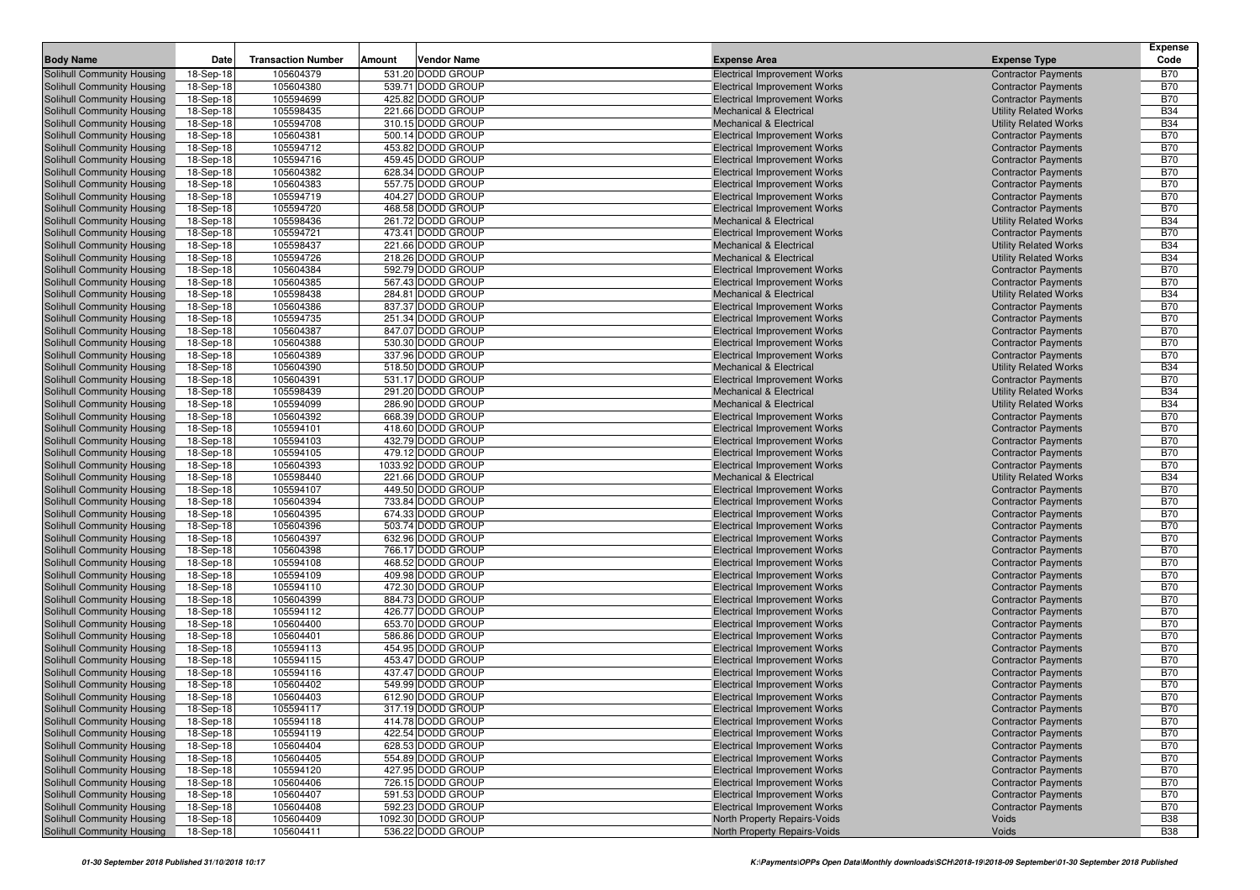|                                                          |                        |                           |        |                                        |                                                                            |                                                            | <b>Expense</b>           |
|----------------------------------------------------------|------------------------|---------------------------|--------|----------------------------------------|----------------------------------------------------------------------------|------------------------------------------------------------|--------------------------|
| <b>Body Name</b>                                         | Date                   | <b>Transaction Number</b> | Amount | Vendor Name                            | <b>Expense Area</b>                                                        | <b>Expense Type</b>                                        | Code                     |
| Solihull Community Housing                               | 18-Sep-18              | 105604379                 |        | 531.20 DODD GROUP                      | <b>Electrical Improvement Works</b>                                        | <b>Contractor Payments</b>                                 | <b>B70</b>               |
| Solihull Community Housing                               | 18-Sep-18              | 105604380                 |        | 539.71 DODD GROUP                      | <b>Electrical Improvement Works</b>                                        | <b>Contractor Payments</b>                                 | <b>B70</b>               |
| Solihull Community Housing                               | 18-Sep-18              | 105594699                 |        | 425.82 DODD GROUP                      | <b>Electrical Improvement Works</b>                                        | <b>Contractor Payments</b>                                 | <b>B70</b>               |
| Solihull Community Housing                               | 18-Sep-18              | 105598435                 |        | 221.66 DODD GROUP                      | <b>Mechanical &amp; Electrical</b>                                         | <b>Utility Related Works</b>                               | <b>B34</b>               |
| Solihull Community Housing                               | 18-Sep-18              | 105594708                 |        | 310.15 DODD GROUP                      | <b>Mechanical &amp; Electrical</b>                                         | <b>Utility Related Works</b>                               | <b>B34</b>               |
| Solihull Community Housing                               | 18-Sep-18              | 105604381                 |        | 500.14 DODD GROUP                      | <b>Electrical Improvement Works</b>                                        | <b>Contractor Payments</b>                                 | <b>B70</b>               |
| Solihull Community Housing                               | 18-Sep-18              | 105594712                 |        | 453.82 DODD GROUP                      | <b>Electrical Improvement Works</b>                                        | <b>Contractor Payments</b>                                 | <b>B70</b>               |
| Solihull Community Housing                               | 18-Sep-18              | 105594716                 |        | 459.45 DODD GROUP                      | <b>Electrical Improvement Works</b>                                        | <b>Contractor Payments</b>                                 | <b>B70</b>               |
| Solihull Community Housing                               | 18-Sep-18              | 105604382                 |        | 628.34 DODD GROUP                      | <b>Electrical Improvement Works</b>                                        | <b>Contractor Payments</b>                                 | <b>B70</b>               |
| Solihull Community Housing<br>Solihull Community Housing | 18-Sep-18              | 105604383                 |        | 557.75 DODD GROUP                      | <b>Electrical Improvement Works</b>                                        | <b>Contractor Payments</b>                                 | <b>B70</b>               |
| Solihull Community Housing                               | 18-Sep-18              | 105594719                 |        | 404.27 DODD GROUP<br>468.58 DODD GROUP | <b>Electrical Improvement Works</b>                                        | <b>Contractor Payments</b>                                 | <b>B70</b><br><b>B70</b> |
| Solihull Community Housing                               | 18-Sep-18<br>18-Sep-18 | 105594720<br>105598436    |        | 261.72 DODD GROUP                      | <b>Electrical Improvement Works</b><br><b>Mechanical &amp; Electrical</b>  | <b>Contractor Payments</b><br><b>Utility Related Works</b> | <b>B34</b>               |
| Solihull Community Housing                               | 18-Sep-18              | 105594721                 |        | 473.41 DODD GROUP                      | <b>Electrical Improvement Works</b>                                        | <b>Contractor Payments</b>                                 | <b>B70</b>               |
| Solihull Community Housing                               | 18-Sep-18              | 105598437                 |        | 221.66 DODD GROUP                      | <b>Mechanical &amp; Electrical</b>                                         | <b>Utility Related Works</b>                               | <b>B34</b>               |
| Solihull Community Housing                               | 18-Sep-18              | 105594726                 |        | 218.26 DODD GROUP                      | <b>Mechanical &amp; Electrical</b>                                         | <b>Utility Related Works</b>                               | <b>B34</b>               |
| Solihull Community Housing                               | 18-Sep-18              | 105604384                 |        | 592.79 DODD GROUP                      | <b>Electrical Improvement Works</b>                                        | <b>Contractor Payments</b>                                 | <b>B70</b>               |
| Solihull Community Housing                               | 18-Sep-18              | 105604385                 |        | 567.43 DODD GROUP                      | <b>Electrical Improvement Works</b>                                        | <b>Contractor Payments</b>                                 | <b>B70</b>               |
| Solihull Community Housing                               | 18-Sep-18              | 105598438                 |        | 284.81 DODD GROUP                      | <b>Mechanical &amp; Electrical</b>                                         | <b>Utility Related Works</b>                               | <b>B34</b>               |
| Solihull Community Housing                               | 18-Sep-18              | 105604386                 |        | 837.37 DODD GROUP                      | <b>Electrical Improvement Works</b>                                        | <b>Contractor Payments</b>                                 | <b>B70</b>               |
| Solihull Community Housing                               | 18-Sep-18              | 105594735                 |        | 251.34 DODD GROUP                      | <b>Electrical Improvement Works</b>                                        | <b>Contractor Payments</b>                                 | <b>B70</b>               |
| Solihull Community Housing                               | 18-Sep-18              | 105604387                 |        | 847.07 DODD GROUP                      | <b>Electrical Improvement Works</b>                                        | <b>Contractor Payments</b>                                 | <b>B70</b>               |
| Solihull Community Housing                               | 18-Sep-18              | 105604388                 |        | 530.30 DODD GROUP                      | <b>Electrical Improvement Works</b>                                        | <b>Contractor Payments</b>                                 | <b>B70</b>               |
| Solihull Community Housing                               | 18-Sep-18              | 105604389                 |        | 337.96 DODD GROUP                      | <b>Electrical Improvement Works</b>                                        | <b>Contractor Payments</b>                                 | <b>B70</b>               |
| <b>Solihull Community Housing</b>                        | 18-Sep-18              | 105604390                 |        | 518.50 DODD GROUP                      | <b>Mechanical &amp; Electrical</b>                                         | <b>Utility Related Works</b>                               | <b>B34</b>               |
| Solihull Community Housing                               | 18-Sep-18              | 105604391                 |        | 531.17 DODD GROUP                      | <b>Electrical Improvement Works</b>                                        | <b>Contractor Payments</b>                                 | <b>B70</b>               |
| Solihull Community Housing                               | 18-Sep-18              | 105598439                 |        | 291.20 DODD GROUP                      | <b>Mechanical &amp; Electrical</b>                                         | <b>Utility Related Works</b>                               | <b>B34</b>               |
| Solihull Community Housing                               | 18-Sep-18              | 105594099                 |        | 286.90 DODD GROUP                      | <b>Mechanical &amp; Electrical</b>                                         | <b>Utility Related Works</b>                               | <b>B34</b>               |
| Solihull Community Housing                               | 18-Sep-18              | 105604392                 |        | 668.39 DODD GROUP                      | <b>Electrical Improvement Works</b>                                        | <b>Contractor Payments</b>                                 | <b>B70</b>               |
| Solihull Community Housing                               | 18-Sep-18              | 105594101                 |        | 418.60 DODD GROUP                      | <b>Electrical Improvement Works</b>                                        | <b>Contractor Payments</b>                                 | <b>B70</b>               |
| Solihull Community Housing                               | 18-Sep-18              | 105594103                 |        | 432.79 DODD GROUP                      | <b>Electrical Improvement Works</b>                                        | <b>Contractor Payments</b>                                 | <b>B70</b>               |
| Solihull Community Housing                               | 18-Sep-18              | 105594105                 |        | 479.12 DODD GROUP                      | <b>Electrical Improvement Works</b>                                        | <b>Contractor Payments</b>                                 | <b>B70</b>               |
| Solihull Community Housing                               | 18-Sep-18              | 105604393                 |        | 1033.92 DODD GROUP                     | <b>Electrical Improvement Works</b>                                        | <b>Contractor Payments</b>                                 | <b>B70</b>               |
| Solihull Community Housing                               | 18-Sep-18              | 105598440                 |        | 221.66 DODD GROUP                      | <b>Mechanical &amp; Electrical</b>                                         | <b>Utility Related Works</b>                               | <b>B34</b>               |
| Solihull Community Housing                               | 18-Sep-18              | 105594107                 |        | 449.50 DODD GROUP                      | <b>Electrical Improvement Works</b>                                        | <b>Contractor Payments</b>                                 | <b>B70</b>               |
| Solihull Community Housing                               | 18-Sep-18              | 105604394<br>105604395    |        | 733.84 DODD GROUP<br>674.33 DODD GROUP | <b>Electrical Improvement Works</b>                                        | <b>Contractor Payments</b>                                 | <b>B70</b><br><b>B70</b> |
| Solihull Community Housing<br>Solihull Community Housing | 18-Sep-18<br>18-Sep-18 | 105604396                 |        | 503.74 DODD GROUP                      | <b>Electrical Improvement Works</b><br><b>Electrical Improvement Works</b> | <b>Contractor Payments</b><br><b>Contractor Payments</b>   | <b>B70</b>               |
| Solihull Community Housing                               | 18-Sep-18              | 105604397                 |        | 632.96 DODD GROUP                      | <b>Electrical Improvement Works</b>                                        | <b>Contractor Payments</b>                                 | <b>B70</b>               |
| Solihull Community Housing                               | 18-Sep-18              | 105604398                 |        | 766.17 DODD GROUP                      | <b>Electrical Improvement Works</b>                                        | <b>Contractor Payments</b>                                 | <b>B70</b>               |
| Solihull Community Housing                               | 18-Sep-18              | 105594108                 |        | 468.52 DODD GROUP                      | <b>Electrical Improvement Works</b>                                        | <b>Contractor Payments</b>                                 | <b>B70</b>               |
| Solihull Community Housing                               | 18-Sep-18              | 105594109                 |        | 409.98 DODD GROUP                      | <b>Electrical Improvement Works</b>                                        | <b>Contractor Payments</b>                                 | <b>B70</b>               |
| Solihull Community Housing                               | 18-Sep-18              | 105594110                 |        | 472.30 DODD GROUP                      | <b>Electrical Improvement Works</b>                                        | <b>Contractor Payments</b>                                 | <b>B70</b>               |
| Solihull Community Housing                               | 18-Sep-18              | 105604399                 |        | 884.73 DODD GROUP                      | <b>Electrical Improvement Works</b>                                        | <b>Contractor Payments</b>                                 | <b>B70</b>               |
| Solihull Community Housing                               | 18-Sep-18              | 105594112                 |        | 426.77 DODD GROUP                      | <b>Electrical Improvement Works</b>                                        | <b>Contractor Payments</b>                                 | <b>B70</b>               |
| Solihull Community Housing                               | 18-Sep-18              | 105604400                 |        | 653.70 DODD GROUP                      | <b>Electrical Improvement Works</b>                                        | <b>Contractor Payments</b>                                 | <b>B70</b>               |
| Solihull Community Housing                               | 18-Sep-18              | 105604401                 |        | 586.86 DODD GROUP                      | <b>Electrical Improvement Works</b>                                        | <b>Contractor Payments</b>                                 | <b>B70</b>               |
| Solihull Community Housing                               | 18-Sep-18              | 105594113                 |        | 454.95 DODD GROUP                      | <b>Electrical Improvement Works</b>                                        | <b>Contractor Payments</b>                                 | <b>B70</b>               |
| Solihull Community Housing                               | 18-Sep-18              | 105594115                 |        | 453.47 DODD GROUP                      | <b>Electrical Improvement Works</b>                                        | <b>Contractor Payments</b>                                 | <b>B70</b>               |
| <b>Solihull Community Housing</b>                        | 18-Sep-18              | 105594116                 |        | 437.47 DODD GROUP                      | <b>Electrical Improvement Works</b>                                        | <b>Contractor Payments</b>                                 | <b>B70</b>               |
| Solihull Community Housing                               | 18-Sep-18              | 105604402                 |        | 549.99 DODD GROUP                      | <b>Electrical Improvement Works</b>                                        | <b>Contractor Payments</b>                                 | <b>B70</b>               |
| Solihull Community Housing                               | 18-Sep-18              | 105604403                 |        | 612.90 DODD GROUP                      | <b>Electrical Improvement Works</b>                                        | <b>Contractor Payments</b>                                 | <b>B70</b>               |
| Solihull Community Housing                               | 18-Sep-18              | 105594117                 |        | 317.19 DODD GROUP                      | <b>Electrical Improvement Works</b>                                        | <b>Contractor Payments</b>                                 | <b>B70</b>               |
| Solihull Community Housing                               | 18-Sep-18              | 105594118                 |        | 414.78 DODD GROUP                      | <b>Electrical Improvement Works</b>                                        | <b>Contractor Payments</b>                                 | <b>B70</b>               |
| Solihull Community Housing                               | 18-Sep-18              | 105594119                 |        | 422.54 DODD GROUP                      | <b>Electrical Improvement Works</b>                                        | <b>Contractor Payments</b>                                 | <b>B70</b>               |
| Solihull Community Housing                               | 18-Sep-18              | 105604404                 |        | 628.53 DODD GROUP                      | <b>Electrical Improvement Works</b>                                        | <b>Contractor Payments</b>                                 | <b>B70</b>               |
| Solihull Community Housing                               | 18-Sep-18              | 105604405                 |        | 554.89 DODD GROUP                      | <b>Electrical Improvement Works</b>                                        | <b>Contractor Payments</b>                                 | <b>B70</b>               |
| Solihull Community Housing                               | 18-Sep-18              | 105594120                 |        | 427.95 DODD GROUP                      | <b>Electrical Improvement Works</b>                                        | <b>Contractor Payments</b>                                 | <b>B70</b>               |
| Solihull Community Housing<br>Solihull Community Housing | 18-Sep-18              | 105604406                 |        | 726.15 DODD GROUP                      | <b>Electrical Improvement Works</b>                                        | <b>Contractor Payments</b>                                 | <b>B70</b>               |
| Solihull Community Housing                               | 18-Sep-18              | 105604407<br>105604408    |        | 591.53 DODD GROUP<br>592.23 DODD GROUP | <b>Electrical Improvement Works</b><br><b>Electrical Improvement Works</b> | <b>Contractor Payments</b><br><b>Contractor Payments</b>   | <b>B70</b><br><b>B70</b> |
| Solihull Community Housing                               | 18-Sep-18<br>18-Sep-18 | 105604409                 |        | 1092.30 DODD GROUP                     | North Property Repairs-Voids                                               | Voids                                                      | <b>B38</b>               |
| Solihull Community Housing                               | 18-Sep-18              | 105604411                 |        | 536.22 DODD GROUP                      | North Property Repairs-Voids                                               | Voids                                                      | <b>B38</b>               |
|                                                          |                        |                           |        |                                        |                                                                            |                                                            |                          |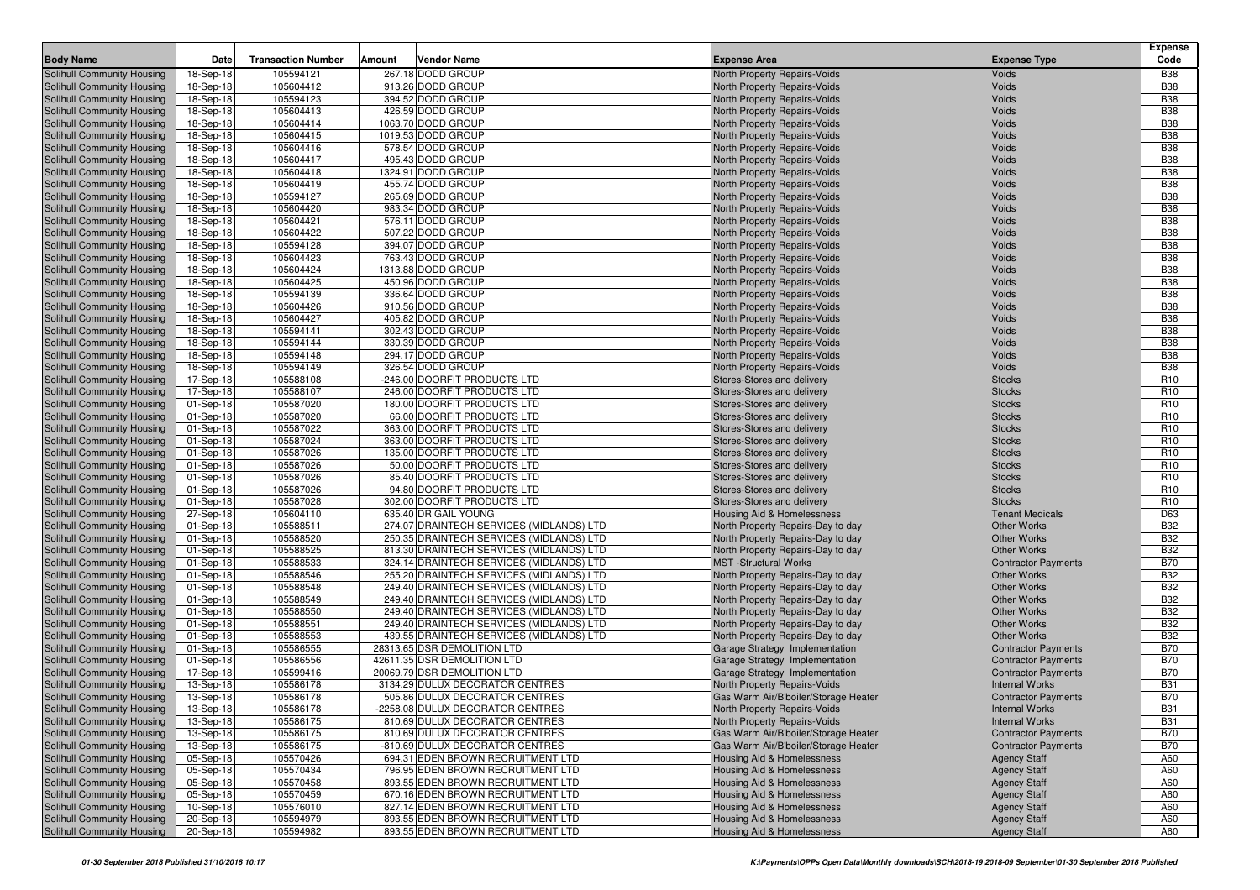|                            |           |                           |        |                                          |                                       |                            | <b>Expense</b>  |
|----------------------------|-----------|---------------------------|--------|------------------------------------------|---------------------------------------|----------------------------|-----------------|
| <b>Body Name</b>           | Date      | <b>Transaction Number</b> | Amount | <b>Vendor Name</b>                       | <b>Expense Area</b>                   | <b>Expense Type</b>        | Code            |
| Solihull Community Housing | 18-Sep-18 | 105594121                 |        | 267.18 DODD GROUP                        | North Property Repairs-Voids          | Voids                      | <b>B38</b>      |
| Solihull Community Housing | 18-Sep-18 | 105604412                 |        | 913.26 DODD GROUP                        | North Property Repairs-Voids          | Voids                      | <b>B38</b>      |
| Solihull Community Housing | 18-Sep-18 | 105594123                 |        | 394.52 DODD GROUP                        | North Property Repairs-Voids          | Voids                      | <b>B38</b>      |
| Solihull Community Housing | 18-Sep-18 | 105604413                 |        | 426.59 DODD GROUP                        | North Property Repairs-Voids          | Voids                      | <b>B38</b>      |
| Solihull Community Housing | 18-Sep-18 | 105604414                 |        | 1063.70 DODD GROUP                       | North Property Repairs-Voids          | Voids                      | <b>B38</b>      |
| Solihull Community Housing | 18-Sep-18 | 105604415                 |        | 1019.53 DODD GROUP                       | North Property Repairs-Voids          | Voids                      | <b>B38</b>      |
| Solihull Community Housing | 18-Sep-18 | 105604416                 |        | 578.54 DODD GROUP                        | North Property Repairs-Voids          | Voids                      | <b>B38</b>      |
| Solihull Community Housing | 18-Sep-18 | 105604417                 |        | 495.43 DODD GROUP                        | North Property Repairs-Voids          | Voids                      | <b>B38</b>      |
| Solihull Community Housing | 18-Sep-18 | 105604418                 |        | 1324.91 DODD GROUP                       | North Property Repairs-Voids          | Voids                      | <b>B38</b>      |
| Solihull Community Housing | 18-Sep-18 | 105604419                 |        | 455.74 DODD GROUP                        | North Property Repairs-Voids          | Voids                      | <b>B38</b>      |
| Solihull Community Housing | 18-Sep-18 | 105594127                 |        | 265.69 DODD GROUP                        | North Property Repairs-Voids          | Voids                      | <b>B38</b>      |
| Solihull Community Housing | 18-Sep-18 | 105604420                 |        | 983.34 DODD GROUP                        | North Property Repairs-Voids          | Voids                      | <b>B38</b>      |
| Solihull Community Housing | 18-Sep-18 | 105604421                 |        | 576.11 DODD GROUP                        | North Property Repairs-Voids          | Voids                      | <b>B38</b>      |
| Solihull Community Housing | 18-Sep-18 | 105604422                 |        | 507.22 DODD GROUP                        | North Property Repairs-Voids          | Voids                      | <b>B38</b>      |
| Solihull Community Housing | 18-Sep-18 | 105594128                 |        | 394.07 DODD GROUP                        | North Property Repairs-Voids          | Voids                      | <b>B38</b>      |
| Solihull Community Housing | 18-Sep-18 | 105604423                 |        | 763.43 DODD GROUP                        | North Property Repairs-Voids          | Voids                      | <b>B38</b>      |
| Solihull Community Housing | 18-Sep-18 | 105604424                 |        | 1313.88 DODD GROUP                       | North Property Repairs-Voids          | Voids                      | <b>B38</b>      |
| Solihull Community Housing | 18-Sep-18 | 105604425                 |        | 450.96 DODD GROUP                        | North Property Repairs-Voids          | Voids                      | <b>B38</b>      |
| Solihull Community Housing | 18-Sep-18 | 105594139                 |        | 336.64 DODD GROUP                        | North Property Repairs-Voids          | Voids                      | <b>B38</b>      |
| Solihull Community Housing | 18-Sep-18 | 105604426                 |        | 910.56 DODD GROUP                        | North Property Repairs-Voids          | Voids                      | <b>B38</b>      |
| Solihull Community Housing | 18-Sep-18 | 105604427                 |        | 405.82 DODD GROUP                        | North Property Repairs-Voids          | Voids                      | <b>B38</b>      |
| Solihull Community Housing | 18-Sep-18 | 105594141                 |        | 302.43 DODD GROUP                        | North Property Repairs-Voids          | Voids                      | <b>B38</b>      |
| Solihull Community Housing | 18-Sep-18 | 105594144                 |        | 330.39 DODD GROUP                        | North Property Repairs-Voids          | Voids                      | <b>B38</b>      |
| Solihull Community Housing | 18-Sep-18 | 105594148                 |        | 294.17 DODD GROUP                        | North Property Repairs-Voids          | Voids                      | <b>B38</b>      |
| Solihull Community Housing | 18-Sep-18 | 105594149                 |        | 326.54 DODD GROUP                        | North Property Repairs-Voids          | Voids                      | <b>B38</b>      |
| Solihull Community Housing | 17-Sep-18 | 105588108                 |        | -246.00 DOORFIT PRODUCTS LTD             | Stores-Stores and delivery            | <b>Stocks</b>              | R <sub>10</sub> |
| Solihull Community Housing | 17-Sep-18 | 105588107                 |        | 246.00 DOORFIT PRODUCTS LTD              | Stores-Stores and delivery            | <b>Stocks</b>              | R <sub>10</sub> |
| Solihull Community Housing | 01-Sep-18 | 105587020                 |        | 180.00 DOORFIT PRODUCTS LTD              | Stores-Stores and delivery            | <b>Stocks</b>              | R <sub>10</sub> |
| Solihull Community Housing | 01-Sep-18 | 105587020                 |        | 66.00 DOORFIT PRODUCTS LTD               | Stores-Stores and delivery            | <b>Stocks</b>              | R <sub>10</sub> |
| Solihull Community Housing | 01-Sep-18 | 105587022                 |        | 363.00 DOORFIT PRODUCTS LTD              | Stores-Stores and delivery            | <b>Stocks</b>              | R <sub>10</sub> |
| Solihull Community Housing | 01-Sep-18 | 105587024                 |        | 363.00 DOORFIT PRODUCTS LTD              | Stores-Stores and delivery            | <b>Stocks</b>              | R <sub>10</sub> |
| Solihull Community Housing | 01-Sep-18 | 105587026                 |        | 135.00 DOORFIT PRODUCTS LTD              | Stores-Stores and delivery            | <b>Stocks</b>              | R <sub>10</sub> |
| Solihull Community Housing | 01-Sep-18 | 105587026                 |        | 50.00 DOORFIT PRODUCTS LTD               | Stores-Stores and delivery            | <b>Stocks</b>              | R <sub>10</sub> |
| Solihull Community Housing | 01-Sep-18 | 105587026                 |        | 85.40 DOORFIT PRODUCTS LTD               | Stores-Stores and delivery            | <b>Stocks</b>              | R <sub>10</sub> |
| Solihull Community Housing | 01-Sep-18 | 105587026                 |        | 94.80 DOORFIT PRODUCTS LTD               | Stores-Stores and delivery            | <b>Stocks</b>              | R <sub>10</sub> |
| Solihull Community Housing | 01-Sep-18 | 105587028                 |        | 302.00 DOORFIT PRODUCTS LTD              | Stores-Stores and delivery            | <b>Stocks</b>              | R <sub>10</sub> |
| Solihull Community Housing | 27-Sep-18 | 105604110                 |        | 635.40 DR GAIL YOUNG                     | Housing Aid & Homelessness            | <b>Tenant Medicals</b>     | D63             |
| Solihull Community Housing | 01-Sep-18 | 105588511                 |        | 274.07 DRAINTECH SERVICES (MIDLANDS) LTD | North Property Repairs-Day to day     | <b>Other Works</b>         | <b>B32</b>      |
| Solihull Community Housing | 01-Sep-18 | 105588520                 |        | 250.35 DRAINTECH SERVICES (MIDLANDS) LTD | North Property Repairs-Day to day     | <b>Other Works</b>         | <b>B32</b>      |
| Solihull Community Housing | 01-Sep-18 | 105588525                 |        | 813.30 DRAINTECH SERVICES (MIDLANDS) LTD | North Property Repairs-Day to day     | <b>Other Works</b>         | <b>B32</b>      |
| Solihull Community Housing | 01-Sep-18 | 105588533                 |        | 324.14 DRAINTECH SERVICES (MIDLANDS) LTD | <b>MST</b> -Structural Works          | <b>Contractor Payments</b> | <b>B70</b>      |
| Solihull Community Housing | 01-Sep-18 | 105588546                 |        | 255.20 DRAINTECH SERVICES (MIDLANDS) LTD | North Property Repairs-Day to day     | <b>Other Works</b>         | <b>B32</b>      |
| Solihull Community Housing | 01-Sep-18 | 105588548                 |        | 249.40 DRAINTECH SERVICES (MIDLANDS) LTD | North Property Repairs-Day to day     | <b>Other Works</b>         | <b>B32</b>      |
| Solihull Community Housing | 01-Sep-18 | 105588549                 |        | 249.40 DRAINTECH SERVICES (MIDLANDS) LTD | North Property Repairs-Day to day     | <b>Other Works</b>         | <b>B32</b>      |
| Solihull Community Housing | 01-Sep-18 | 105588550                 |        | 249.40 DRAINTECH SERVICES (MIDLANDS) LTD | North Property Repairs-Day to day     | <b>Other Works</b>         | <b>B32</b>      |
| Solihull Community Housing | 01-Sep-18 | 105588551                 |        | 249.40 DRAINTECH SERVICES (MIDLANDS) LTD | North Property Repairs-Day to day     | <b>Other Works</b>         | <b>B32</b>      |
| Solihull Community Housing | 01-Sep-18 | 105588553                 |        | 439.55 DRAINTECH SERVICES (MIDLANDS) LTD | North Property Repairs-Day to day     | <b>Other Works</b>         | <b>B32</b>      |
| Solihull Community Housing | 01-Sep-18 | 105586555                 |        | 28313.65 DSR DEMOLITION LTD              | Garage Strategy Implementation        | <b>Contractor Payments</b> | <b>B70</b>      |
| Solihull Community Housing | 01-Sep-18 | 105586556                 |        | 42611.35 DSR DEMOLITION LTD              | Garage Strategy Implementation        | <b>Contractor Payments</b> | <b>B70</b>      |
| Solihull Community Housing | 17-Sep-18 | 105599416                 |        | 20069.79 DSR DEMOLITION LTD              | Garage Strategy Implementation        | <b>Contractor Payments</b> | <b>B70</b>      |
| Solihull Community Housing | 13-Sep-18 | 105586178                 |        | 3134.29 DULUX DECORATOR CENTRES          | North Property Repairs-Voids          | <b>Internal Works</b>      | <b>B31</b>      |
| Solihull Community Housing | 13-Sep-18 | 105586178                 |        | 505.86 DULUX DECORATOR CENTRES           | Gas Warm Air/B'boiler/Storage Heater  | <b>Contractor Payments</b> | <b>B70</b>      |
| Solihull Community Housing | 13-Sep-18 | 105586178                 |        | -2258.08 DULUX DECORATOR CENTRES         | North Property Repairs-Voids          | <b>Internal Works</b>      | <b>B31</b>      |
| Solihull Community Housing | 13-Sep-18 | 105586175                 |        | 810.69 DULUX DECORATOR CENTRES           | North Property Repairs-Voids          | <b>Internal Works</b>      | <b>B31</b>      |
| Solihull Community Housing | 13-Sep-18 | 105586175                 |        | 810.69 DULUX DECORATOR CENTRES           | Gas Warm Air/B'boiler/Storage Heater  | <b>Contractor Payments</b> | <b>B70</b>      |
| Solihull Community Housing | 13-Sep-18 | 105586175                 |        | -810.69 DULUX DECORATOR CENTRES          | Gas Warm Air/B'boiler/Storage Heater  | <b>Contractor Payments</b> | <b>B70</b>      |
| Solihull Community Housing | 05-Sep-18 | 105570426                 |        | 694.31 EDEN BROWN RECRUITMENT LTD        | Housing Aid & Homelessness            | <b>Agency Staff</b>        | A60             |
| Solihull Community Housing | 05-Sep-18 | 105570434                 |        | 796.95 EDEN BROWN RECRUITMENT LTD        | Housing Aid & Homelessness            | <b>Agency Staff</b>        | A60             |
| Solihull Community Housing | 05-Sep-18 | 105570458                 |        | 893.55 EDEN BROWN RECRUITMENT LTD        | <b>Housing Aid &amp; Homelessness</b> | <b>Agency Staff</b>        | A60             |
| Solihull Community Housing | 05-Sep-18 | 105570459                 |        | 670.16 EDEN BROWN RECRUITMENT LTD        | Housing Aid & Homelessness            | <b>Agency Staff</b>        | A60             |
| Solihull Community Housing | 10-Sep-18 | 105576010                 |        | 827.14 EDEN BROWN RECRUITMENT LTD        | Housing Aid & Homelessness            | <b>Agency Staff</b>        | A60             |
| Solihull Community Housing | 20-Sep-18 | 105594979                 |        | 893.55 EDEN BROWN RECRUITMENT LTD        | <b>Housing Aid &amp; Homelessness</b> | <b>Agency Staff</b>        | A60             |
| Solihull Community Housing | 20-Sep-18 | 105594982                 |        | 893.55 EDEN BROWN RECRUITMENT LTD        | <b>Housing Aid &amp; Homelessness</b> | <b>Agency Staff</b>        | A60             |
|                            |           |                           |        |                                          |                                       |                            |                 |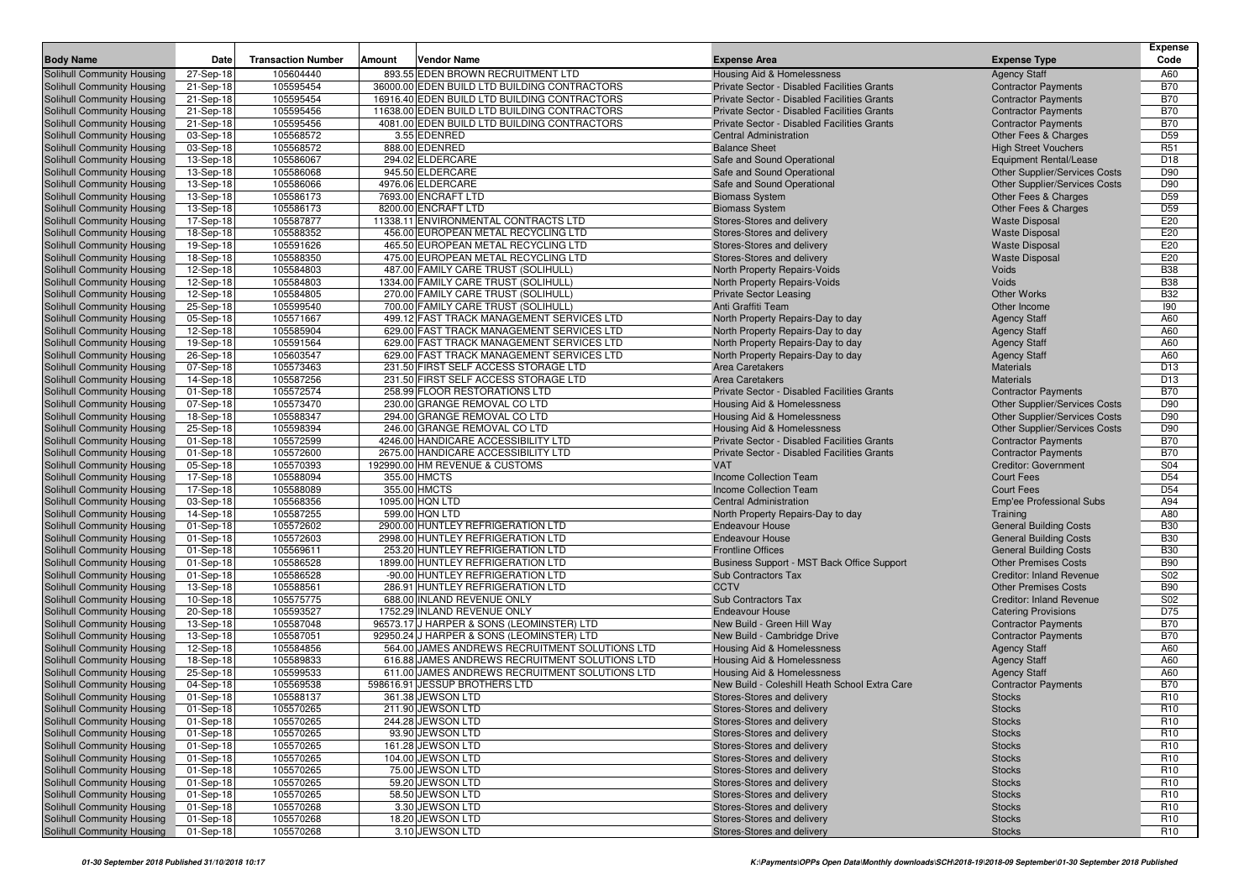|                                                          |                        |                           |        |                                                                      |                                                     |                                                                | <b>Expense</b>         |
|----------------------------------------------------------|------------------------|---------------------------|--------|----------------------------------------------------------------------|-----------------------------------------------------|----------------------------------------------------------------|------------------------|
| <b>Body Name</b>                                         | Date                   | <b>Transaction Number</b> | Amount | Vendor Name                                                          | <b>Expense Area</b>                                 | <b>Expense Type</b>                                            | Code                   |
| Solihull Community Housing                               | 27-Sep-18              | 105604440                 |        | 893.55 EDEN BROWN RECRUITMENT LTD                                    | <b>Housing Aid &amp; Homelessness</b>               | <b>Agency Staff</b>                                            | A60                    |
| Solihull Community Housing                               | 21-Sep-18              | 105595454                 |        | 36000.00 EDEN BUILD LTD BUILDING CONTRACTORS                         | Private Sector - Disabled Facilities Grants         | <b>Contractor Payments</b>                                     | <b>B70</b>             |
| Solihull Community Housing                               | 21-Sep-18              | 105595454                 |        | 16916.40 EDEN BUILD LTD BUILDING CONTRACTORS                         | Private Sector - Disabled Facilities Grants         | <b>Contractor Payments</b>                                     | <b>B70</b>             |
| Solihull Community Housing                               | 21-Sep-18              | 105595456                 |        | 11638.00 EDEN BUILD LTD BUILDING CONTRACTORS                         | Private Sector - Disabled Facilities Grants         | <b>Contractor Payments</b>                                     | <b>B70</b>             |
| Solihull Community Housing                               | 21-Sep-18              | 105595456                 |        | 4081.00 EDEN BUILD LTD BUILDING CONTRACTORS                          | Private Sector - Disabled Facilities Grants         | <b>Contractor Payments</b>                                     | <b>B70</b>             |
| Solihull Community Housing                               | 03-Sep-18              | 105568572                 |        | 3.55 EDENRED                                                         | <b>Central Administration</b>                       | Other Fees & Charges                                           | D <sub>59</sub>        |
| Solihull Community Housing                               | 03-Sep-18              | 105568572                 |        | 888.00 EDENRED                                                       | <b>Balance Sheet</b>                                | <b>High Street Vouchers</b>                                    | R <sub>51</sub>        |
| Solihull Community Housing                               | 13-Sep-18              | 105586067                 |        | 294.02 ELDERCARE                                                     | Safe and Sound Operational                          | <b>Equipment Rental/Lease</b>                                  | D <sub>18</sub>        |
| Solihull Community Housing                               | 13-Sep-18              | 105586068                 |        | 945.50 ELDERCARE                                                     | Safe and Sound Operational                          | Other Supplier/Services Costs                                  | D90                    |
| Solihull Community Housing                               | 13-Sep-18<br>13-Sep-18 | 105586066                 |        | 4976.06 ELDERCARE                                                    | Safe and Sound Operational<br><b>Biomass System</b> | Other Supplier/Services Costs                                  | D90<br>D <sub>59</sub> |
| Solihull Community Housing<br>Solihull Community Housing | 13-Sep-18              | 105586173<br>105586173    |        | 7693.00 ENCRAFT LTD<br>8200.00 ENCRAFT LTD                           | <b>Biomass System</b>                               | Other Fees & Charges<br>Other Fees & Charges                   | D <sub>59</sub>        |
| Solihull Community Housing                               | 17-Sep-18              | 105587877                 |        | 11338.11 ENVIRONMENTAL CONTRACTS LTD                                 | Stores-Stores and delivery                          | <b>Waste Disposal</b>                                          | E20                    |
| Solihull Community Housing                               | 18-Sep-18              | 105588352                 |        | 456.00 EUROPEAN METAL RECYCLING LTD                                  | Stores-Stores and delivery                          | <b>Waste Disposal</b>                                          | E20                    |
| Solihull Community Housing                               | 19-Sep-18              | 105591626                 |        | 465.50 EUROPEAN METAL RECYCLING LTD                                  | Stores-Stores and delivery                          | <b>Waste Disposal</b>                                          | E20                    |
| Solihull Community Housing                               | 18-Sep-18              | 105588350                 |        | 475.00 EUROPEAN METAL RECYCLING LTD                                  | Stores-Stores and delivery                          | <b>Waste Disposal</b>                                          | E20                    |
| Solihull Community Housing                               | 12-Sep-18              | 105584803                 |        | 487.00 FAMILY CARE TRUST (SOLIHULL)                                  | North Property Repairs-Voids                        | Voids                                                          | <b>B38</b>             |
| Solihull Community Housing                               | 12-Sep-18              | 105584803                 |        | 1334.00 FAMILY CARE TRUST (SOLIHULL)                                 | North Property Repairs-Voids                        | Voids                                                          | <b>B38</b>             |
| Solihull Community Housing                               | 12-Sep-18              | 105584805                 |        | 270.00 FAMILY CARE TRUST (SOLIHULL)                                  | <b>Private Sector Leasing</b>                       | <b>Other Works</b>                                             | <b>B32</b>             |
| Solihull Community Housing                               | 25-Sep-18              | 105599540                 |        | 700.00 FAMILY CARE TRUST (SOLIHULL)                                  | Anti Graffiti Team                                  | Other Income                                                   | 190                    |
| Solihull Community Housing                               | 05-Sep-18              | 105571667                 |        | 499.12 FAST TRACK MANAGEMENT SERVICES LTD                            | North Property Repairs-Day to day                   | <b>Agency Staff</b>                                            | A60                    |
| Solihull Community Housing                               | 12-Sep-18              | 105585904                 |        | 629.00 FAST TRACK MANAGEMENT SERVICES LTD                            | North Property Repairs-Day to day                   | <b>Agency Staff</b>                                            | A60                    |
| Solihull Community Housing                               | 19-Sep-18              | 105591564                 |        | 629.00 FAST TRACK MANAGEMENT SERVICES LTD                            | North Property Repairs-Day to day                   | <b>Agency Staff</b>                                            | A60                    |
| Solihull Community Housing                               | 26-Sep-18              | 105603547                 |        | 629.00 FAST TRACK MANAGEMENT SERVICES LTD                            | North Property Repairs-Day to day                   | <b>Agency Staff</b>                                            | A60                    |
| Solihull Community Housing                               | 07-Sep-18              | 105573463                 |        | 231.50 FIRST SELF ACCESS STORAGE LTD                                 | <b>Area Caretakers</b>                              | <b>Materials</b>                                               | D <sub>13</sub>        |
| Solihull Community Housing                               | 14-Sep-18              | 105587256                 |        | 231.50 FIRST SELF ACCESS STORAGE LTD                                 | <b>Area Caretakers</b>                              | <b>Materials</b>                                               | D <sub>13</sub>        |
| Solihull Community Housing                               | 01-Sep-18              | 105572574                 |        | 258.99 FLOOR RESTORATIONS LTD                                        | Private Sector - Disabled Facilities Grants         | <b>Contractor Payments</b>                                     | <b>B70</b>             |
| Solihull Community Housing                               | 07-Sep-18              | 105573470                 |        | 230.00 GRANGE REMOVAL CO LTD                                         | <b>Housing Aid &amp; Homelessness</b>               | <b>Other Supplier/Services Costs</b>                           | D90                    |
| Solihull Community Housing                               | 18-Sep-18              | 105588347                 |        | 294.00 GRANGE REMOVAL CO LTD                                         | Housing Aid & Homelessness                          | Other Supplier/Services Costs                                  | D90                    |
| Solihull Community Housing                               | 25-Sep-18              | 105598394                 |        | 246.00 GRANGE REMOVAL CO LTD                                         | Housing Aid & Homelessness                          | Other Supplier/Services Costs                                  | D90                    |
| Solihull Community Housing                               | 01-Sep-18              | 105572599                 |        | 4246.00 HANDICARE ACCESSIBILITY LTD                                  | Private Sector - Disabled Facilities Grants         | <b>Contractor Payments</b>                                     | <b>B70</b>             |
| Solihull Community Housing                               | 01-Sep-18              | 105572600                 |        | 2675.00 HANDICARE ACCESSIBILITY LTD                                  | Private Sector - Disabled Facilities Grants         | <b>Contractor Payments</b>                                     | <b>B70</b>             |
| Solihull Community Housing                               | 05-Sep-18              | 105570393                 |        | 192990.00 HM REVENUE & CUSTOMS                                       | <b>VAT</b>                                          | <b>Creditor: Government</b>                                    | S04                    |
| Solihull Community Housing                               | 17-Sep-18              | 105588094                 |        | 355.00 HMCTS                                                         | Income Collection Team                              | <b>Court Fees</b>                                              | D <sub>54</sub>        |
| Solihull Community Housing                               | 17-Sep-18              | 105588089                 |        | 355.00 HMCTS                                                         | <b>Income Collection Team</b>                       | <b>Court Fees</b>                                              | D <sub>54</sub>        |
| Solihull Community Housing                               | 03-Sep-18              | 105568356                 |        | 1095.00 HQN LTD                                                      | <b>Central Administration</b>                       | Emp'ee Professional Subs                                       | A94                    |
| Solihull Community Housing                               | 14-Sep-18              | 105587255                 |        | 599.00 HQN LTD                                                       | North Property Repairs-Day to day                   | Training                                                       | A80                    |
| Solihull Community Housing                               | 01-Sep-18              | 105572602                 |        | 2900.00 HUNTLEY REFRIGERATION LTD                                    | <b>Endeavour House</b>                              | <b>General Building Costs</b>                                  | <b>B30</b>             |
| Solihull Community Housing                               | 01-Sep-18              | 105572603                 |        | 2998.00 HUNTLEY REFRIGERATION LTD                                    | <b>Endeavour House</b>                              | <b>General Building Costs</b>                                  | <b>B30</b>             |
| Solihull Community Housing                               | 01-Sep-18              | 105569611                 |        | 253.20 HUNTLEY REFRIGERATION LTD                                     | <b>Frontline Offices</b>                            | <b>General Building Costs</b>                                  | <b>B30</b>             |
| Solihull Community Housing                               | 01-Sep-18              | 105586528                 |        | 1899.00 HUNTLEY REFRIGERATION LTD                                    | Business Support - MST Back Office Support          | <b>Other Premises Costs</b>                                    | <b>B90</b>             |
| Solihull Community Housing<br>Solihull Community Housing | 01-Sep-18<br>13-Sep-18 | 105586528<br>105588561    |        | -90.00 HUNTLEY REFRIGERATION LTD<br>286.91 HUNTLEY REFRIGERATION LTD | <b>Sub Contractors Tax</b><br><b>CCTV</b>           | <b>Creditor: Inland Revenue</b><br><b>Other Premises Costs</b> | S02<br><b>B90</b>      |
| Solihull Community Housing                               | 10-Sep-18              | 105575775                 |        | 688.00 INLAND REVENUE ONLY                                           | Sub Contractors Tax                                 | <b>Creditor: Inland Revenue</b>                                | S02                    |
| Solihull Community Housing                               | 20-Sep-18              | 105593527                 |        | 1752.29 INLAND REVENUE ONLY                                          | <b>Endeavour House</b>                              | <b>Catering Provisions</b>                                     | D75                    |
| Solihull Community Housing                               | 13-Sep-18              | 105587048                 |        | 96573.17 J HARPER & SONS (LEOMINSTER) LTD                            | New Build - Green Hill Way                          | <b>Contractor Payments</b>                                     | <b>B70</b>             |
| Solihull Community Housing                               | 13-Sep-18              | 105587051                 |        | 92950.24 J HARPER & SONS (LEOMINSTER) LTD                            | New Build - Cambridge Drive                         | <b>Contractor Payments</b>                                     | <b>B70</b>             |
| Solihull Community Housing                               | 12-Sep-18              | 105584856                 |        | 564.00 JAMES ANDREWS RECRUITMENT SOLUTIONS LTD                       | Housing Aid & Homelessness                          | <b>Agency Staff</b>                                            | A60                    |
| Solihull Community Housing                               | 18-Sep-18              | 105589833                 |        | 616.88 JAMES ANDREWS RECRUITMENT SOLUTIONS LTD                       | Housing Aid & Homelessness                          | <b>Agency Staff</b>                                            | A60                    |
| Solihull Community Housing                               | 25-Sep-18              | 105599533                 |        | 611.00 JAMES ANDREWS RECRUITMENT SOLUTIONS LTD                       | Housing Aid & Homelessness                          | <b>Agency Staff</b>                                            | A60                    |
| Solihull Community Housing                               | 04-Sep-18              | 105569538                 |        | 598616.91 JESSUP BROTHERS LTD                                        | New Build - Coleshill Heath School Extra Care       | <b>Contractor Payments</b>                                     | <b>B70</b>             |
| Solihull Community Housing                               | 01-Sep-18              | 105588137                 |        | 361.38 JEWSON LTD                                                    | Stores-Stores and delivery                          | <b>Stocks</b>                                                  | R <sub>10</sub>        |
| <b>Solihull Community Housing</b>                        | 01-Sep-18              | 105570265                 |        | 211.90 JEWSON LTD                                                    | Stores-Stores and delivery                          | <b>Stocks</b>                                                  | R <sub>10</sub>        |
| Solihull Community Housing                               | 01-Sep-18              | 105570265                 |        | 244.28 JEWSON LTD                                                    | Stores-Stores and delivery                          | <b>Stocks</b>                                                  | R <sub>10</sub>        |
| Solihull Community Housing                               | 01-Sep-18              | 105570265                 |        | 93.90 JEWSON LTD                                                     | Stores-Stores and delivery                          | <b>Stocks</b>                                                  | R <sub>10</sub>        |
| Solihull Community Housing                               | 01-Sep-18              | 105570265                 |        | 161.28 JEWSON LTD                                                    | Stores-Stores and delivery                          | <b>Stocks</b>                                                  | R <sub>10</sub>        |
| Solihull Community Housing                               | 01-Sep-18              | 105570265                 |        | 104.00 JEWSON LTD                                                    | Stores-Stores and delivery                          | <b>Stocks</b>                                                  | R <sub>10</sub>        |
| Solihull Community Housing                               | 01-Sep-18              | 105570265                 |        | 75.00 JEWSON LTD                                                     | Stores-Stores and delivery                          | <b>Stocks</b>                                                  | R <sub>10</sub>        |
| Solihull Community Housing                               | 01-Sep-18              | 105570265                 |        | 59.20 JEWSON LTD                                                     | Stores-Stores and delivery                          | <b>Stocks</b>                                                  | R <sub>10</sub>        |
| Solihull Community Housing                               | 01-Sep-18              | 105570265                 |        | 58.50 JEWSON LTD                                                     | Stores-Stores and delivery                          | <b>Stocks</b>                                                  | R <sub>10</sub>        |
| Solihull Community Housing                               | 01-Sep-18              | 105570268                 |        | 3.30 JEWSON LTD                                                      | Stores-Stores and delivery                          | <b>Stocks</b>                                                  | R <sub>10</sub>        |
| Solihull Community Housing                               | 01-Sep-18              | 105570268                 |        | 18.20 JEWSON LTD                                                     | Stores-Stores and delivery                          | <b>Stocks</b>                                                  | R <sub>10</sub>        |
| Solihull Community Housing                               | 01-Sep-18              | 105570268                 |        | 3.10 JEWSON LTD                                                      | Stores-Stores and delivery                          | <b>Stocks</b>                                                  | R <sub>10</sub>        |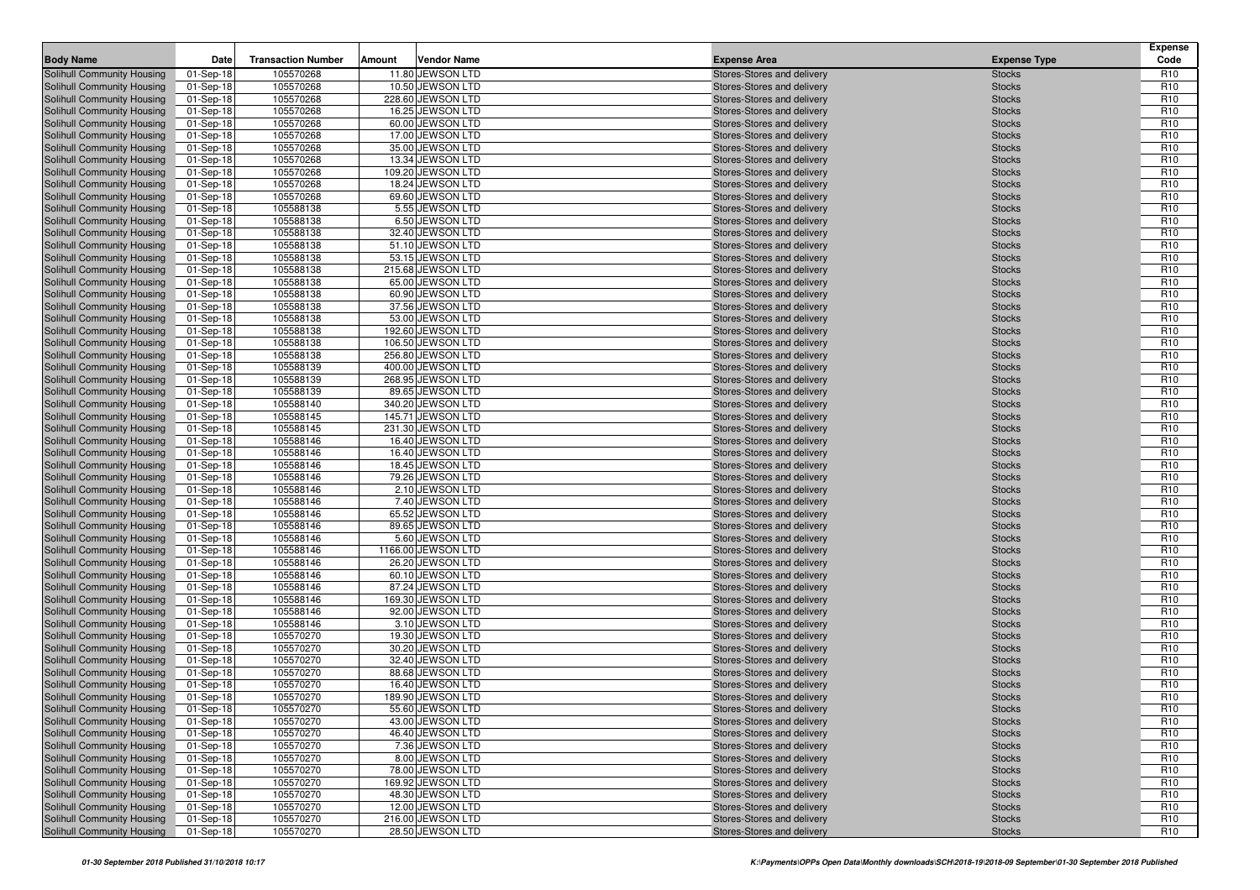| <b>Body Name</b>                                         | Date                   | <b>Transaction Number</b> | Amount | <b>Vendor Name</b>                    | <b>Expense Area</b>                                      | <b>Expense Type</b>            | <b>Expense</b><br>Code             |
|----------------------------------------------------------|------------------------|---------------------------|--------|---------------------------------------|----------------------------------------------------------|--------------------------------|------------------------------------|
| Solihull Community Housing                               | 01-Sep-18              | 105570268                 |        | 11.80 JEWSON LTD                      | Stores-Stores and delivery                               | <b>Stocks</b>                  | R <sub>10</sub>                    |
| Solihull Community Housing                               | 01-Sep-18              | 105570268                 |        | 10.50 JEWSON LTD                      | Stores-Stores and delivery                               | <b>Stocks</b>                  | R <sub>10</sub>                    |
| Solihull Community Housing                               | 01-Sep-18              | 105570268                 |        | 228.60 JEWSON LTD                     | Stores-Stores and delivery                               | <b>Stocks</b>                  | R <sub>10</sub>                    |
| Solihull Community Housing                               | 01-Sep-18              | 105570268                 |        | 16.25 JEWSON LTD                      | Stores-Stores and delivery                               | <b>Stocks</b>                  | R <sub>10</sub>                    |
| Solihull Community Housing                               | 01-Sep-18              | 105570268                 |        | 60.00 JEWSON LTD                      | Stores-Stores and delivery                               | <b>Stocks</b>                  | R <sub>10</sub>                    |
| Solihull Community Housing                               | 01-Sep-18              | 105570268                 |        | 17.00 JEWSON LTD                      | Stores-Stores and delivery                               | <b>Stocks</b>                  | R <sub>10</sub>                    |
| Solihull Community Housing                               | 01-Sep-18              | 105570268                 |        | 35.00 JEWSON LTD                      | Stores-Stores and delivery                               | <b>Stocks</b>                  | R <sub>10</sub>                    |
| Solihull Community Housing                               | 01-Sep-18              | 105570268                 |        | 13.34 JEWSON LTD                      | Stores-Stores and delivery                               | <b>Stocks</b>                  | R <sub>10</sub>                    |
| Solihull Community Housing                               | 01-Sep-18              | 105570268                 |        | 109.20 JEWSON LTD                     | Stores-Stores and delivery                               | <b>Stocks</b>                  | R <sub>10</sub>                    |
| Solihull Community Housing                               | 01-Sep-18              | 105570268                 |        | 18.24 JEWSON LTD                      | Stores-Stores and delivery                               | <b>Stocks</b>                  | R <sub>10</sub>                    |
| Solihull Community Housing                               | 01-Sep-18              | 105570268                 |        | 69.60 JEWSON LTD                      | Stores-Stores and delivery                               | <b>Stocks</b>                  | R <sub>10</sub>                    |
| Solihull Community Housing                               | 01-Sep-18              | 105588138                 |        | 5.55 JEWSON LTD                       | Stores-Stores and delivery                               | <b>Stocks</b>                  | R <sub>10</sub>                    |
| Solihull Community Housing                               | 01-Sep-18              | 105588138                 |        | 6.50 JEWSON LTD                       | Stores-Stores and delivery                               | <b>Stocks</b>                  | R <sub>10</sub>                    |
| Solihull Community Housing                               | 01-Sep-18              | 105588138                 |        | 32.40 JEWSON LTD                      | Stores-Stores and delivery                               | <b>Stocks</b>                  | R <sub>10</sub>                    |
| Solihull Community Housing                               | 01-Sep-18              | 105588138                 |        | 51.10 JEWSON LTD                      | Stores-Stores and delivery                               | <b>Stocks</b>                  | R <sub>10</sub>                    |
| Solihull Community Housing                               | 01-Sep-18              | 105588138                 |        | 53.15 JEWSON LTD                      | Stores-Stores and delivery                               | <b>Stocks</b>                  | R <sub>10</sub>                    |
| Solihull Community Housing                               | 01-Sep-18              | 105588138<br>105588138    |        | 215.68 JEWSON LTD<br>65.00 JEWSON LTD | Stores-Stores and delivery                               | <b>Stocks</b>                  | R <sub>10</sub><br>R <sub>10</sub> |
| Solihull Community Housing<br>Solihull Community Housing | 01-Sep-18              | 105588138                 |        | 60.90 JEWSON LTD                      | Stores-Stores and delivery<br>Stores-Stores and delivery | <b>Stocks</b><br><b>Stocks</b> | R <sub>10</sub>                    |
| Solihull Community Housing                               | 01-Sep-18<br>01-Sep-18 | 105588138                 |        | 37.56 JEWSON LTD                      | Stores-Stores and delivery                               | <b>Stocks</b>                  | R <sub>10</sub>                    |
| Solihull Community Housing                               | 01-Sep-18              | 105588138                 |        | 53.00 JEWSON LTD                      | Stores-Stores and delivery                               | <b>Stocks</b>                  | R <sub>10</sub>                    |
| Solihull Community Housing                               | 01-Sep-18              | 105588138                 |        | 192.60 JEWSON LTD                     | Stores-Stores and delivery                               | <b>Stocks</b>                  | R <sub>10</sub>                    |
| Solihull Community Housing                               | 01-Sep-18              | 105588138                 |        | 106.50 JEWSON LTD                     | Stores-Stores and delivery                               | <b>Stocks</b>                  | R <sub>10</sub>                    |
| Solihull Community Housing                               | 01-Sep-18              | 105588138                 |        | 256.80 JEWSON LTD                     | Stores-Stores and delivery                               | <b>Stocks</b>                  | R <sub>10</sub>                    |
| Solihull Community Housing                               | 01-Sep-18              | 105588139                 |        | 400.00 JEWSON LTD                     | Stores-Stores and delivery                               | <b>Stocks</b>                  | R <sub>10</sub>                    |
| Solihull Community Housing                               | 01-Sep-18              | 105588139                 |        | 268.95 JEWSON LTD                     | Stores-Stores and delivery                               | <b>Stocks</b>                  | R <sub>10</sub>                    |
| Solihull Community Housing                               | 01-Sep-18              | 105588139                 |        | 89.65 JEWSON LTD                      | Stores-Stores and delivery                               | <b>Stocks</b>                  | R <sub>10</sub>                    |
| Solihull Community Housing                               | 01-Sep-18              | 105588140                 |        | 340.20 JEWSON LTD                     | Stores-Stores and delivery                               | <b>Stocks</b>                  | R <sub>10</sub>                    |
| Solihull Community Housing                               | 01-Sep-18              | 105588145                 |        | 145.71 JEWSON LTD                     | Stores-Stores and delivery                               | <b>Stocks</b>                  | R <sub>10</sub>                    |
| Solihull Community Housing                               | 01-Sep-18              | 105588145                 |        | 231.30 JEWSON LTD                     | Stores-Stores and delivery                               | <b>Stocks</b>                  | R <sub>10</sub>                    |
| Solihull Community Housing                               | 01-Sep-18              | 105588146                 |        | 16.40 JEWSON LTD                      | Stores-Stores and delivery                               | <b>Stocks</b>                  | R <sub>10</sub>                    |
| Solihull Community Housing                               | 01-Sep-18              | 105588146                 |        | 16.40 JEWSON LTD                      | Stores-Stores and delivery                               | <b>Stocks</b>                  | R <sub>10</sub>                    |
| Solihull Community Housing                               | 01-Sep-18              | 105588146                 |        | 18.45 JEWSON LTD                      | Stores-Stores and delivery                               | <b>Stocks</b>                  | R <sub>10</sub>                    |
| Solihull Community Housing                               | 01-Sep-18              | 105588146                 |        | 79.26 JEWSON LTD                      | Stores-Stores and delivery                               | <b>Stocks</b>                  | R <sub>10</sub>                    |
| Solihull Community Housing                               | 01-Sep-18              | 105588146                 |        | 2.10 JEWSON LTD                       | Stores-Stores and delivery                               | <b>Stocks</b>                  | R <sub>10</sub>                    |
| Solihull Community Housing                               | 01-Sep-18              | 105588146                 |        | 7.40 JEWSON LTD                       | Stores-Stores and delivery                               | <b>Stocks</b>                  | R <sub>10</sub>                    |
| Solihull Community Housing                               | 01-Sep-18              | 105588146                 |        | 65.52 JEWSON LTD                      | Stores-Stores and delivery                               | <b>Stocks</b>                  | R <sub>10</sub>                    |
| Solihull Community Housing                               | 01-Sep-18              | 105588146                 |        | 89.65 JEWSON LTD                      | Stores-Stores and delivery                               | <b>Stocks</b>                  | R <sub>10</sub>                    |
| Solihull Community Housing                               | 01-Sep-18              | 105588146                 |        | 5.60 JEWSON LTD                       | Stores-Stores and delivery                               | <b>Stocks</b>                  | R <sub>10</sub>                    |
| Solihull Community Housing                               | 01-Sep-18              | 105588146                 |        | 1166.00 JEWSON LTD                    | Stores-Stores and delivery                               | <b>Stocks</b>                  | R <sub>10</sub>                    |
| Solihull Community Housing                               | 01-Sep-18              | 105588146                 |        | 26.20 JEWSON LTD                      | Stores-Stores and delivery                               | <b>Stocks</b>                  | R <sub>10</sub>                    |
| Solihull Community Housing                               | 01-Sep-18              | 105588146                 |        | 60.10 JEWSON LTD                      | Stores-Stores and delivery                               | <b>Stocks</b>                  | R <sub>10</sub>                    |
| Solihull Community Housing                               | 01-Sep-18              | 105588146<br>105588146    |        | 87.24 JEWSON LTD<br>169.30 JEWSON LTD | Stores-Stores and delivery                               | <b>Stocks</b>                  | R <sub>10</sub><br>R <sub>10</sub> |
| Solihull Community Housing                               | 01-Sep-18              | 105588146                 |        | 92.00 JEWSON LTD                      | Stores-Stores and delivery                               | <b>Stocks</b>                  | R <sub>10</sub>                    |
| Solihull Community Housing<br>Solihull Community Housing | 01-Sep-18<br>01-Sep-18 | 105588146                 |        | 3.10 JEWSON LTD                       | Stores-Stores and delivery<br>Stores-Stores and delivery | <b>Stocks</b><br><b>Stocks</b> | R <sub>10</sub>                    |
| Solihull Community Housing                               | 01-Sep-18              | 105570270                 |        | 19.30 JEWSON LTD                      | Stores-Stores and delivery                               | <b>Stocks</b>                  | R <sub>10</sub>                    |
| Solihull Community Housing                               | 01-Sep-18              | 105570270                 |        | 30.20 JEWSON LTD                      | Stores-Stores and delivery                               | <b>Stocks</b>                  | R <sub>10</sub>                    |
| Solihull Community Housing                               | 01-Sep-18              | 105570270                 |        | 32.40 JEWSON LTD                      | Stores-Stores and delivery                               | <b>Stocks</b>                  | R <sub>10</sub>                    |
| Solihull Community Housing                               | 01-Sep-18              | 105570270                 |        | 88.68 JEWSON LTD                      | Stores-Stores and delivery                               | <b>Stocks</b>                  | R <sub>10</sub>                    |
| Solihull Community Housing                               | 01-Sep-18              | 105570270                 |        | 16.40 JEWSON LTD                      | Stores-Stores and delivery                               | <b>Stocks</b>                  | R <sub>10</sub>                    |
| <b>Solihull Community Housing</b>                        | 01-Sep-18              | 105570270                 |        | 189.90 JEWSON LTD                     | Stores-Stores and delivery                               | <b>Stocks</b>                  | R <sub>10</sub>                    |
| Solihull Community Housing                               | 01-Sep-18              | 105570270                 |        | 55.60 JEWSON LTD                      | Stores-Stores and delivery                               | <b>Stocks</b>                  | R <sub>10</sub>                    |
| Solihull Community Housing                               | 01-Sep-18              | 105570270                 |        | 43.00 JEWSON LTD                      | Stores-Stores and delivery                               | <b>Stocks</b>                  | R <sub>10</sub>                    |
| Solihull Community Housing                               | 01-Sep-18              | 105570270                 |        | 46.40 JEWSON LTD                      | Stores-Stores and delivery                               | <b>Stocks</b>                  | R <sub>10</sub>                    |
| Solihull Community Housing                               | 01-Sep-18              | 105570270                 |        | 7.36 JEWSON LTD                       | Stores-Stores and delivery                               | <b>Stocks</b>                  | R <sub>10</sub>                    |
| Solihull Community Housing                               | 01-Sep-18              | 105570270                 |        | 8.00 JEWSON LTD                       | Stores-Stores and delivery                               | <b>Stocks</b>                  | R <sub>10</sub>                    |
| Solihull Community Housing                               | 01-Sep-18              | 105570270                 |        | 78.00 JEWSON LTD                      | Stores-Stores and delivery                               | <b>Stocks</b>                  | R <sub>10</sub>                    |
| Solihull Community Housing                               | 01-Sep-18              | 105570270                 |        | 169.92 JEWSON LTD                     | Stores-Stores and delivery                               | <b>Stocks</b>                  | R <sub>10</sub>                    |
| Solihull Community Housing                               | 01-Sep-18              | 105570270                 |        | 48.30 JEWSON LTD                      | Stores-Stores and delivery                               | <b>Stocks</b>                  | R <sub>10</sub>                    |
| Solihull Community Housing                               | 01-Sep-18              | 105570270                 |        | 12.00 JEWSON LTD                      | Stores-Stores and delivery                               | <b>Stocks</b>                  | R <sub>10</sub>                    |
| Solihull Community Housing                               | 01-Sep-18              | 105570270                 |        | 216.00 JEWSON LTD                     | Stores-Stores and delivery                               | <b>Stocks</b>                  | R <sub>10</sub>                    |
| Solihull Community Housing                               | 01-Sep-18              | 105570270                 |        | 28.50 JEWSON LTD                      | Stores-Stores and delivery                               | <b>Stocks</b>                  | R <sub>10</sub>                    |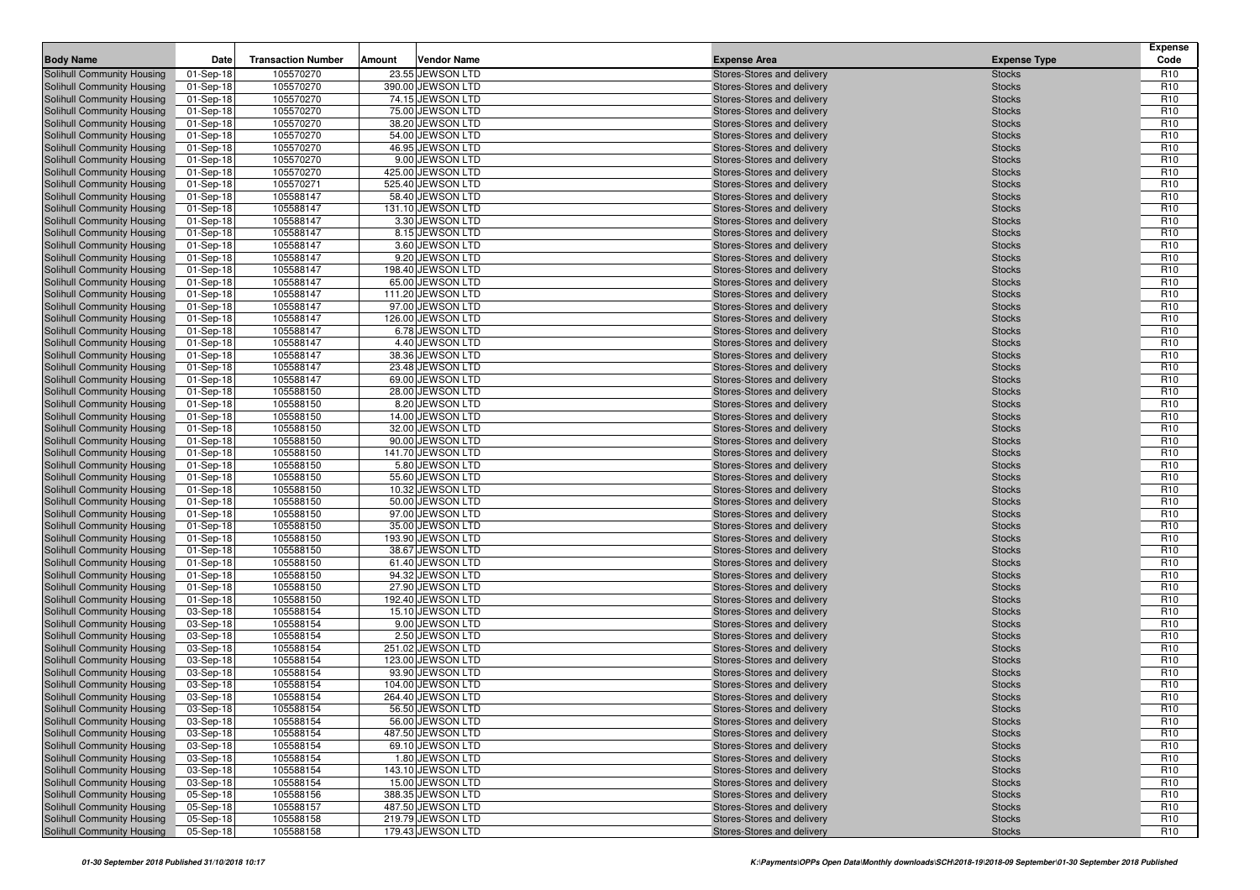|                                                          |                        | <b>Transaction Number</b> |        | <b>Vendor Name</b>                    |                                                          |                                | <b>Expense</b><br>Code             |
|----------------------------------------------------------|------------------------|---------------------------|--------|---------------------------------------|----------------------------------------------------------|--------------------------------|------------------------------------|
| <b>Body Name</b>                                         | Date                   |                           | Amount |                                       | <b>Expense Area</b>                                      | <b>Expense Type</b>            |                                    |
| Solihull Community Housing                               | 01-Sep-18              | 105570270                 |        | 23.55 JEWSON LTD<br>390.00 JEWSON LTD | Stores-Stores and delivery                               | <b>Stocks</b>                  | R <sub>10</sub>                    |
| Solihull Community Housing<br>Solihull Community Housing | 01-Sep-18<br>01-Sep-18 | 105570270<br>105570270    |        | 74.15 JEWSON LTD                      | Stores-Stores and delivery<br>Stores-Stores and delivery | <b>Stocks</b><br><b>Stocks</b> | R <sub>10</sub><br>R <sub>10</sub> |
| Solihull Community Housing                               | 01-Sep-18              | 105570270                 |        | 75.00 JEWSON LTD                      | Stores-Stores and delivery                               | <b>Stocks</b>                  | R <sub>10</sub>                    |
| Solihull Community Housing                               | 01-Sep-18              | 105570270                 |        | 38.20 JEWSON LTD                      | Stores-Stores and delivery                               | <b>Stocks</b>                  | R <sub>10</sub>                    |
| Solihull Community Housing                               | 01-Sep-18              | 105570270                 |        | 54.00 JEWSON LTD                      | Stores-Stores and delivery                               | <b>Stocks</b>                  | R <sub>10</sub>                    |
| Solihull Community Housing                               | 01-Sep-18              | 105570270                 |        | 46.95 JEWSON LTD                      | Stores-Stores and delivery                               | <b>Stocks</b>                  | R <sub>10</sub>                    |
| Solihull Community Housing                               | 01-Sep-18              | 105570270                 |        | 9.00 JEWSON LTD                       | Stores-Stores and delivery                               | <b>Stocks</b>                  | R <sub>10</sub>                    |
| Solihull Community Housing                               | 01-Sep-18              | 105570270                 |        | 425.00 JEWSON LTD                     | Stores-Stores and delivery                               | <b>Stocks</b>                  | R <sub>10</sub>                    |
| Solihull Community Housing                               | 01-Sep-18              | 105570271                 |        | 525.40 JEWSON LTD                     | Stores-Stores and delivery                               | <b>Stocks</b>                  | R <sub>10</sub>                    |
| Solihull Community Housing                               | 01-Sep-18              | 105588147                 |        | 58.40 JEWSON LTD                      | Stores-Stores and delivery                               | <b>Stocks</b>                  | R <sub>10</sub>                    |
| Solihull Community Housing                               | 01-Sep-18              | 105588147                 |        | 131.10 JEWSON LTD                     | Stores-Stores and delivery                               | <b>Stocks</b>                  | R <sub>10</sub>                    |
| Solihull Community Housing                               | 01-Sep-18              | 105588147                 |        | 3.30 JEWSON LTD                       | Stores-Stores and delivery                               | <b>Stocks</b>                  | R <sub>10</sub>                    |
| Solihull Community Housing                               | 01-Sep-18              | 105588147                 |        | 8.15 JEWSON LTD                       | Stores-Stores and delivery                               | <b>Stocks</b>                  | R <sub>10</sub>                    |
| Solihull Community Housing                               | 01-Sep-18              | 105588147                 |        | 3.60 JEWSON LTD                       | Stores-Stores and delivery                               | <b>Stocks</b>                  | R <sub>10</sub>                    |
| Solihull Community Housing                               | 01-Sep-18              | 105588147                 |        | 9.20 JEWSON LTD                       | Stores-Stores and delivery                               | <b>Stocks</b>                  | R <sub>10</sub>                    |
| Solihull Community Housing                               | 01-Sep-18              | 105588147                 |        | 198.40 JEWSON LTD                     | Stores-Stores and delivery                               | <b>Stocks</b>                  | R <sub>10</sub>                    |
| Solihull Community Housing                               | 01-Sep-18              | 105588147                 |        | 65.00 JEWSON LTD                      | Stores-Stores and delivery                               | <b>Stocks</b>                  | R <sub>10</sub>                    |
| Solihull Community Housing                               | 01-Sep-18              | 105588147                 |        | 111.20 JEWSON LTD                     | Stores-Stores and delivery                               | <b>Stocks</b>                  | R <sub>10</sub>                    |
| Solihull Community Housing<br>Solihull Community Housing | 01-Sep-18              | 105588147<br>105588147    |        | 97.00 JEWSON LTD<br>126.00 JEWSON LTD | Stores-Stores and delivery<br>Stores-Stores and delivery | <b>Stocks</b><br><b>Stocks</b> | R <sub>10</sub><br>R <sub>10</sub> |
| Solihull Community Housing                               | 01-Sep-18<br>01-Sep-18 | 105588147                 |        | 6.78 JEWSON LTD                       | Stores-Stores and delivery                               | <b>Stocks</b>                  | R <sub>10</sub>                    |
| Solihull Community Housing                               | 01-Sep-18              | 105588147                 |        | 4.40 JEWSON LTD                       | Stores-Stores and delivery                               | <b>Stocks</b>                  | R <sub>10</sub>                    |
| Solihull Community Housing                               | 01-Sep-18              | 105588147                 |        | 38.36 JEWSON LTD                      | Stores-Stores and delivery                               | <b>Stocks</b>                  | R <sub>10</sub>                    |
| Solihull Community Housing                               | 01-Sep-18              | 105588147                 |        | 23.48 JEWSON LTD                      | Stores-Stores and delivery                               | <b>Stocks</b>                  | R <sub>10</sub>                    |
| Solihull Community Housing                               | 01-Sep-18              | 105588147                 |        | 69.00 JEWSON LTD                      | Stores-Stores and delivery                               | <b>Stocks</b>                  | R <sub>10</sub>                    |
| Solihull Community Housing                               | 01-Sep-18              | 105588150                 |        | 28.00 JEWSON LTD                      | Stores-Stores and delivery                               | <b>Stocks</b>                  | R <sub>10</sub>                    |
| Solihull Community Housing                               | 01-Sep-18              | 105588150                 |        | 8.20 JEWSON LTD                       | Stores-Stores and delivery                               | <b>Stocks</b>                  | R <sub>10</sub>                    |
| Solihull Community Housing                               | 01-Sep-18              | 105588150                 |        | 14.00 JEWSON LTD                      | Stores-Stores and delivery                               | <b>Stocks</b>                  | R <sub>10</sub>                    |
| Solihull Community Housing                               | 01-Sep-18              | 105588150                 |        | 32.00 JEWSON LTD                      | Stores-Stores and delivery                               | <b>Stocks</b>                  | R <sub>10</sub>                    |
| Solihull Community Housing                               | 01-Sep-18              | 105588150                 |        | 90.00 JEWSON LTD                      | Stores-Stores and delivery                               | <b>Stocks</b>                  | R <sub>10</sub>                    |
| Solihull Community Housing                               | 01-Sep-18              | 105588150                 |        | 141.70 JEWSON LTD                     | Stores-Stores and delivery                               | <b>Stocks</b>                  | R <sub>10</sub>                    |
| Solihull Community Housing                               | 01-Sep-18              | 105588150                 |        | 5.80 JEWSON LTD                       | Stores-Stores and delivery                               | <b>Stocks</b>                  | R <sub>10</sub>                    |
| Solihull Community Housing                               | 01-Sep-18              | 105588150                 |        | 55.60 JEWSON LTD                      | Stores-Stores and delivery                               | <b>Stocks</b>                  | R <sub>10</sub>                    |
| Solihull Community Housing                               | 01-Sep-18              | 105588150                 |        | 10.32 JEWSON LTD                      | Stores-Stores and delivery                               | <b>Stocks</b>                  | R <sub>10</sub>                    |
| Solihull Community Housing                               | 01-Sep-18              | 105588150<br>105588150    |        | 50.00 JEWSON LTD<br>97.00 JEWSON LTD  | Stores-Stores and delivery                               | <b>Stocks</b>                  | R <sub>10</sub><br>R <sub>10</sub> |
| Solihull Community Housing<br>Solihull Community Housing | 01-Sep-18<br>01-Sep-18 | 105588150                 |        | 35.00 JEWSON LTD                      | Stores-Stores and delivery<br>Stores-Stores and delivery | <b>Stocks</b><br><b>Stocks</b> | R <sub>10</sub>                    |
| Solihull Community Housing                               | 01-Sep-18              | 105588150                 |        | 193.90 JEWSON LTD                     | Stores-Stores and delivery                               | <b>Stocks</b>                  | R <sub>10</sub>                    |
| Solihull Community Housing                               | 01-Sep-18              | 105588150                 |        | 38.67 JEWSON LTD                      | Stores-Stores and delivery                               | <b>Stocks</b>                  | R <sub>10</sub>                    |
| Solihull Community Housing                               | 01-Sep-18              | 105588150                 |        | 61.40 JEWSON LTD                      | Stores-Stores and delivery                               | <b>Stocks</b>                  | R <sub>10</sub>                    |
| Solihull Community Housing                               | 01-Sep-18              | 105588150                 |        | 94.32 JEWSON LTD                      | Stores-Stores and delivery                               | <b>Stocks</b>                  | R <sub>10</sub>                    |
| Solihull Community Housing                               | 01-Sep-18              | 105588150                 |        | 27.90 JEWSON LTD                      | Stores-Stores and delivery                               | <b>Stocks</b>                  | R <sub>10</sub>                    |
| Solihull Community Housing                               | 01-Sep-18              | 105588150                 |        | 192.40 JEWSON LTD                     | Stores-Stores and delivery                               | <b>Stocks</b>                  | R <sub>10</sub>                    |
| Solihull Community Housing                               | 03-Sep-18              | 105588154                 |        | 15.10 JEWSON LTD                      | Stores-Stores and delivery                               | <b>Stocks</b>                  | R <sub>10</sub>                    |
| Solihull Community Housing                               | 03-Sep-18              | 105588154                 |        | 9.00 JEWSON LTD                       | Stores-Stores and delivery                               | <b>Stocks</b>                  | R <sub>10</sub>                    |
| Solihull Community Housing                               | 03-Sep-18              | 105588154                 |        | 2.50 JEWSON LTD                       | Stores-Stores and delivery                               | <b>Stocks</b>                  | R <sub>10</sub>                    |
| Solihull Community Housing                               | 03-Sep-18              | 105588154                 |        | 251.02 JEWSON LTD                     | Stores-Stores and delivery                               | <b>Stocks</b>                  | R <sub>10</sub>                    |
| Solihull Community Housing                               | 03-Sep-18              | 105588154                 |        | 123.00 JEWSON LTD                     | Stores-Stores and delivery                               | <b>Stocks</b>                  | R <sub>10</sub>                    |
| Solihull Community Housing                               | 03-Sep-18              | 105588154                 |        | 93.90 JEWSON LTD                      | Stores-Stores and delivery                               | <b>Stocks</b>                  | R <sub>10</sub>                    |
| Solihull Community Housing                               | 03-Sep-18              | 105588154                 |        | 104.00 JEWSON LTD                     | Stores-Stores and delivery                               | <b>Stocks</b>                  | R <sub>10</sub>                    |
| Solihull Community Housing<br>Solihull Community Housing | 03-Sep-18<br>03-Sep-18 | 105588154<br>105588154    |        | 264.40 JEWSON LTD<br>56.50 JEWSON LTD | Stores-Stores and delivery<br>Stores-Stores and delivery | <b>Stocks</b>                  | R <sub>10</sub><br>R <sub>10</sub> |
| Solihull Community Housing                               | 03-Sep-18              | 105588154                 |        | 56.00 JEWSON LTD                      |                                                          | <b>Stocks</b><br><b>Stocks</b> | R <sub>10</sub>                    |
| Solihull Community Housing                               | 03-Sep-18              | 105588154                 |        | 487.50 JEWSON LTD                     | Stores-Stores and delivery<br>Stores-Stores and delivery | <b>Stocks</b>                  | R <sub>10</sub>                    |
| Solihull Community Housing                               | 03-Sep-18              | 105588154                 |        | 69.10 JEWSON LTD                      | Stores-Stores and delivery                               | <b>Stocks</b>                  | R <sub>10</sub>                    |
| Solihull Community Housing                               | 03-Sep-18              | 105588154                 |        | 1.80 JEWSON LTD                       | Stores-Stores and delivery                               | <b>Stocks</b>                  | R <sub>10</sub>                    |
| Solihull Community Housing                               | 03-Sep-18              | 105588154                 |        | 143.10 JEWSON LTD                     | Stores-Stores and delivery                               | <b>Stocks</b>                  | R <sub>10</sub>                    |
| Solihull Community Housing                               | 03-Sep-18              | 105588154                 |        | 15.00 JEWSON LTD                      | Stores-Stores and delivery                               | <b>Stocks</b>                  | R <sub>10</sub>                    |
| Solihull Community Housing                               | 05-Sep-18              | 105588156                 |        | 388.35 JEWSON LTD                     | Stores-Stores and delivery                               | <b>Stocks</b>                  | R <sub>10</sub>                    |
| Solihull Community Housing                               | 05-Sep-18              | 105588157                 |        | 487.50 JEWSON LTD                     | Stores-Stores and delivery                               | <b>Stocks</b>                  | R <sub>10</sub>                    |
| Solihull Community Housing                               | 05-Sep-18              | 105588158                 |        | 219.79 JEWSON LTD                     | Stores-Stores and delivery                               | <b>Stocks</b>                  | R <sub>10</sub>                    |
| Solihull Community Housing                               | 05-Sep-18              | 105588158                 |        | 179.43 JEWSON LTD                     | Stores-Stores and delivery                               | <b>Stocks</b>                  | R <sub>10</sub>                    |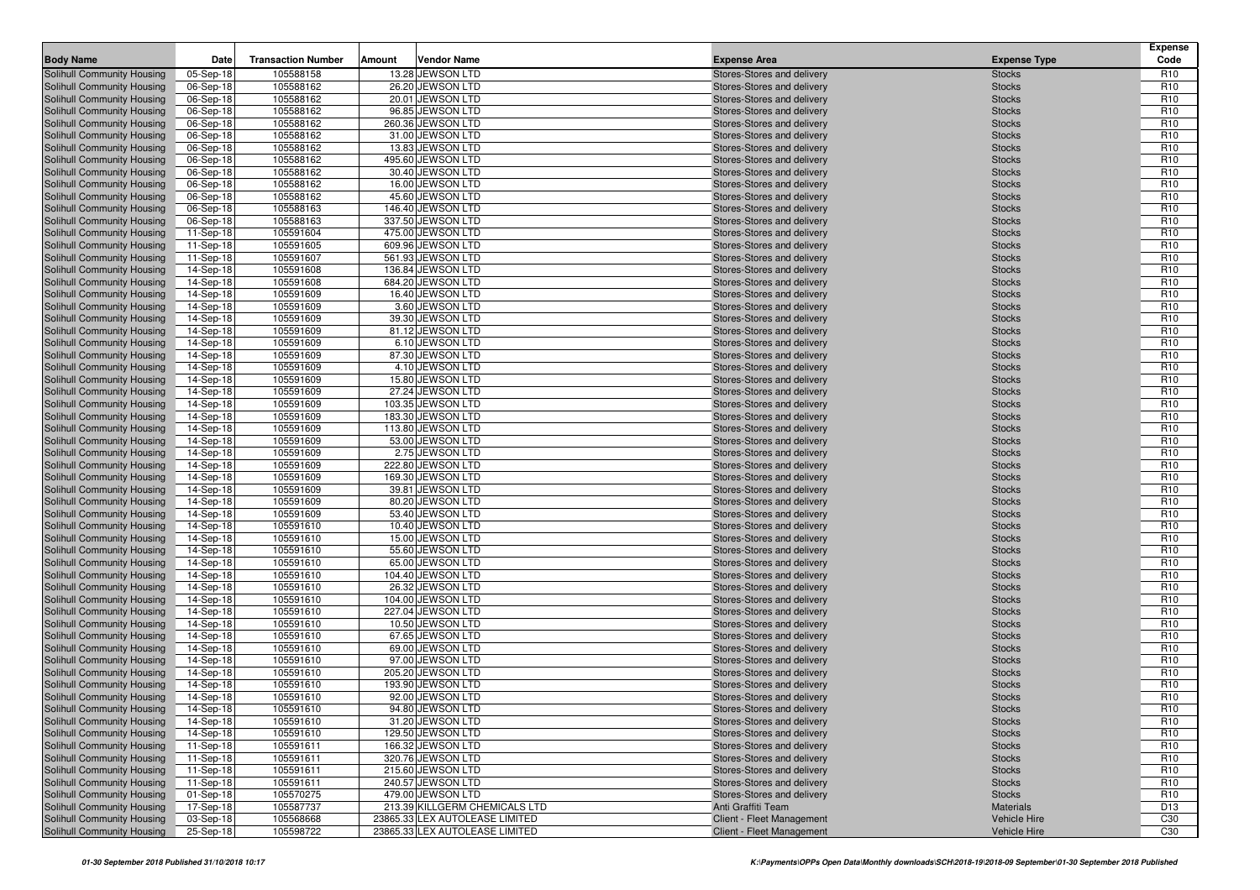|                                                          |                        |                           |        |                                                    |                                                          |                                | <b>Expense</b>                     |
|----------------------------------------------------------|------------------------|---------------------------|--------|----------------------------------------------------|----------------------------------------------------------|--------------------------------|------------------------------------|
| <b>Body Name</b>                                         | Date                   | <b>Transaction Number</b> | Amount | <b>Vendor Name</b>                                 | <b>Expense Area</b>                                      | <b>Expense Type</b>            | Code                               |
| Solihull Community Housing                               | 05-Sep-18              | 105588158                 |        | 13.28 JEWSON LTD                                   | Stores-Stores and delivery                               | <b>Stocks</b>                  | R <sub>10</sub>                    |
| Solihull Community Housing<br>Solihull Community Housing | 06-Sep-18<br>06-Sep-18 | 105588162<br>105588162    |        | 26.20 JEWSON LTD<br>20.01 JEWSON LTD               | Stores-Stores and delivery<br>Stores-Stores and delivery | <b>Stocks</b><br><b>Stocks</b> | R <sub>10</sub><br>R <sub>10</sub> |
| Solihull Community Housing                               | 06-Sep-18              | 105588162                 |        | 96.85 JEWSON LTD                                   | Stores-Stores and delivery                               | <b>Stocks</b>                  | R <sub>10</sub>                    |
| Solihull Community Housing                               | 06-Sep-18              | 105588162                 |        | 260.36 JEWSON LTD                                  | Stores-Stores and delivery                               | <b>Stocks</b>                  | R <sub>10</sub>                    |
| Solihull Community Housing                               | 06-Sep-18              | 105588162                 |        | 31.00 JEWSON LTD                                   | Stores-Stores and delivery                               | <b>Stocks</b>                  | R <sub>10</sub>                    |
| Solihull Community Housing                               | 06-Sep-18              | 105588162                 |        | 13.83 JEWSON LTD                                   | Stores-Stores and delivery                               | <b>Stocks</b>                  | R <sub>10</sub>                    |
| Solihull Community Housing                               | 06-Sep-18              | 105588162                 |        | 495.60 JEWSON LTD                                  | Stores-Stores and delivery                               | <b>Stocks</b>                  | R <sub>10</sub>                    |
| Solihull Community Housing                               | 06-Sep-18              | 105588162                 |        | 30.40 JEWSON LTD                                   | Stores-Stores and delivery                               | <b>Stocks</b>                  | R <sub>10</sub>                    |
| Solihull Community Housing                               | 06-Sep-18              | 105588162                 |        | 16.00 JEWSON LTD                                   | Stores-Stores and delivery                               | <b>Stocks</b>                  | R <sub>10</sub>                    |
| Solihull Community Housing                               | 06-Sep-18              | 105588162                 |        | 45.60 JEWSON LTD                                   | Stores-Stores and delivery                               | <b>Stocks</b>                  | R <sub>10</sub>                    |
| Solihull Community Housing                               | 06-Sep-18              | 105588163                 |        | 146.40 JEWSON LTD                                  | Stores-Stores and delivery                               | <b>Stocks</b>                  | R <sub>10</sub>                    |
| Solihull Community Housing                               | 06-Sep-18              | 105588163                 |        | 337.50 JEWSON LTD                                  | Stores-Stores and delivery                               | <b>Stocks</b>                  | R <sub>10</sub>                    |
| Solihull Community Housing                               | 11-Sep-18              | 105591604                 |        | 475.00 JEWSON LTD                                  | Stores-Stores and delivery                               | <b>Stocks</b>                  | R <sub>10</sub>                    |
| Solihull Community Housing                               | 11-Sep-18              | 105591605                 |        | 609.96 JEWSON LTD                                  | Stores-Stores and delivery                               | <b>Stocks</b>                  | R <sub>10</sub>                    |
| Solihull Community Housing                               | 11-Sep-18              | 105591607                 |        | 561.93 JEWSON LTD                                  | Stores-Stores and delivery                               | <b>Stocks</b>                  | R <sub>10</sub>                    |
| Solihull Community Housing<br>Solihull Community Housing | 14-Sep-18<br>14-Sep-18 | 105591608<br>105591608    |        | 136.84 JEWSON LTD<br>684.20 JEWSON LTD             | Stores-Stores and delivery<br>Stores-Stores and delivery | <b>Stocks</b><br><b>Stocks</b> | R <sub>10</sub><br>R <sub>10</sub> |
| Solihull Community Housing                               | 14-Sep-18              | 105591609                 |        | 16.40 JEWSON LTD                                   | Stores-Stores and delivery                               | <b>Stocks</b>                  | R <sub>10</sub>                    |
| Solihull Community Housing                               | 14-Sep-18              | 105591609                 |        | 3.60 JEWSON LTD                                    | Stores-Stores and delivery                               | <b>Stocks</b>                  | R <sub>10</sub>                    |
| Solihull Community Housing                               | 14-Sep-18              | 105591609                 |        | 39.30 JEWSON LTD                                   | Stores-Stores and delivery                               | <b>Stocks</b>                  | R <sub>10</sub>                    |
| Solihull Community Housing                               | 14-Sep-18              | 105591609                 |        | 81.12 JEWSON LTD                                   | Stores-Stores and delivery                               | <b>Stocks</b>                  | R <sub>10</sub>                    |
| Solihull Community Housing                               | 14-Sep-18              | 105591609                 |        | 6.10 JEWSON LTD                                    | Stores-Stores and delivery                               | <b>Stocks</b>                  | R <sub>10</sub>                    |
| Solihull Community Housing                               | 14-Sep-18              | 105591609                 |        | 87.30 JEWSON LTD                                   | Stores-Stores and delivery                               | <b>Stocks</b>                  | R <sub>10</sub>                    |
| Solihull Community Housing                               | 14-Sep-18              | 105591609                 |        | 4.10 JEWSON LTD                                    | Stores-Stores and delivery                               | <b>Stocks</b>                  | R <sub>10</sub>                    |
| Solihull Community Housing                               | 14-Sep-18              | 105591609                 |        | 15.80 JEWSON LTD                                   | Stores-Stores and delivery                               | <b>Stocks</b>                  | R <sub>10</sub>                    |
| Solihull Community Housing                               | 14-Sep-18              | 105591609                 |        | 27.24 JEWSON LTD                                   | Stores-Stores and delivery                               | <b>Stocks</b>                  | R <sub>10</sub>                    |
| Solihull Community Housing                               | 14-Sep-18              | 105591609                 |        | 103.35 JEWSON LTD                                  | Stores-Stores and delivery                               | <b>Stocks</b>                  | R <sub>10</sub>                    |
| Solihull Community Housing                               | 14-Sep-18              | 105591609                 |        | 183.30 JEWSON LTD                                  | Stores-Stores and delivery                               | <b>Stocks</b>                  | R <sub>10</sub>                    |
| Solihull Community Housing                               | 14-Sep-18              | 105591609                 |        | 113.80 JEWSON LTD                                  | Stores-Stores and delivery                               | <b>Stocks</b>                  | R <sub>10</sub>                    |
| Solihull Community Housing                               | 14-Sep-18              | 105591609                 |        | 53.00 JEWSON LTD                                   | Stores-Stores and delivery                               | <b>Stocks</b>                  | R <sub>10</sub>                    |
| Solihull Community Housing                               | 14-Sep-18              | 105591609                 |        | 2.75 JEWSON LTD                                    | Stores-Stores and delivery                               | <b>Stocks</b>                  | R <sub>10</sub>                    |
| Solihull Community Housing<br>Solihull Community Housing | 14-Sep-18<br>14-Sep-18 | 105591609<br>105591609    |        | 222.80 JEWSON LTD<br>169.30 JEWSON LTD             | Stores-Stores and delivery<br>Stores-Stores and delivery | <b>Stocks</b><br><b>Stocks</b> | R <sub>10</sub><br>R <sub>10</sub> |
| Solihull Community Housing                               | 14-Sep-18              | 105591609                 |        | 39.81 JEWSON LTD                                   | Stores-Stores and delivery                               | <b>Stocks</b>                  | R <sub>10</sub>                    |
| Solihull Community Housing                               | 14-Sep-18              | 105591609                 |        | 80.20 JEWSON LTD                                   | Stores-Stores and delivery                               | <b>Stocks</b>                  | R <sub>10</sub>                    |
| Solihull Community Housing                               | 14-Sep-18              | 105591609                 |        | 53.40 JEWSON LTD                                   | Stores-Stores and delivery                               | <b>Stocks</b>                  | R <sub>10</sub>                    |
| Solihull Community Housing                               | 14-Sep-18              | 105591610                 |        | 10.40 JEWSON LTD                                   | Stores-Stores and delivery                               | <b>Stocks</b>                  | R <sub>10</sub>                    |
| Solihull Community Housing                               | 14-Sep-18              | 105591610                 |        | 15.00 JEWSON LTD                                   | Stores-Stores and delivery                               | <b>Stocks</b>                  | R <sub>10</sub>                    |
| Solihull Community Housing                               | 14-Sep-18              | 105591610                 |        | 55.60 JEWSON LTD                                   | Stores-Stores and delivery                               | <b>Stocks</b>                  | R <sub>10</sub>                    |
| Solihull Community Housing                               | 14-Sep-18              | 105591610                 |        | 65.00 JEWSON LTD                                   | Stores-Stores and delivery                               | <b>Stocks</b>                  | R <sub>10</sub>                    |
| Solihull Community Housing                               | 14-Sep-18              | 105591610                 |        | 104.40 JEWSON LTD                                  | Stores-Stores and delivery                               | <b>Stocks</b>                  | R <sub>10</sub>                    |
| Solihull Community Housing                               | 14-Sep-18              | 105591610                 |        | 26.32 JEWSON LTD                                   | Stores-Stores and delivery                               | <b>Stocks</b>                  | R <sub>10</sub>                    |
| Solihull Community Housing                               | 14-Sep-18              | 105591610                 |        | 104.00 JEWSON LTD                                  | Stores-Stores and delivery                               | <b>Stocks</b>                  | R <sub>10</sub>                    |
| Solihull Community Housing                               | 14-Sep-18              | 105591610                 |        | 227.04 JEWSON LTD                                  | Stores-Stores and delivery                               | <b>Stocks</b>                  | R <sub>10</sub>                    |
| Solihull Community Housing<br>Solihull Community Housing | 14-Sep-18              | 105591610<br>105591610    |        | 10.50 JEWSON LTD<br>67.65 JEWSON LTD               | Stores-Stores and delivery<br>Stores-Stores and delivery | <b>Stocks</b><br><b>Stocks</b> | R <sub>10</sub><br>R <sub>10</sub> |
| Solihull Community Housing                               | 14-Sep-18<br>14-Sep-18 | 105591610                 |        | 69.00 JEWSON LTD                                   | Stores-Stores and delivery                               | <b>Stocks</b>                  | R <sub>10</sub>                    |
| Solihull Community Housing                               | 14-Sep-18              | 105591610                 |        | 97.00 JEWSON LTD                                   | Stores-Stores and delivery                               | <b>Stocks</b>                  | R <sub>10</sub>                    |
| <b>Solihull Community Housing</b>                        | 14-Sep-18              | 105591610                 |        | 205.20 JEWSON LTD                                  | Stores-Stores and delivery                               | <b>Stocks</b>                  | R <sub>10</sub>                    |
| Solihull Community Housing                               | 14-Sep-18              | 105591610                 |        | 193.90 JEWSON LTD                                  | Stores-Stores and delivery                               | <b>Stocks</b>                  | R <sub>10</sub>                    |
| Solihull Community Housing                               | 14-Sep-18              | 105591610                 |        | 92.00 JEWSON LTD                                   | Stores-Stores and delivery                               | <b>Stocks</b>                  | R <sub>10</sub>                    |
| Solihull Community Housing                               | $14-Sep-18$            | 105591610                 |        | 94.80 JEWSON LTD                                   | Stores-Stores and delivery                               | <b>Stocks</b>                  | R <sub>10</sub>                    |
| Solihull Community Housing                               | 14-Sep-18              | 105591610                 |        | 31.20 JEWSON LTD                                   | Stores-Stores and delivery                               | <b>Stocks</b>                  | R <sub>10</sub>                    |
| Solihull Community Housing                               | 14-Sep-18              | 105591610                 |        | 129.50 JEWSON LTD                                  | Stores-Stores and delivery                               | <b>Stocks</b>                  | R <sub>10</sub>                    |
| Solihull Community Housing                               | 11-Sep-18              | 105591611                 |        | 166.32 JEWSON LTD                                  | Stores-Stores and delivery                               | <b>Stocks</b>                  | R <sub>10</sub>                    |
| Solihull Community Housing                               | 11-Sep-18              | 105591611                 |        | 320.76 JEWSON LTD                                  | Stores-Stores and delivery                               | <b>Stocks</b>                  | R <sub>10</sub>                    |
| Solihull Community Housing                               | 11-Sep-18              | 105591611                 |        | 215.60 JEWSON LTD                                  | Stores-Stores and delivery                               | <b>Stocks</b>                  | R <sub>10</sub>                    |
| Solihull Community Housing                               | 11-Sep-18              | 105591611                 |        | 240.57 JEWSON LTD                                  | Stores-Stores and delivery                               | <b>Stocks</b>                  | R <sub>10</sub>                    |
| Solihull Community Housing<br>Solihull Community Housing | 01-Sep-18              | 105570275<br>105587737    |        | 479.00 JEWSON LTD<br>213.39 KILLGERM CHEMICALS LTD | Stores-Stores and delivery<br>Anti Graffiti Team         | <b>Stocks</b><br>Materials     | R <sub>10</sub><br>D <sub>13</sub> |
| Solihull Community Housing                               | 17-Sep-18<br>03-Sep-18 | 105568668                 |        | 23865.33 LEX AUTOLEASE LIMITED                     | Client - Fleet Management                                | Vehicle Hire                   | C30                                |
| Solihull Community Housing                               | 25-Sep-18              | 105598722                 |        | 23865.33 LEX AUTOLEASE LIMITED                     | Client - Fleet Management                                | Vehicle Hire                   | C <sub>30</sub>                    |
|                                                          |                        |                           |        |                                                    |                                                          |                                |                                    |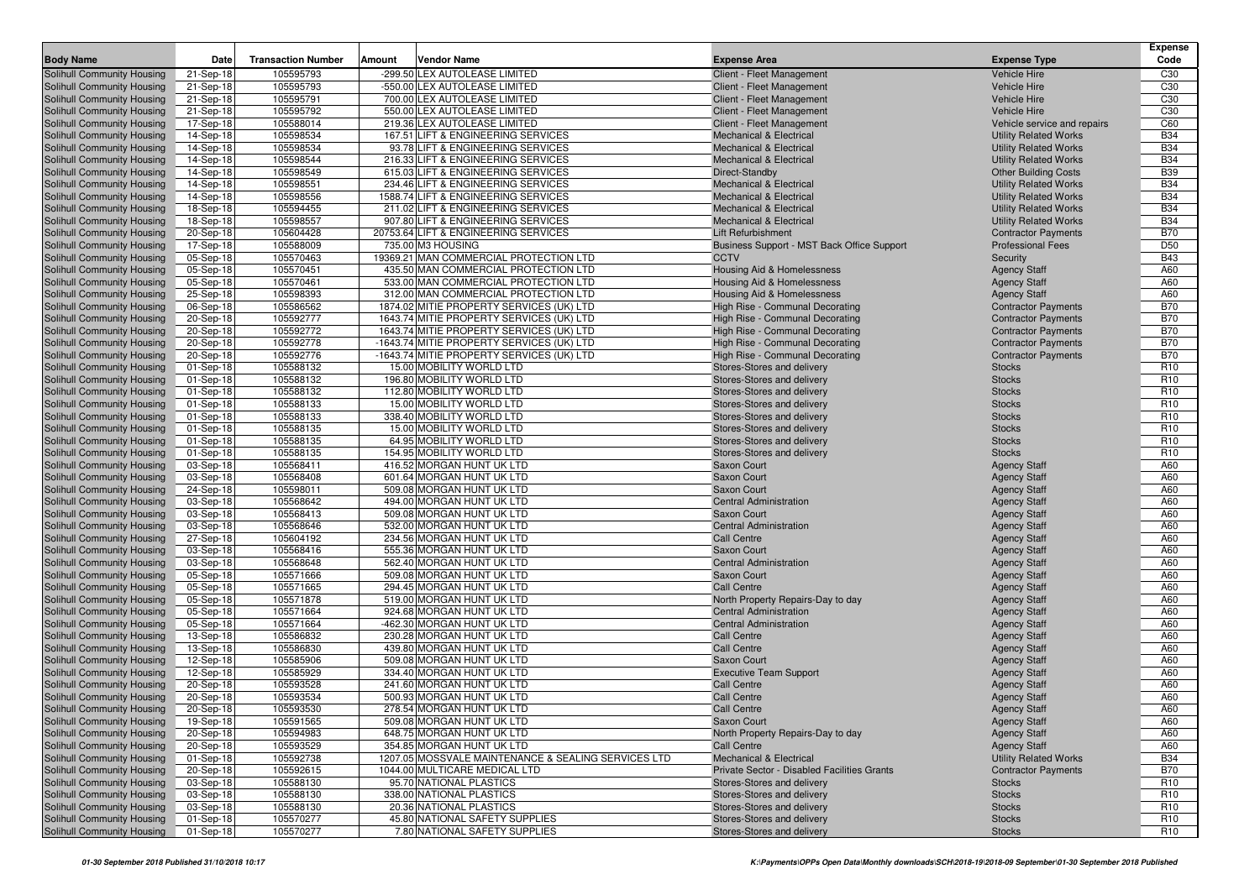| <b>Body Name</b>                                         | Date                   | <b>Transaction Number</b> | Amount | Vendor Name                                                                          | <b>Expense Area</b>                                                | <b>Expense Type</b>                                      | Expense<br>Code          |
|----------------------------------------------------------|------------------------|---------------------------|--------|--------------------------------------------------------------------------------------|--------------------------------------------------------------------|----------------------------------------------------------|--------------------------|
| Solihull Community Housing                               | 21-Sep-18              | 105595793                 |        | -299.50 LEX AUTOLEASE LIMITED                                                        | Client - Fleet Management                                          | <b>Vehicle Hire</b>                                      | C <sub>30</sub>          |
| Solihull Community Housing                               | 21-Sep-18              | 105595793                 |        | -550.00 LEX AUTOLEASE LIMITED                                                        | Client - Fleet Management                                          | <b>Vehicle Hire</b>                                      | C <sub>30</sub>          |
| Solihull Community Housing                               | 21-Sep-18              | 105595791                 |        | 700.00 LEX AUTOLEASE LIMITED                                                         | Client - Fleet Management                                          | <b>Vehicle Hire</b>                                      | C <sub>30</sub>          |
| Solihull Community Housing                               | 21-Sep-18              | 105595792                 |        | 550.00 LEX AUTOLEASE LIMITED                                                         | Client - Fleet Management                                          | <b>Vehicle Hire</b>                                      | C <sub>30</sub>          |
| Solihull Community Housing                               | 17-Sep-18              | 105588014                 |        | 219.36 LEX AUTOLEASE LIMITED                                                         | Client - Fleet Management                                          | Vehicle service and repairs                              | C60                      |
| Solihull Community Housing                               | 14-Sep-18              | 105598534                 |        | 167.51 LIFT & ENGINEERING SERVICES                                                   | <b>Mechanical &amp; Electrical</b>                                 | <b>Utility Related Works</b>                             | <b>B34</b>               |
| Solihull Community Housing                               | 14-Sep-18              | 105598534                 |        | 93.78 LIFT & ENGINEERING SERVICES                                                    | <b>Mechanical &amp; Electrical</b>                                 | <b>Utility Related Works</b>                             | <b>B34</b>               |
| Solihull Community Housing                               | 14-Sep-18              | 105598544                 |        | 216.33 LIFT & ENGINEERING SERVICES                                                   | <b>Mechanical &amp; Electrical</b>                                 | <b>Utility Related Works</b>                             | <b>B34</b>               |
| Solihull Community Housing                               | 14-Sep-18              | 105598549                 |        | 615.03 LIFT & ENGINEERING SERVICES                                                   | Direct-Standby                                                     | <b>Other Building Costs</b>                              | <b>B39</b>               |
| Solihull Community Housing                               | 14-Sep-18              | 105598551                 |        | 234.46 LIFT & ENGINEERING SERVICES                                                   | <b>Mechanical &amp; Electrical</b>                                 | <b>Utility Related Works</b>                             | <b>B34</b>               |
| Solihull Community Housing                               | 14-Sep-18              | 105598556                 |        | 1588.74 LIFT & ENGINEERING SERVICES                                                  | <b>Mechanical &amp; Electrical</b>                                 | <b>Utility Related Works</b>                             | <b>B34</b>               |
| Solihull Community Housing                               | 18-Sep-18              | 105594455                 |        | 211.02 LIFT & ENGINEERING SERVICES                                                   | <b>Mechanical &amp; Electrical</b>                                 | <b>Utility Related Works</b>                             | <b>B34</b>               |
| Solihull Community Housing                               | 18-Sep-18              | 105598557                 |        | 907.80 LIFT & ENGINEERING SERVICES                                                   | <b>Mechanical &amp; Electrical</b>                                 | <b>Utility Related Works</b>                             | <b>B34</b>               |
| Solihull Community Housing                               | 20-Sep-18              | 105604428                 |        | 20753.64 LIFT & ENGINEERING SERVICES                                                 | Lift Refurbishment                                                 | <b>Contractor Payments</b>                               | <b>B70</b>               |
| Solihull Community Housing                               | 17-Sep-18              | 105588009                 |        | 735.00 M3 HOUSING                                                                    | Business Support - MST Back Office Support                         | <b>Professional Fees</b>                                 | D <sub>50</sub>          |
| Solihull Community Housing                               | 05-Sep-18              | 105570463                 |        | 19369.21 MAN COMMERCIAL PROTECTION LTD                                               | <b>CCTV</b>                                                        | Security                                                 | <b>B43</b>               |
| Solihull Community Housing                               | 05-Sep-18              | 105570451                 |        | 435.50 MAN COMMERCIAL PROTECTION LTD                                                 | Housing Aid & Homelessness                                         | <b>Agency Staff</b>                                      | A60                      |
| Solihull Community Housing                               | 05-Sep-18              | 105570461                 |        | 533.00 MAN COMMERCIAL PROTECTION LTD                                                 | Housing Aid & Homelessness                                         | <b>Agency Staff</b>                                      | A60                      |
| Solihull Community Housing                               | 25-Sep-18              | 105598393                 |        | 312.00 MAN COMMERCIAL PROTECTION LTD                                                 | Housing Aid & Homelessness                                         | <b>Agency Staff</b>                                      | A60                      |
| Solihull Community Housing                               | 06-Sep-18              | 105586562                 |        | 1874.02 MITIE PROPERTY SERVICES (UK) LTD                                             | High Rise - Communal Decorating                                    | <b>Contractor Payments</b>                               | <b>B70</b>               |
| Solihull Community Housing<br>Solihull Community Housing | 20-Sep-18<br>20-Sep-18 | 105592777<br>105592772    |        | 1643.74 MITIE PROPERTY SERVICES (UK) LTD<br>1643.74 MITIE PROPERTY SERVICES (UK) LTD | High Rise - Communal Decorating<br>High Rise - Communal Decorating | <b>Contractor Payments</b><br><b>Contractor Payments</b> | <b>B70</b><br><b>B70</b> |
| Solihull Community Housing                               | 20-Sep-18              | 105592778                 |        | -1643.74 MITIE PROPERTY SERVICES (UK) LTD                                            | High Rise - Communal Decorating                                    | <b>Contractor Payments</b>                               | <b>B70</b>               |
| Solihull Community Housing                               | 20-Sep-18              | 105592776                 |        | -1643.74 MITIE PROPERTY SERVICES (UK) LTD                                            | High Rise - Communal Decorating                                    | <b>Contractor Payments</b>                               | <b>B70</b>               |
| Solihull Community Housing                               | 01-Sep-18              | 105588132                 |        | 15.00 MOBILITY WORLD LTD                                                             | Stores-Stores and delivery                                         | <b>Stocks</b>                                            | R <sub>10</sub>          |
| Solihull Community Housing                               | 01-Sep-18              | 105588132                 |        | 196.80 MOBILITY WORLD LTD                                                            | Stores-Stores and delivery                                         | <b>Stocks</b>                                            | R <sub>10</sub>          |
| Solihull Community Housing                               | 01-Sep-18              | 105588132                 |        | 112.80 MOBILITY WORLD LTD                                                            | Stores-Stores and delivery                                         | <b>Stocks</b>                                            | R <sub>10</sub>          |
| Solihull Community Housing                               | 01-Sep-18              | 105588133                 |        | 15.00 MOBILITY WORLD LTD                                                             | Stores-Stores and delivery                                         | <b>Stocks</b>                                            | R <sub>10</sub>          |
| Solihull Community Housing                               | 01-Sep-18              | 105588133                 |        | 338.40 MOBILITY WORLD LTD                                                            | Stores-Stores and delivery                                         | <b>Stocks</b>                                            | R <sub>10</sub>          |
| Solihull Community Housing                               | 01-Sep-18              | 105588135                 |        | 15.00 MOBILITY WORLD LTD                                                             | Stores-Stores and delivery                                         | <b>Stocks</b>                                            | R <sub>10</sub>          |
| Solihull Community Housing                               | 01-Sep-18              | 105588135                 |        | 64.95 MOBILITY WORLD LTD                                                             | Stores-Stores and delivery                                         | <b>Stocks</b>                                            | R <sub>10</sub>          |
| Solihull Community Housing                               | 01-Sep-18              | 105588135                 |        | 154.95 MOBILITY WORLD LTD                                                            | Stores-Stores and delivery                                         | <b>Stocks</b>                                            | R <sub>10</sub>          |
| Solihull Community Housing                               | 03-Sep-18              | 105568411                 |        | 416.52 MORGAN HUNT UK LTD                                                            | Saxon Court                                                        | <b>Agency Staff</b>                                      | A60                      |
| Solihull Community Housing                               | 03-Sep-18              | 105568408                 |        | 601.64 MORGAN HUNT UK LTD                                                            | <b>Saxon Court</b>                                                 | <b>Agency Staff</b>                                      | A60                      |
| Solihull Community Housing                               | 24-Sep-18              | 105598011                 |        | 509.08 MORGAN HUNT UK LTD                                                            | Saxon Court                                                        | <b>Agency Staff</b>                                      | A60                      |
| Solihull Community Housing                               | 03-Sep-18              | 105568642                 |        | 494.00 MORGAN HUNT UK LTD                                                            | <b>Central Administration</b>                                      | <b>Agency Staff</b>                                      | A60                      |
| Solihull Community Housing                               | 03-Sep-18              | 105568413                 |        | 509.08 MORGAN HUNT UK LTD                                                            | Saxon Court                                                        | <b>Agency Staff</b>                                      | A60                      |
| Solihull Community Housing                               | 03-Sep-18              | 105568646                 |        | 532.00 MORGAN HUNT UK LTD                                                            | <b>Central Administration</b>                                      | <b>Agency Staff</b>                                      | A60                      |
| Solihull Community Housing                               | 27-Sep-18              | 105604192                 |        | 234.56 MORGAN HUNT UK LTD                                                            | <b>Call Centre</b>                                                 | <b>Agency Staff</b>                                      | A60                      |
| Solihull Community Housing                               | 03-Sep-18              | 105568416                 |        | 555.36 MORGAN HUNT UK LTD                                                            | <b>Saxon Court</b>                                                 | <b>Agency Staff</b>                                      | A60                      |
| Solihull Community Housing                               | 03-Sep-18              | 105568648                 |        | 562.40 MORGAN HUNT UK LTD                                                            | <b>Central Administration</b>                                      | <b>Agency Staff</b>                                      | A60                      |
| Solihull Community Housing                               | 05-Sep-18              | 105571666                 |        | 509.08 MORGAN HUNT UK LTD                                                            | <b>Saxon Court</b>                                                 | <b>Agency Staff</b>                                      | A60                      |
| Solihull Community Housing                               | 05-Sep-18              | 105571665<br>105571878    |        | 294.45 MORGAN HUNT UK LTD<br>519.00 MORGAN HUNT UK LTD                               | <b>Call Centre</b>                                                 | <b>Agency Staff</b>                                      | A60<br>A60               |
| Solihull Community Housing<br>Solihull Community Housing | 05-Sep-18<br>05-Sep-18 | 105571664                 |        | 924.68 MORGAN HUNT UK LTD                                                            | North Property Repairs-Day to day<br><b>Central Administration</b> | <b>Agency Staff</b>                                      | A60                      |
| Solihull Community Housing                               | 05-Sep-18              | 105571664                 |        | -462.30 MORGAN HUNT UK LTD                                                           | <b>Central Administration</b>                                      | <b>Agency Staff</b><br><b>Agency Staff</b>               | A60                      |
| Solihull Community Housing                               | 13-Sep-18              | 105586832                 |        | 230.28 MORGAN HUNT UK LTD                                                            | <b>Call Centre</b>                                                 | <b>Agency Staff</b>                                      | A60                      |
| Solihull Community Housing                               | 13-Sep-18              | 105586830                 |        | 439.80 MORGAN HUNT UK LTD                                                            | <b>Call Centre</b>                                                 | <b>Agency Staff</b>                                      | A60                      |
| Solihull Community Housing                               | 12-Sep-18              | 105585906                 |        | 509.08 MORGAN HUNT UK LTD                                                            | Saxon Court                                                        | <b>Agency Staff</b>                                      | A60                      |
| <b>Solihull Community Housing</b>                        | 12-Sep-18              | 105585929                 |        | 334.40 MORGAN HUNT UK LTD                                                            | <b>Executive Team Support</b>                                      | <b>Agency Staff</b>                                      | A60                      |
| Solihull Community Housing                               | 20-Sep-18              | 105593528                 |        | 241.60 MORGAN HUNT UK LTD                                                            | <b>Call Centre</b>                                                 | <b>Agency Staff</b>                                      | A60                      |
| Solihull Community Housing                               | 20-Sep-18              | 105593534                 |        | 500.93 MORGAN HUNT UK LTD                                                            | <b>Call Centre</b>                                                 | <b>Agency Staff</b>                                      | A60                      |
| Solihull Community Housing                               | 20-Sep-18              | 105593530                 |        | 278.54 MORGAN HUNT UK LTD                                                            | <b>Call Centre</b>                                                 | <b>Agency Staff</b>                                      | A60                      |
| Solihull Community Housing                               | 19-Sep-18              | 105591565                 |        | 509.08 MORGAN HUNT UK LTD                                                            | <b>Saxon Court</b>                                                 | <b>Agency Staff</b>                                      | A60                      |
| Solihull Community Housing                               | 20-Sep-18              | 105594983                 |        | 648.75 MORGAN HUNT UK LTD                                                            | North Property Repairs-Day to day                                  | <b>Agency Staff</b>                                      | A60                      |
| Solihull Community Housing                               | 20-Sep-18              | 105593529                 |        | 354.85 MORGAN HUNT UK LTD                                                            | <b>Call Centre</b>                                                 | <b>Agency Staff</b>                                      | A60                      |
| Solihull Community Housing                               | 01-Sep-18              | 105592738                 |        | 1207.05 MOSSVALE MAINTENANCE & SEALING SERVICES LTD                                  | <b>Mechanical &amp; Electrical</b>                                 | <b>Utility Related Works</b>                             | <b>B34</b>               |
| Solihull Community Housing                               | 20-Sep-18              | 105592615                 |        | 1044.00 MULTICARE MEDICAL LTD                                                        | Private Sector - Disabled Facilities Grants                        | <b>Contractor Payments</b>                               | <b>B70</b>               |
| Solihull Community Housing                               | 03-Sep-18              | 105588130                 |        | 95.70 NATIONAL PLASTICS                                                              | Stores-Stores and delivery                                         | <b>Stocks</b>                                            | R <sub>10</sub>          |
| Solihull Community Housing                               | 03-Sep-18              | 105588130                 |        | 338.00 NATIONAL PLASTICS                                                             | Stores-Stores and delivery                                         | <b>Stocks</b>                                            | R <sub>10</sub>          |
| Solihull Community Housing                               | 03-Sep-18              | 105588130                 |        | 20.36 NATIONAL PLASTICS                                                              | Stores-Stores and delivery                                         | <b>Stocks</b>                                            | R <sub>10</sub>          |
| Solihull Community Housing                               | 01-Sep-18              | 105570277                 |        | 45.80 NATIONAL SAFETY SUPPLIES                                                       | Stores-Stores and delivery                                         | <b>Stocks</b>                                            | R <sub>10</sub>          |
| Solihull Community Housing                               | 01-Sep-18              | 105570277                 |        | 7.80 NATIONAL SAFETY SUPPLIES                                                        | Stores-Stores and delivery                                         | <b>Stocks</b>                                            | R <sub>10</sub>          |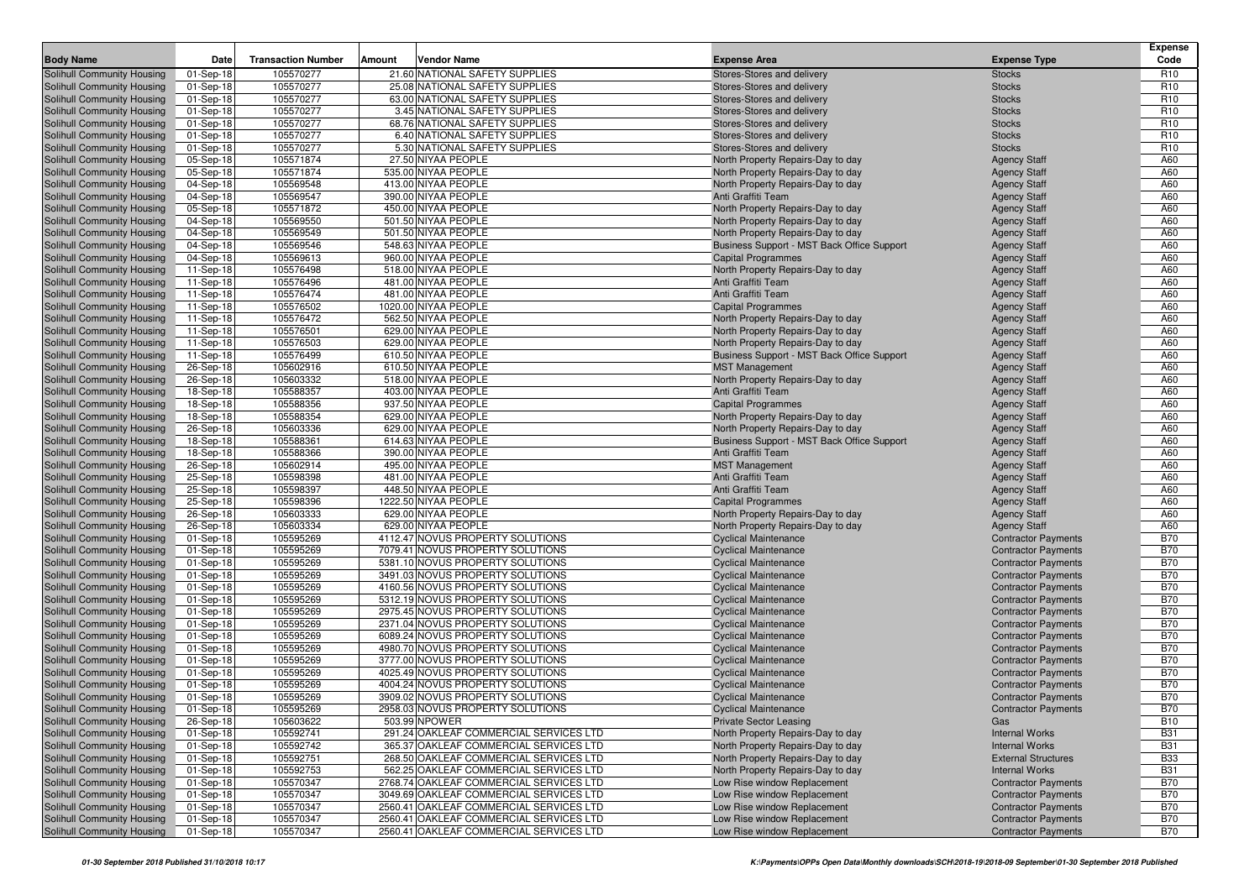| <b>Body Name</b>                                         | <b>Date</b>            | <b>Transaction Number</b> | Vendor Name<br>Amount                      | <b>Expense Area</b>                                              | <b>Expense Type</b>                        | <b>Expense</b><br>Code |
|----------------------------------------------------------|------------------------|---------------------------|--------------------------------------------|------------------------------------------------------------------|--------------------------------------------|------------------------|
| Solihull Community Housing                               | 01-Sep-18              | 105570277                 | 21.60 NATIONAL SAFETY SUPPLIES             | Stores-Stores and delivery                                       | <b>Stocks</b>                              | R <sub>10</sub>        |
| Solihull Community Housing                               | 01-Sep-18              | 105570277                 | 25.08 NATIONAL SAFETY SUPPLIES             | Stores-Stores and delivery                                       | <b>Stocks</b>                              | R <sub>10</sub>        |
| Solihull Community Housing                               | 01-Sep-18              | 105570277                 | 63.00 NATIONAL SAFETY SUPPLIES             | Stores-Stores and delivery                                       | <b>Stocks</b>                              | R <sub>10</sub>        |
| Solihull Community Housing                               | 01-Sep-18              | 105570277                 | 3.45 NATIONAL SAFETY SUPPLIES              | Stores-Stores and delivery                                       | <b>Stocks</b>                              | R <sub>10</sub>        |
| Solihull Community Housing                               | 01-Sep-18              | 105570277                 | 68.76 NATIONAL SAFETY SUPPLIES             | Stores-Stores and delivery                                       | <b>Stocks</b>                              | R <sub>10</sub>        |
| Solihull Community Housing                               | 01-Sep-18              | 105570277                 | 6.40 NATIONAL SAFETY SUPPLIES              | Stores-Stores and delivery                                       | <b>Stocks</b>                              | R <sub>10</sub>        |
| Solihull Community Housing                               | 01-Sep-18              | 105570277                 | 5.30 NATIONAL SAFETY SUPPLIES              | Stores-Stores and delivery                                       | <b>Stocks</b>                              | R <sub>10</sub>        |
| Solihull Community Housing                               | 05-Sep-18              | 105571874                 | 27.50 NIYAA PEOPLE                         | North Property Repairs-Day to day                                | <b>Agency Staff</b>                        | A60                    |
| Solihull Community Housing                               | 05-Sep-18              | 105571874                 | 535.00 NIYAA PEOPLE                        | North Property Repairs-Day to day                                | <b>Agency Staff</b>                        | A60                    |
| Solihull Community Housing                               | 04-Sep-18              | 105569548                 | 413.00 NIYAA PEOPLE                        | North Property Repairs-Day to day                                | <b>Agency Staff</b>                        | A60                    |
| Solihull Community Housing                               | 04-Sep-18              | 105569547                 | 390.00 NIYAA PEOPLE                        | Anti Graffiti Team                                               | <b>Agency Staff</b>                        | A60                    |
| Solihull Community Housing                               | 05-Sep-18              | 105571872                 | 450.00 NIYAA PEOPLE                        | North Property Repairs-Day to day                                | <b>Agency Staff</b>                        | A60                    |
| Solihull Community Housing                               | 04-Sep-18              | 105569550                 | 501.50 NIYAA PEOPLE                        | North Property Repairs-Day to day                                | <b>Agency Staff</b>                        | A60                    |
| Solihull Community Housing                               | 04-Sep-18              | 105569549                 | 501.50 NIYAA PEOPLE                        | North Property Repairs-Day to day                                | <b>Agency Staff</b>                        | A60                    |
| Solihull Community Housing                               | 04-Sep-18              | 105569546                 | 548.63 NIYAA PEOPLE                        | Business Support - MST Back Office Support                       | <b>Agency Staff</b>                        | A60                    |
| Solihull Community Housing                               | 04-Sep-18              | 105569613                 | 960.00 NIYAA PEOPLE                        | <b>Capital Programmes</b>                                        | <b>Agency Staff</b>                        | A60                    |
| Solihull Community Housing                               | 11-Sep-18              | 105576498                 | 518.00 NIYAA PEOPLE                        | North Property Repairs-Day to day                                | <b>Agency Staff</b>                        | A60                    |
| Solihull Community Housing                               | 11-Sep-18              | 105576496                 | 481.00 NIYAA PEOPLE                        | Anti Graffiti Team                                               | <b>Agency Staff</b>                        | A60                    |
| Solihull Community Housing                               | 11-Sep-18              | 105576474                 | 481.00 NIYAA PEOPLE                        | Anti Graffiti Team                                               | <b>Agency Staff</b>                        | A60                    |
| Solihull Community Housing                               | 11-Sep-18              | 105576502                 | 1020.00 NIYAA PEOPLE                       | <b>Capital Programmes</b>                                        | <b>Agency Staff</b>                        | A60                    |
| Solihull Community Housing                               | 11-Sep-18              | 105576472                 | 562.50 NIYAA PEOPLE                        | North Property Repairs-Day to day                                | <b>Agency Staff</b>                        | A60                    |
| Solihull Community Housing                               | 11-Sep-18              | 105576501                 | 629.00 NIYAA PEOPLE                        | North Property Repairs-Day to day                                | <b>Agency Staff</b>                        | A60                    |
| Solihull Community Housing                               | 11-Sep-18              | 105576503                 | 629.00 NIYAA PEOPLE                        | North Property Repairs-Day to day                                | <b>Agency Staff</b>                        | A60                    |
| Solihull Community Housing                               | 11-Sep-18              | 105576499                 | 610.50 NIYAA PEOPLE                        | Business Support - MST Back Office Support                       | <b>Agency Staff</b>                        | A60                    |
| Solihull Community Housing                               | 26-Sep-18              | 105602916                 | 610.50 NIYAA PEOPLE                        | <b>MST Management</b>                                            | <b>Agency Staff</b>                        | A60                    |
| Solihull Community Housing                               | 26-Sep-18              | 105603332                 | 518.00 NIYAA PEOPLE                        | North Property Repairs-Day to day                                | <b>Agency Staff</b>                        | A60                    |
| Solihull Community Housing                               | 18-Sep-18              | 105588357                 | 403.00 NIYAA PEOPLE                        | Anti Graffiti Team                                               | <b>Agency Staff</b>                        | A60                    |
| Solihull Community Housing                               | 18-Sep-18              | 105588356                 | 937.50 NIYAA PEOPLE                        | <b>Capital Programmes</b>                                        | <b>Agency Staff</b>                        | A60                    |
| Solihull Community Housing                               | 18-Sep-18              | 105588354                 | 629.00 NIYAA PEOPLE<br>629.00 NIYAA PEOPLE | North Property Repairs-Day to day                                | <b>Agency Staff</b>                        | A60<br>A60             |
| Solihull Community Housing                               | 26-Sep-18<br>18-Sep-18 | 105603336                 | 614.63 NIYAA PEOPLE                        | North Property Repairs-Day to day                                | <b>Agency Staff</b>                        | A60                    |
| Solihull Community Housing<br>Solihull Community Housing |                        | 105588361<br>105588366    | 390.00 NIYAA PEOPLE                        | Business Support - MST Back Office Support<br>Anti Graffiti Team | <b>Agency Staff</b><br><b>Agency Staff</b> | A60                    |
| Solihull Community Housing                               | 18-Sep-18<br>26-Sep-18 | 105602914                 | 495.00 NIYAA PEOPLE                        | <b>MST Management</b>                                            | <b>Agency Staff</b>                        | A60                    |
| Solihull Community Housing                               | 25-Sep-18              | 105598398                 | 481.00 NIYAA PEOPLE                        | Anti Graffiti Team                                               | <b>Agency Staff</b>                        | A60                    |
| Solihull Community Housing                               | 25-Sep-18              | 105598397                 | 448.50 NIYAA PEOPLE                        | Anti Graffiti Team                                               | <b>Agency Staff</b>                        | A60                    |
| Solihull Community Housing                               | 25-Sep-18              | 105598396                 | 1222.50 NIYAA PEOPLE                       | <b>Capital Programmes</b>                                        | <b>Agency Staff</b>                        | A60                    |
| Solihull Community Housing                               | 26-Sep-18              | 105603333                 | 629.00 NIYAA PEOPLE                        | North Property Repairs-Day to day                                | <b>Agency Staff</b>                        | A60                    |
| Solihull Community Housing                               | 26-Sep-18              | 105603334                 | 629.00 NIYAA PEOPLE                        | North Property Repairs-Day to day                                | <b>Agency Staff</b>                        | A60                    |
| Solihull Community Housing                               | 01-Sep-18              | 105595269                 | 4112.47 NOVUS PROPERTY SOLUTIONS           | <b>Cyclical Maintenance</b>                                      | <b>Contractor Payments</b>                 | <b>B70</b>             |
| Solihull Community Housing                               | 01-Sep-18              | 105595269                 | 7079.41 NOVUS PROPERTY SOLUTIONS           | <b>Cyclical Maintenance</b>                                      | <b>Contractor Payments</b>                 | <b>B70</b>             |
| Solihull Community Housing                               | 01-Sep-18              | 105595269                 | 5381.10 NOVUS PROPERTY SOLUTIONS           | <b>Cyclical Maintenance</b>                                      | <b>Contractor Payments</b>                 | <b>B70</b>             |
| Solihull Community Housing                               | 01-Sep-18              | 105595269                 | 3491.03 NOVUS PROPERTY SOLUTIONS           | <b>Cyclical Maintenance</b>                                      | <b>Contractor Payments</b>                 | <b>B70</b>             |
| Solihull Community Housing                               | 01-Sep-18              | 105595269                 | 4160.56 NOVUS PROPERTY SOLUTIONS           | <b>Cyclical Maintenance</b>                                      | <b>Contractor Payments</b>                 | <b>B70</b>             |
| Solihull Community Housing                               | 01-Sep-18              | 105595269                 | 5312.19 NOVUS PROPERTY SOLUTIONS           | <b>Cyclical Maintenance</b>                                      | <b>Contractor Payments</b>                 | <b>B70</b>             |
| Solihull Community Housing                               | 01-Sep-18              | 105595269                 | 2975.45 NOVUS PROPERTY SOLUTIONS           | <b>Cyclical Maintenance</b>                                      | <b>Contractor Payments</b>                 | <b>B70</b>             |
| Solihull Community Housing                               | 01-Sep-18              | 105595269                 | 2371.04 NOVUS PROPERTY SOLUTIONS           | <b>Cyclical Maintenance</b>                                      | <b>Contractor Payments</b>                 | <b>B70</b>             |
| Solihull Community Housing                               | 01-Sep-18              | 105595269                 | 6089.24 NOVUS PROPERTY SOLUTIONS           | <b>Cyclical Maintenance</b>                                      | <b>Contractor Payments</b>                 | <b>B70</b>             |
| Solihull Community Housing                               | 01-Sep-18              | 105595269                 | 4980.70 NOVUS PROPERTY SOLUTIONS           | <b>Cyclical Maintenance</b>                                      | <b>Contractor Payments</b>                 | <b>B70</b>             |
| Solihull Community Housing                               | 01-Sep-18              | 105595269                 | 3777.00 NOVUS PROPERTY SOLUTIONS           | <b>Cyclical Maintenance</b>                                      | <b>Contractor Payments</b>                 | <b>B70</b>             |
| Solihull Community Housing                               | 01-Sep-18              | 105595269                 | 4025.49 NOVUS PROPERTY SOLUTIONS           | <b>Cyclical Maintenance</b>                                      | <b>Contractor Payments</b>                 | <b>B70</b>             |
| Solihull Community Housing                               | 01-Sep-18              | 105595269                 | 4004.24 NOVUS PROPERTY SOLUTIONS           | <b>Cyclical Maintenance</b>                                      | <b>Contractor Payments</b>                 | <b>B70</b>             |
| Solihull Community Housing                               | 01-Sep-18              | 105595269                 | 3909.02 NOVUS PROPERTY SOLUTIONS           | <b>Cyclical Maintenance</b>                                      | <b>Contractor Payments</b>                 | <b>B70</b>             |
| Solihull Community Housing                               | 01-Sep-18              | 105595269                 | 2958.03 NOVUS PROPERTY SOLUTIONS           | <b>Cyclical Maintenance</b>                                      | <b>Contractor Payments</b>                 | <b>B70</b>             |
| Solihull Community Housing                               | 26-Sep-18              | 105603622                 | 503.99 NPOWER                              | <b>Private Sector Leasing</b>                                    | Gas                                        | <b>B10</b>             |
| Solihull Community Housing                               | 01-Sep-18              | 105592741                 | 291.24 OAKLEAF COMMERCIAL SERVICES LTD     | North Property Repairs-Day to day                                | <b>Internal Works</b>                      | <b>B31</b>             |
| Solihull Community Housing                               | 01-Sep-18              | 105592742                 | 365.37 OAKLEAF COMMERCIAL SERVICES LTD     | North Property Repairs-Day to day                                | <b>Internal Works</b>                      | <b>B31</b>             |
| Solihull Community Housing                               | 01-Sep-18              | 105592751                 | 268.50 OAKLEAF COMMERCIAL SERVICES LTD     | North Property Repairs-Day to day                                | <b>External Structures</b>                 | <b>B33</b>             |
| Solihull Community Housing                               | 01-Sep-18              | 105592753                 | 562.25 OAKLEAF COMMERCIAL SERVICES LTD     | North Property Repairs-Day to day                                | <b>Internal Works</b>                      | <b>B31</b>             |
| Solihull Community Housing                               | 01-Sep-18              | 105570347                 | 2768.74 OAKLEAF COMMERCIAL SERVICES LTD    | Low Rise window Replacement                                      | <b>Contractor Payments</b>                 | <b>B70</b>             |
| Solihull Community Housing                               | 01-Sep-18              | 105570347                 | 3049.69 OAKLEAF COMMERCIAL SERVICES LTD    | Low Rise window Replacement                                      | <b>Contractor Payments</b>                 | <b>B70</b>             |
| Solihull Community Housing                               | 01-Sep-18              | 105570347                 | 2560.41 OAKLEAF COMMERCIAL SERVICES LTD    | Low Rise window Replacement                                      | <b>Contractor Payments</b>                 | <b>B70</b>             |
| Solihull Community Housing                               | 01-Sep-18              | 105570347                 | 2560.41 OAKLEAF COMMERCIAL SERVICES LTD    | Low Rise window Replacement                                      | <b>Contractor Payments</b>                 | <b>B70</b>             |
| Solihull Community Housing                               | 01-Sep-18              | 105570347                 | 2560.41 OAKLEAF COMMERCIAL SERVICES LTD    | Low Rise window Replacement                                      | <b>Contractor Payments</b>                 | <b>B70</b>             |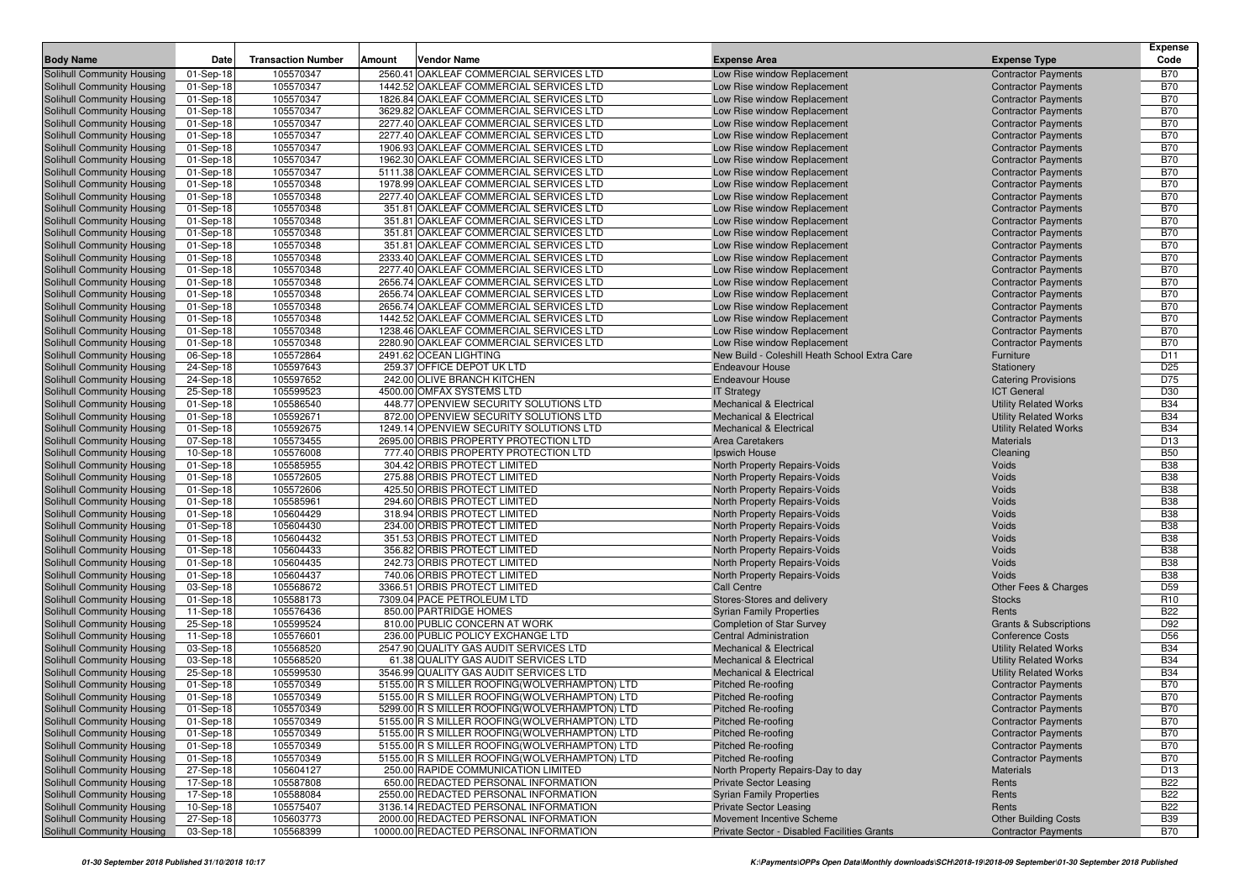|                                                          |                        |                           |        |                                                                                                  |                                                            |                                                          | <b>Expense</b>           |
|----------------------------------------------------------|------------------------|---------------------------|--------|--------------------------------------------------------------------------------------------------|------------------------------------------------------------|----------------------------------------------------------|--------------------------|
| <b>Body Name</b>                                         | Date                   | <b>Transaction Number</b> | Amount | <b>Vendor Name</b>                                                                               | <b>Expense Area</b>                                        | <b>Expense Type</b>                                      | Code                     |
| Solihull Community Housing                               | 01-Sep-18              | 105570347                 |        | 2560.41 OAKLEAF COMMERCIAL SERVICES LTD                                                          | Low Rise window Replacement                                | <b>Contractor Payments</b>                               | <b>B70</b>               |
| Solihull Community Housing                               | 01-Sep-18              | 105570347                 |        | 1442.52 OAKLEAF COMMERCIAL SERVICES LTD                                                          | Low Rise window Replacement                                | <b>Contractor Payments</b>                               | <b>B70</b>               |
| Solihull Community Housing                               | 01-Sep-18              | 105570347                 |        | 1826.84 OAKLEAF COMMERCIAL SERVICES LTD                                                          | Low Rise window Replacement                                | <b>Contractor Payments</b>                               | <b>B70</b>               |
| Solihull Community Housing                               | 01-Sep-18              | 105570347                 |        | 3629.82 OAKLEAF COMMERCIAL SERVICES LTD                                                          | Low Rise window Replacement                                | <b>Contractor Payments</b>                               | <b>B70</b>               |
| Solihull Community Housing                               | 01-Sep-18              | 105570347                 |        | 2277.40 OAKLEAF COMMERCIAL SERVICES LTD                                                          | Low Rise window Replacement                                | <b>Contractor Payments</b>                               | <b>B70</b>               |
| Solihull Community Housing                               | 01-Sep-18              | 105570347                 |        | 2277.40 OAKLEAF COMMERCIAL SERVICES LTD                                                          | Low Rise window Replacement                                | <b>Contractor Payments</b>                               | <b>B70</b>               |
| Solihull Community Housing                               | 01-Sep-18              | 105570347                 |        | 1906.93 OAKLEAF COMMERCIAL SERVICES LTD                                                          | Low Rise window Replacement                                | <b>Contractor Payments</b>                               | <b>B70</b>               |
| Solihull Community Housing                               | 01-Sep-18              | 105570347                 |        | 1962.30 OAKLEAF COMMERCIAL SERVICES LTD                                                          | Low Rise window Replacement                                | <b>Contractor Payments</b>                               | <b>B70</b>               |
| Solihull Community Housing                               | 01-Sep-18              | 105570347                 |        | 5111.38 OAKLEAF COMMERCIAL SERVICES LTD                                                          | Low Rise window Replacement                                | <b>Contractor Payments</b>                               | <b>B70</b>               |
| Solihull Community Housing                               | 01-Sep-18              | 105570348                 |        | 1978.99 OAKLEAF COMMERCIAL SERVICES LTD                                                          | Low Rise window Replacement                                | <b>Contractor Payments</b>                               | <b>B70</b>               |
| Solihull Community Housing                               | 01-Sep-18              | 105570348                 |        | 2277.40 OAKLEAF COMMERCIAL SERVICES LTD<br>351.81 OAKLEAF COMMERCIAL SERVICES LTD                | Low Rise window Replacement                                | <b>Contractor Payments</b>                               | <b>B70</b>               |
| Solihull Community Housing                               | 01-Sep-18<br>01-Sep-18 | 105570348<br>105570348    |        | 351.81 OAKLEAF COMMERCIAL SERVICES LTD                                                           | Low Rise window Replacement<br>Low Rise window Replacement | <b>Contractor Payments</b><br><b>Contractor Payments</b> | <b>B70</b><br><b>B70</b> |
| Solihull Community Housing<br>Solihull Community Housing | 01-Sep-18              | 105570348                 |        | 351.81 OAKLEAF COMMERCIAL SERVICES LTD                                                           | Low Rise window Replacement                                | <b>Contractor Payments</b>                               | <b>B70</b>               |
| Solihull Community Housing                               | 01-Sep-18              | 105570348                 |        | 351.81 OAKLEAF COMMERCIAL SERVICES LTD                                                           | Low Rise window Replacement                                | <b>Contractor Payments</b>                               | <b>B70</b>               |
| Solihull Community Housing                               | 01-Sep-18              | 105570348                 |        | 2333.40 OAKLEAF COMMERCIAL SERVICES LTD                                                          | Low Rise window Replacement                                | <b>Contractor Payments</b>                               | <b>B70</b>               |
| Solihull Community Housing                               | 01-Sep-18              | 105570348                 |        | 2277.40 OAKLEAF COMMERCIAL SERVICES LTD                                                          | Low Rise window Replacement                                | <b>Contractor Payments</b>                               | <b>B70</b>               |
| Solihull Community Housing                               | 01-Sep-18              | 105570348                 |        | 2656.74 OAKLEAF COMMERCIAL SERVICES LTD                                                          | Low Rise window Replacement                                | <b>Contractor Payments</b>                               | <b>B70</b>               |
| Solihull Community Housing                               | 01-Sep-18              | 105570348                 |        | 2656.74 OAKLEAF COMMERCIAL SERVICES LTD                                                          | Low Rise window Replacement                                | <b>Contractor Payments</b>                               | <b>B70</b>               |
| Solihull Community Housing                               | 01-Sep-18              | 105570348                 |        | 2656.74 OAKLEAF COMMERCIAL SERVICES LTD                                                          | Low Rise window Replacement                                | <b>Contractor Payments</b>                               | <b>B70</b>               |
| Solihull Community Housing                               | 01-Sep-18              | 105570348                 |        | 1442.52 OAKLEAF COMMERCIAL SERVICES LTD                                                          | Low Rise window Replacement                                | <b>Contractor Payments</b>                               | <b>B70</b>               |
| Solihull Community Housing                               | 01-Sep-18              | 105570348                 |        | 1238.46 OAKLEAF COMMERCIAL SERVICES LTD                                                          | Low Rise window Replacement                                | <b>Contractor Payments</b>                               | <b>B70</b>               |
| Solihull Community Housing                               | 01-Sep-18              | 105570348                 |        | 2280.90 OAKLEAF COMMERCIAL SERVICES LTD                                                          | Low Rise window Replacement                                | <b>Contractor Payments</b>                               | <b>B70</b>               |
| Solihull Community Housing                               | 06-Sep-18              | 105572864                 |        | 2491.62 OCEAN LIGHTING                                                                           | New Build - Coleshill Heath School Extra Care              | Furniture                                                | D <sub>11</sub>          |
| Solihull Community Housing                               | 24-Sep-18              | 105597643                 |        | 259.37 OFFICE DEPOT UK LTD                                                                       | <b>Endeavour House</b>                                     | Stationery                                               | D <sub>25</sub>          |
| Solihull Community Housing                               | 24-Sep-18              | 105597652                 |        | 242.00 OLIVE BRANCH KITCHEN                                                                      | <b>Endeavour House</b>                                     | <b>Catering Provisions</b>                               | D75                      |
| Solihull Community Housing                               | 25-Sep-18              | 105599523                 |        | 4500.00 OMFAX SYSTEMS LTD                                                                        | <b>IT Strategy</b>                                         | <b>ICT General</b>                                       | D <sub>30</sub>          |
| Solihull Community Housing                               | 01-Sep-18              | 105586540                 |        | 448.77 OPENVIEW SECURITY SOLUTIONS LTD                                                           | <b>Mechanical &amp; Electrical</b>                         | <b>Utility Related Works</b>                             | <b>B34</b>               |
| Solihull Community Housing                               | 01-Sep-18              | 105592671                 |        | 872.00 OPENVIEW SECURITY SOLUTIONS LTD                                                           | <b>Mechanical &amp; Electrical</b>                         | <b>Utility Related Works</b>                             | <b>B34</b>               |
| Solihull Community Housing                               | 01-Sep-18              | 105592675                 |        | 1249.14 OPENVIEW SECURITY SOLUTIONS LTD                                                          | <b>Mechanical &amp; Electrical</b>                         | <b>Utility Related Works</b>                             | <b>B34</b>               |
| Solihull Community Housing                               | 07-Sep-18              | 105573455                 |        | 2695.00 ORBIS PROPERTY PROTECTION LTD                                                            | Area Caretakers                                            | Materials                                                | D <sub>13</sub>          |
| Solihull Community Housing                               | 10-Sep-18              | 105576008                 |        | 777.40 ORBIS PROPERTY PROTECTION LTD                                                             | Ipswich House                                              | Cleaning                                                 | <b>B50</b>               |
| Solihull Community Housing                               | 01-Sep-18              | 105585955                 |        | 304.42 ORBIS PROTECT LIMITED                                                                     | North Property Repairs-Voids                               | Voids                                                    | <b>B38</b>               |
| Solihull Community Housing                               | 01-Sep-18              | 105572605                 |        | 275.88 ORBIS PROTECT LIMITED                                                                     | North Property Repairs-Voids                               | Voids                                                    | <b>B38</b>               |
| Solihull Community Housing                               | 01-Sep-18              | 105572606                 |        | 425.50 ORBIS PROTECT LIMITED                                                                     | North Property Repairs-Voids                               | Voids                                                    | <b>B38</b>               |
| Solihull Community Housing                               | 01-Sep-18              | 105585961                 |        | 294.60 ORBIS PROTECT LIMITED                                                                     | North Property Repairs-Voids                               | Voids                                                    | <b>B38</b>               |
| Solihull Community Housing                               | 01-Sep-18              | 105604429                 |        | 318.94 ORBIS PROTECT LIMITED                                                                     | North Property Repairs-Voids                               | Voids                                                    | <b>B38</b>               |
| Solihull Community Housing                               | 01-Sep-18              | 105604430                 |        | 234.00 ORBIS PROTECT LIMITED                                                                     | North Property Repairs-Voids                               | Voids                                                    | <b>B38</b>               |
| Solihull Community Housing                               | 01-Sep-18              | 105604432                 |        | 351.53 ORBIS PROTECT LIMITED                                                                     | North Property Repairs-Voids                               | Voids                                                    | <b>B38</b>               |
| Solihull Community Housing                               | 01-Sep-18              | 105604433                 |        | 356.82 ORBIS PROTECT LIMITED                                                                     | North Property Repairs-Voids                               | Voids                                                    | <b>B38</b>               |
| Solihull Community Housing                               | 01-Sep-18              | 105604435                 |        | 242.73 ORBIS PROTECT LIMITED                                                                     | North Property Repairs-Voids                               | Voids                                                    | <b>B38</b>               |
| Solihull Community Housing                               | 01-Sep-18              | 105604437                 |        | 740.06 ORBIS PROTECT LIMITED                                                                     | North Property Repairs-Voids                               | Voids                                                    | <b>B38</b>               |
| Solihull Community Housing                               | 03-Sep-18              | 105568672                 |        | 3366.51 ORBIS PROTECT LIMITED                                                                    | <b>Call Centre</b>                                         | Other Fees & Charges                                     | D <sub>59</sub>          |
| Solihull Community Housing                               | 01-Sep-18              | 105588173                 |        | 7309.04 PACE PETROLEUM LTD                                                                       | Stores-Stores and delivery                                 | <b>Stocks</b>                                            | R <sub>10</sub>          |
| Solihull Community Housing                               | 11-Sep-18              | 105576436                 |        | 850.00 PARTRIDGE HOMES                                                                           | <b>Syrian Family Properties</b>                            | Rents                                                    | <b>B22</b>               |
| Solihull Community Housing                               | 25-Sep-18              | 105599524                 |        | 810.00 PUBLIC CONCERN AT WORK                                                                    | <b>Completion of Star Survey</b>                           | <b>Grants &amp; Subscriptions</b>                        | D92                      |
| Solihull Community Housing                               | 11-Sep-18              | 105576601                 |        | 236.00 PUBLIC POLICY EXCHANGE LTD                                                                | <b>Central Administration</b>                              | <b>Conference Costs</b>                                  | D <sub>56</sub>          |
| Solihull Community Housing                               | 03-Sep-18              | 105568520                 |        | 2547.90 QUALITY GAS AUDIT SERVICES LTD                                                           | <b>Mechanical &amp; Electrical</b>                         | <b>Utility Related Works</b>                             | <b>B34</b>               |
| Solihull Community Housing                               | 03-Sep-18              | 105568520                 |        | 61.38 QUALITY GAS AUDIT SERVICES LTD                                                             | <b>Mechanical &amp; Electrical</b>                         | <b>Utility Related Works</b>                             | <b>B34</b>               |
| Solihull Community Housing                               | 25-Sep-18              | 105599530                 |        | 3546.99 QUALITY GAS AUDIT SERVICES LTD                                                           | <b>Mechanical &amp; Electrical</b>                         | <b>Utility Related Works</b>                             | <b>B34</b>               |
| Solihull Community Housing                               | 01-Sep-18              | 105570349                 |        | 5155.00 R S MILLER ROOFING (WOLVERHAMPTON) LTD                                                   | Pitched Re-roofing                                         | <b>Contractor Payments</b>                               | <b>B70</b>               |
| Solihull Community Housing                               | 01-Sep-18              | 105570349                 |        | 5155.00 R S MILLER ROOFING (WOLVERHAMPTON) LTD                                                   | Pitched Re-roofing                                         | <b>Contractor Payments</b>                               | <b>B70</b>               |
| Solihull Community Housing                               | $\boxed{01}$ -Sep-18   | 105570349                 |        | 5299.00 R S MILLER ROOFING(WOLVERHAMPTON) LTD                                                    | Pitched Re-roofing                                         | <b>Contractor Payments</b>                               | <b>B70</b>               |
| Solihull Community Housing<br>Solihull Community Housing | 01-Sep-18              | 105570349                 |        | 5155.00 R S MILLER ROOFING (WOLVERHAMPTON) LTD<br>5155.00 R S MILLER ROOFING (WOLVERHAMPTON) LTD | Pitched Re-roofing                                         | <b>Contractor Payments</b>                               | <b>B70</b><br><b>B70</b> |
| Solihull Community Housing                               | 01-Sep-18<br>01-Sep-18 | 105570349<br>105570349    |        | 5155.00 R S MILLER ROOFING (WOLVERHAMPTON) LTD                                                   | Pitched Re-roofing<br>Pitched Re-roofing                   | <b>Contractor Payments</b><br><b>Contractor Payments</b> | <b>B70</b>               |
| Solihull Community Housing                               | 01-Sep-18              | 105570349                 |        | 5155.00 R S MILLER ROOFING (WOLVERHAMPTON) LTD                                                   | Pitched Re-roofing                                         | <b>Contractor Payments</b>                               | <b>B70</b>               |
| Solihull Community Housing                               | 27-Sep-18              | 105604127                 |        | 250.00 RAPIDE COMMUNICATION LIMITED                                                              | North Property Repairs-Day to day                          | Materials                                                | D <sub>13</sub>          |
| Solihull Community Housing                               | 17-Sep-18              | 105587808                 |        | 650.00 REDACTED PERSONAL INFORMATION                                                             | <b>Private Sector Leasing</b>                              | Rents                                                    | <b>B22</b>               |
| Solihull Community Housing                               | 17-Sep-18              | 105588084                 |        | 2550.00 REDACTED PERSONAL INFORMATION                                                            | <b>Syrian Family Properties</b>                            | Rents                                                    | <b>B22</b>               |
| Solihull Community Housing                               | 10-Sep-18              | 105575407                 |        | 3136.14 REDACTED PERSONAL INFORMATION                                                            | <b>Private Sector Leasing</b>                              | Rents                                                    | <b>B22</b>               |
| Solihull Community Housing                               | 27-Sep-18              | 105603773                 |        | 2000.00 REDACTED PERSONAL INFORMATION                                                            | Movement Incentive Scheme                                  | <b>Other Building Costs</b>                              | <b>B39</b>               |
| Solihull Community Housing                               | 03-Sep-18              | 105568399                 |        | 10000.00 REDACTED PERSONAL INFORMATION                                                           | Private Sector - Disabled Facilities Grants                | <b>Contractor Payments</b>                               | <b>B70</b>               |
|                                                          |                        |                           |        |                                                                                                  |                                                            |                                                          |                          |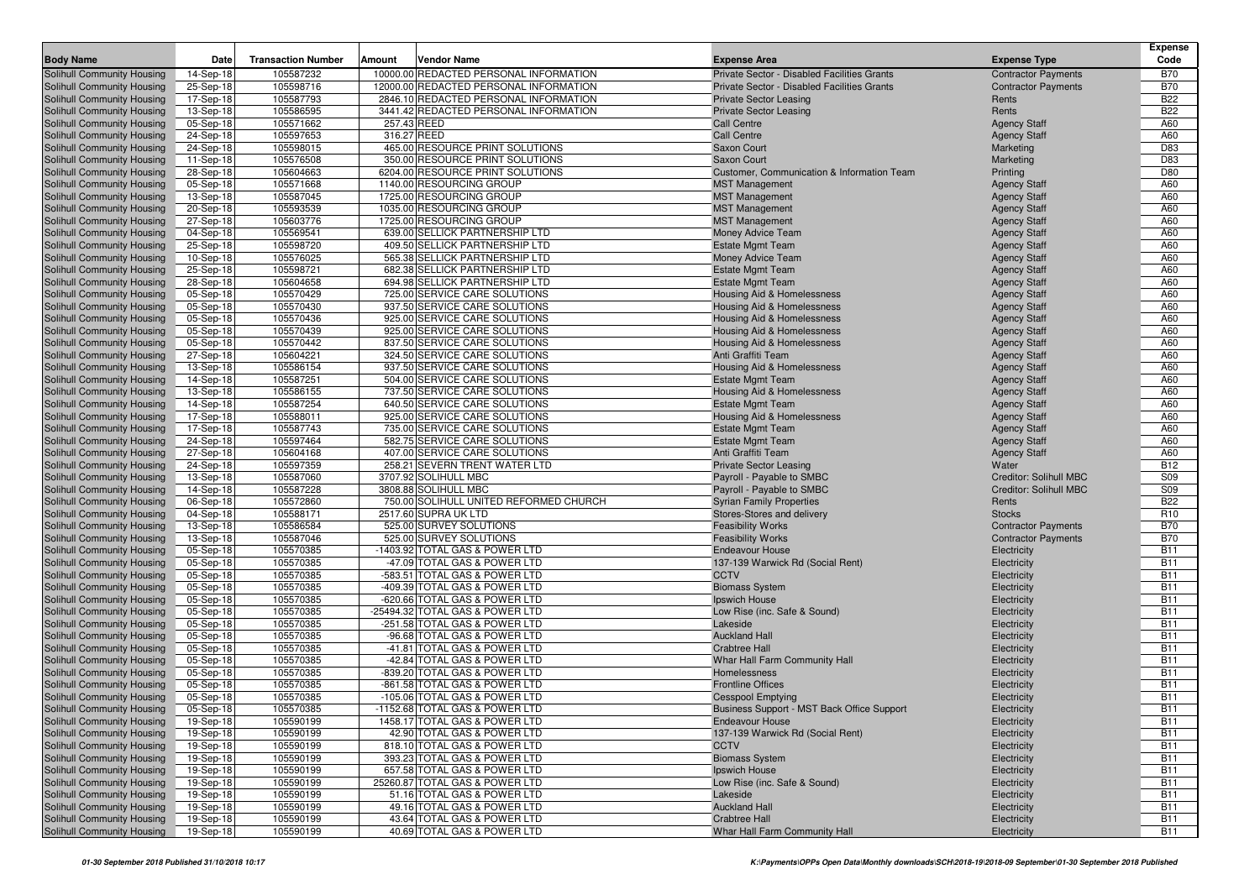| <b>Body Name</b>                                         | Date                   | <b>Transaction Number</b> | Amount | Vendor Name                                                    | <b>Expense Area</b>                                   | <b>Expense Type</b>                        | <b>Expense</b><br>Code        |
|----------------------------------------------------------|------------------------|---------------------------|--------|----------------------------------------------------------------|-------------------------------------------------------|--------------------------------------------|-------------------------------|
| Solihull Community Housing                               | 14-Sep-18              | 105587232                 |        | 10000.00 REDACTED PERSONAL INFORMATION                         | Private Sector - Disabled Facilities Grants           | <b>Contractor Payments</b>                 | <b>B70</b>                    |
| Solihull Community Housing                               | 25-Sep-18              | 105598716                 |        | 12000.00 REDACTED PERSONAL INFORMATION                         | Private Sector - Disabled Facilities Grants           | <b>Contractor Payments</b>                 | <b>B70</b>                    |
| Solihull Community Housing                               | 17-Sep-18              | 105587793                 |        | 2846.10 REDACTED PERSONAL INFORMATION                          | <b>Private Sector Leasing</b>                         | Rents                                      | <b>B22</b>                    |
| Solihull Community Housing                               | 13-Sep-18              | 105586595                 |        | 3441.42 REDACTED PERSONAL INFORMATION                          | <b>Private Sector Leasing</b>                         | Rents                                      | <b>B22</b>                    |
| Solihull Community Housing                               | 05-Sep-18              | 105571662                 |        | 257.43 REED                                                    | <b>Call Centre</b>                                    | <b>Agency Staff</b>                        | A60                           |
| Solihull Community Housing                               | 24-Sep-18              | 105597653                 |        | 316.27 REED                                                    | <b>Call Centre</b>                                    | <b>Agency Staff</b>                        | A60                           |
| Solihull Community Housing                               | 24-Sep-18              | 105598015                 |        | 465.00 RESOURCE PRINT SOLUTIONS                                | Saxon Court                                           | Marketing                                  | D83                           |
| Solihull Community Housing                               | 11-Sep-18              | 105576508                 |        | 350.00 RESOURCE PRINT SOLUTIONS                                | Saxon Court                                           | Marketing                                  | D83                           |
| Solihull Community Housing                               | 28-Sep-18              | 105604663                 |        | 6204.00 RESOURCE PRINT SOLUTIONS                               | <b>Customer, Communication &amp; Information Team</b> | Printing                                   | D80                           |
| Solihull Community Housing                               | 05-Sep-18              | 105571668                 |        | 1140.00 RESOURCING GROUP                                       | <b>MST Management</b>                                 | <b>Agency Staff</b>                        | A60                           |
| Solihull Community Housing                               | 13-Sep-18              | 105587045                 |        | 1725.00 RESOURCING GROUP                                       | <b>MST Management</b>                                 | <b>Agency Staff</b>                        | A60                           |
| Solihull Community Housing                               | 20-Sep-18              | 105593539                 |        | 1035.00 RESOURCING GROUP                                       | <b>MST Management</b>                                 | <b>Agency Staff</b>                        | A60                           |
| Solihull Community Housing                               | 27-Sep-18              | 105603776                 |        | 1725.00 RESOURCING GROUP                                       | <b>MST Management</b>                                 | <b>Agency Staff</b>                        | A60                           |
| Solihull Community Housing                               | 04-Sep-18              | 105569541                 |        | 639.00 SELLICK PARTNERSHIP LTD                                 | Money Advice Team                                     | <b>Agency Staff</b>                        | A60                           |
| Solihull Community Housing                               | 25-Sep-18              | 105598720                 |        | 409.50 SELLICK PARTNERSHIP LTD                                 | <b>Estate Mgmt Team</b>                               | <b>Agency Staff</b>                        | A60                           |
| Solihull Community Housing                               | 10-Sep-18              | 105576025                 |        | 565.38 SELLICK PARTNERSHIP LTD                                 | Money Advice Team                                     | <b>Agency Staff</b>                        | A60                           |
| Solihull Community Housing                               | 25-Sep-18              | 105598721                 |        | 682.38 SELLICK PARTNERSHIP LTD                                 | <b>Estate Mgmt Team</b>                               | <b>Agency Staff</b>                        | A60                           |
| Solihull Community Housing                               | 28-Sep-18              | 105604658                 |        | 694.98 SELLICK PARTNERSHIP LTD                                 | <b>Estate Mgmt Team</b>                               | <b>Agency Staff</b>                        | A60                           |
| Solihull Community Housing                               | 05-Sep-18              | 105570429                 |        | 725.00 SERVICE CARE SOLUTIONS                                  | Housing Aid & Homelessness                            | <b>Agency Staff</b>                        | A60                           |
| Solihull Community Housing                               | 05-Sep-18              | 105570430                 |        | 937.50 SERVICE CARE SOLUTIONS                                  | Housing Aid & Homelessness                            | <b>Agency Staff</b>                        | A60                           |
| Solihull Community Housing                               | 05-Sep-18              | 105570436                 |        | 925.00 SERVICE CARE SOLUTIONS                                  | Housing Aid & Homelessness                            | <b>Agency Staff</b>                        | A60                           |
| Solihull Community Housing                               | 05-Sep-18              | 105570439                 |        | 925.00 SERVICE CARE SOLUTIONS                                  | <b>Housing Aid &amp; Homelessness</b>                 | <b>Agency Staff</b>                        | A60                           |
| Solihull Community Housing                               | 05-Sep-18              | 105570442                 |        | 837.50 SERVICE CARE SOLUTIONS                                  | Housing Aid & Homelessness                            | <b>Agency Staff</b>                        | A60                           |
| Solihull Community Housing                               | 27-Sep-18              | 105604221                 |        | 324.50 SERVICE CARE SOLUTIONS                                  | Anti Graffiti Team                                    | <b>Agency Staff</b>                        | A60                           |
| Solihull Community Housing                               |                        | 105586154                 |        | 937.50 SERVICE CARE SOLUTIONS                                  | Housing Aid & Homelessness                            | <b>Agency Staff</b>                        | A60                           |
| Solihull Community Housing                               | 13-Sep-18<br>14-Sep-18 | 105587251                 |        | 504.00 SERVICE CARE SOLUTIONS                                  | <b>Estate Mgmt Team</b>                               | <b>Agency Staff</b>                        | A60                           |
| Solihull Community Housing                               | 13-Sep-18              | 105586155                 |        | 737.50 SERVICE CARE SOLUTIONS                                  | Housing Aid & Homelessness                            | <b>Agency Staff</b>                        | A60                           |
| Solihull Community Housing                               | 14-Sep-18              | 105587254                 |        | 640.50 SERVICE CARE SOLUTIONS                                  | <b>Estate Mgmt Team</b>                               |                                            | A60                           |
|                                                          | 17-Sep-18              | 105588011                 |        | 925.00 SERVICE CARE SOLUTIONS                                  | Housing Aid & Homelessness                            | <b>Agency Staff</b><br><b>Agency Staff</b> | A60                           |
| Solihull Community Housing<br>Solihull Community Housing |                        | 105587743                 |        | 735.00 SERVICE CARE SOLUTIONS                                  | <b>Estate Mgmt Team</b>                               | <b>Agency Staff</b>                        | A60                           |
| Solihull Community Housing                               | 17-Sep-18              | 105597464                 |        | 582.75 SERVICE CARE SOLUTIONS                                  |                                                       |                                            | A60                           |
|                                                          | 24-Sep-18              |                           |        |                                                                | <b>Estate Mgmt Team</b><br>Anti Graffiti Team         | <b>Agency Staff</b>                        |                               |
| Solihull Community Housing<br>Solihull Community Housing | 27-Sep-18              | 105604168                 |        | 407.00 SERVICE CARE SOLUTIONS<br>258.21 SEVERN TRENT WATER LTD | <b>Private Sector Leasing</b>                         | <b>Agency Staff</b>                        | A60                           |
|                                                          | 24-Sep-18              | 105597359<br>105587060    |        | 3707.92 SOLIHULL MBC                                           |                                                       | Water<br><b>Creditor: Solihull MBC</b>     | <b>B12</b><br>S09             |
| Solihull Community Housing                               | 13-Sep-18              |                           |        | 3808.88 SOLIHULL MBC                                           | Payroll - Payable to SMBC                             |                                            | <b>S09</b>                    |
| Solihull Community Housing                               | 14-Sep-18              | 105587228                 |        |                                                                | Payroll - Payable to SMBC                             | <b>Creditor: Solihull MBC</b>              | <b>B22</b>                    |
| Solihull Community Housing                               | 06-Sep-18              | 105572860                 |        | 750.00 SOLIHULL UNITED REFORMED CHURCH                         | <b>Syrian Family Properties</b>                       | Rents                                      |                               |
| Solihull Community Housing                               | 04-Sep-18              | 105588171                 |        | 2517.60 SUPRA UK LTD<br>525.00 SURVEY SOLUTIONS                | Stores-Stores and delivery                            | <b>Stocks</b>                              | R <sub>10</sub><br><b>B70</b> |
| Solihull Community Housing                               | 13-Sep-18              | 105586584                 |        |                                                                | <b>Feasibility Works</b>                              | <b>Contractor Payments</b>                 | <b>B70</b>                    |
| Solihull Community Housing                               | 13-Sep-18              | 105587046                 |        | 525.00 SURVEY SOLUTIONS                                        | <b>Feasibility Works</b>                              | <b>Contractor Payments</b>                 | <b>B11</b>                    |
| Solihull Community Housing                               | 05-Sep-18              | 105570385                 |        | -1403.92 TOTAL GAS & POWER LTD                                 | <b>Endeavour House</b>                                | Electricity                                | <b>B11</b>                    |
| Solihull Community Housing                               | 05-Sep-18              | 105570385                 |        | -47.09 TOTAL GAS & POWER LTD                                   | 137-139 Warwick Rd (Social Rent)                      | Electricity                                |                               |
| Solihull Community Housing                               | 05-Sep-18              | 105570385<br>105570385    |        | -583.51 TOTAL GAS & POWER LTD<br>-409.39 TOTAL GAS & POWER LTD | <b>CCTV</b>                                           | Electricity                                | <b>B11</b><br><b>B11</b>      |
| Solihull Community Housing                               | 05-Sep-18              |                           |        | -620.66 TOTAL GAS & POWER LTD                                  | <b>Biomass System</b>                                 | Electricity                                |                               |
| Solihull Community Housing                               | 05-Sep-18              | 105570385                 |        |                                                                | Ipswich House                                         | Electricity                                | <b>B11</b>                    |
| Solihull Community Housing                               | 05-Sep-18              | 105570385                 |        | -25494.32 TOTAL GAS & POWER LTD                                | Low Rise (inc. Safe & Sound)                          | Electricity                                | <b>B11</b>                    |
| Solihull Community Housing                               | 05-Sep-18              | 105570385                 |        | -251.58 TOTAL GAS & POWER LTD<br>-96.68 TOTAL GAS & POWER LTD  | Lakeside                                              | Electricity                                | <b>B11</b><br><b>B11</b>      |
| Solihull Community Housing                               | 05-Sep-18              | 105570385                 |        |                                                                | <b>Auckland Hall</b>                                  | Electricity                                | <b>B11</b>                    |
| Solihull Community Housing                               | 05-Sep-18              | 105570385                 |        | -41.81 TOTAL GAS & POWER LTD                                   | <b>Crabtree Hall</b>                                  | Electricity                                |                               |
| Solihull Community Housing                               | 05-Sep-18              | 105570385                 |        | -42.84 TOTAL GAS & POWER LTD                                   | Whar Hall Farm Community Hall                         | Electricity                                | <b>B11</b>                    |
| Solihull Community Housing                               | 05-Sep-18              | 105570385                 |        | -839.20 TOTAL GAS & POWER LTD                                  | Homelessness                                          | Electricity                                | <b>B11</b>                    |
| Solihull Community Housing                               | 05-Sep-18              | 105570385                 |        | -861.58 TOTAL GAS & POWER LTD<br>-105.06 TOTAL GAS & POWER LTD | <b>Frontline Offices</b>                              | Electricity                                | <b>B11</b>                    |
| Solihull Community Housing                               | 05-Sep-18              | 105570385                 |        |                                                                | <b>Cesspool Emptying</b>                              | Electricity                                | <b>B11</b>                    |
| Solihull Community Housing                               | 05-Sep-18              | 105570385                 |        | -1152.68 TOTAL GAS & POWER LTD                                 | Business Support - MST Back Office Support            | Electricity                                | <b>B11</b>                    |
| Solihull Community Housing                               | 19-Sep-18              | 105590199                 |        | 1458.17 TOTAL GAS & POWER LTD                                  | <b>Endeavour House</b>                                | Electricity                                | <b>B11</b>                    |
| Solihull Community Housing                               | 19-Sep-18              | 105590199                 |        | 42.90 TOTAL GAS & POWER LTD                                    | 137-139 Warwick Rd (Social Rent)                      | Electricity                                | <b>B11</b>                    |
| Solihull Community Housing                               | 19-Sep-18              | 105590199                 |        | 818.10 TOTAL GAS & POWER LTD                                   | <b>CCTV</b>                                           | Electricity                                | <b>B11</b>                    |
| Solihull Community Housing                               | 19-Sep-18              | 105590199                 |        | 393.23 TOTAL GAS & POWER LTD                                   | <b>Biomass System</b>                                 | Electricity                                | <b>B11</b>                    |
| Solihull Community Housing                               | 19-Sep-18              | 105590199                 |        | 657.58 TOTAL GAS & POWER LTD                                   | Ipswich House                                         | Electricity                                | <b>B11</b>                    |
| Solihull Community Housing                               | 19-Sep-18              | 105590199                 |        | 25260.87 TOTAL GAS & POWER LTD                                 | Low Rise (inc. Safe & Sound)                          | Electricity                                | <b>B11</b>                    |
| Solihull Community Housing                               | 19-Sep-18              | 105590199                 |        | 51.16 TOTAL GAS & POWER LTD                                    | Lakeside                                              | Electricity                                | <b>B11</b>                    |
| Solihull Community Housing                               | 19-Sep-18              | 105590199                 |        | 49.16 TOTAL GAS & POWER LTD                                    | <b>Auckland Hall</b>                                  | Electricity                                | <b>B11</b>                    |
| Solihull Community Housing                               | 19-Sep-18              | 105590199                 |        | 43.64 TOTAL GAS & POWER LTD                                    | <b>Crabtree Hall</b>                                  | Electricity                                | <b>B11</b>                    |
| Solihull Community Housing                               | 19-Sep-18              | 105590199                 |        | 40.69 TOTAL GAS & POWER LTD                                    | Whar Hall Farm Community Hall                         | Electricity                                | <b>B11</b>                    |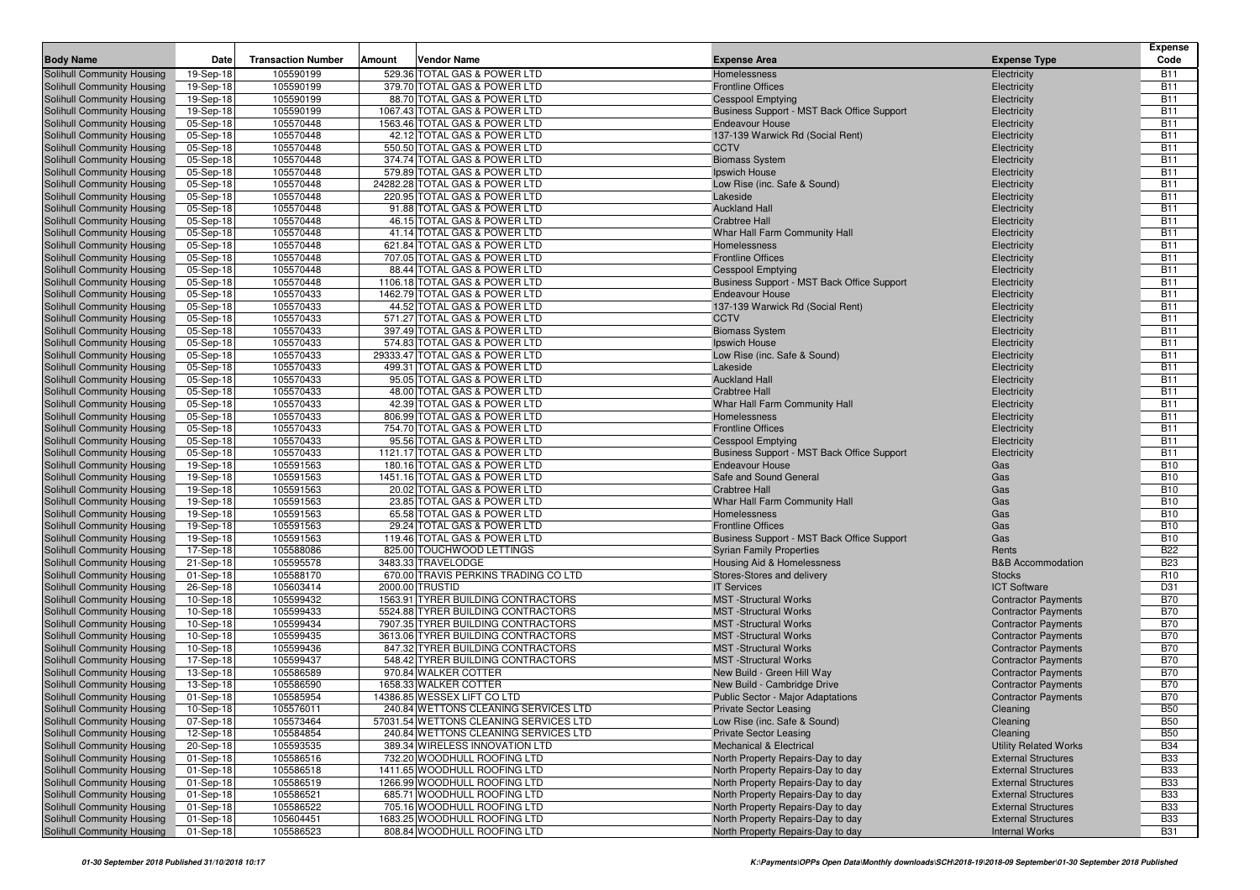| <b>Body Name</b>                                         | Date                   | <b>Transaction Number</b> | Amount | Vendor Name                                                  | <b>Expense Area</b>                                                    | <b>Expense Type</b>          | Expense<br>Code          |
|----------------------------------------------------------|------------------------|---------------------------|--------|--------------------------------------------------------------|------------------------------------------------------------------------|------------------------------|--------------------------|
| Solihull Community Housing                               | 19-Sep-18              | 105590199                 |        | 529.36 TOTAL GAS & POWER LTD                                 | Homelessness                                                           | Electricity                  | <b>B11</b>               |
| Solihull Community Housing                               | 19-Sep-18              | 105590199                 |        | 379.70 TOTAL GAS & POWER LTD                                 | <b>Frontline Offices</b>                                               | Electricity                  | <b>B11</b>               |
| Solihull Community Housing                               | 19-Sep-18              | 105590199                 |        | 88.70 TOTAL GAS & POWER LTD                                  | <b>Cesspool Emptying</b>                                               | Electricity                  | <b>B11</b>               |
| Solihull Community Housing                               | 19-Sep-18              | 105590199                 |        | 1067.43 TOTAL GAS & POWER LTD                                | Business Support - MST Back Office Support                             | Electricity                  | <b>B11</b>               |
| Solihull Community Housing                               | 05-Sep-18              | 105570448                 |        | 1563.46 TOTAL GAS & POWER LTD                                | <b>Endeavour House</b>                                                 | Electricity                  | <b>B11</b>               |
| Solihull Community Housing                               | 05-Sep-18              | 105570448                 |        | 42.12 TOTAL GAS & POWER LTD                                  | 137-139 Warwick Rd (Social Rent)                                       | Electricity                  | <b>B11</b>               |
| Solihull Community Housing                               | 05-Sep-18              | 105570448                 |        | 550.50 TOTAL GAS & POWER LTD                                 | <b>CCTV</b>                                                            | Electricity                  | <b>B11</b>               |
| Solihull Community Housing                               | 05-Sep-18              | 105570448                 |        | 374.74 TOTAL GAS & POWER LTD                                 | <b>Biomass System</b>                                                  | Electricity                  | <b>B11</b>               |
| Solihull Community Housing                               | 05-Sep-18              | 105570448                 |        | 579.89 TOTAL GAS & POWER LTD                                 | Ipswich House                                                          | Electricity                  | <b>B11</b>               |
| Solihull Community Housing                               | 05-Sep-18              | 105570448                 |        | 24282.28 TOTAL GAS & POWER LTD                               | Low Rise (inc. Safe & Sound)                                           | Electricity                  | <b>B11</b>               |
| Solihull Community Housing                               | 05-Sep-18              | 105570448                 |        | 220.95 TOTAL GAS & POWER LTD                                 | Lakeside                                                               | Electricity                  | <b>B11</b>               |
| Solihull Community Housing                               | 05-Sep-18              | 105570448                 |        | 91.88 TOTAL GAS & POWER LTD                                  | <b>Auckland Hall</b>                                                   | Electricity                  | <b>B11</b>               |
| Solihull Community Housing                               | 05-Sep-18              | 105570448                 |        | 46.15 TOTAL GAS & POWER LTD                                  | <b>Crabtree Hall</b>                                                   | Electricity                  | <b>B11</b>               |
| Solihull Community Housing                               | 05-Sep-18              | 105570448                 |        | 41.14 TOTAL GAS & POWER LTD                                  | Whar Hall Farm Community Hall                                          | Electricity                  | <b>B11</b>               |
| Solihull Community Housing                               | 05-Sep-18              | 105570448                 |        | 621.84 TOTAL GAS & POWER LTD                                 | Homelessness                                                           | Electricity                  | <b>B11</b>               |
| Solihull Community Housing                               | 05-Sep-18              | 105570448                 |        | 707.05 TOTAL GAS & POWER LTD                                 | <b>Frontline Offices</b>                                               | Electricity                  | <b>B11</b>               |
| Solihull Community Housing                               | 05-Sep-18              | 105570448                 |        | 88.44 TOTAL GAS & POWER LTD                                  | <b>Cesspool Emptying</b>                                               | Electricity                  | <b>B11</b>               |
| Solihull Community Housing                               | 05-Sep-18              | 105570448                 |        | 1106.18 TOTAL GAS & POWER LTD                                | Business Support - MST Back Office Support                             | Electricity                  | <b>B11</b>               |
| Solihull Community Housing                               | 05-Sep-18              | 105570433                 |        | 1462.79 TOTAL GAS & POWER LTD                                | <b>Endeavour House</b>                                                 | Electricity                  | <b>B11</b>               |
| Solihull Community Housing                               | 05-Sep-18              | 105570433                 |        | 44.52 TOTAL GAS & POWER LTD                                  | 137-139 Warwick Rd (Social Rent)                                       | Electricity                  | <b>B11</b>               |
| Solihull Community Housing                               | 05-Sep-18              | 105570433                 |        | 571.27 TOTAL GAS & POWER LTD                                 | <b>CCTV</b>                                                            | Electricity                  | <b>B11</b>               |
| Solihull Community Housing                               | 05-Sep-18              | 105570433                 |        | 397.49 TOTAL GAS & POWER LTD                                 | <b>Biomass System</b>                                                  | Electricity                  | <b>B11</b>               |
| Solihull Community Housing                               | 05-Sep-18              | 105570433                 |        | 574.83 TOTAL GAS & POWER LTD                                 | Ipswich House                                                          | Electricity                  | <b>B11</b>               |
| Solihull Community Housing                               | 05-Sep-18              | 105570433                 |        | 29333.47 TOTAL GAS & POWER LTD                               | Low Rise (inc. Safe & Sound)                                           | Electricity                  | <b>B11</b>               |
| Solihull Community Housing                               | 05-Sep-18              | 105570433                 |        | 499.31 TOTAL GAS & POWER LTD                                 | Lakeside                                                               | Electricity                  | <b>B11</b>               |
| Solihull Community Housing                               | 05-Sep-18              | 105570433                 |        | 95.05 TOTAL GAS & POWER LTD                                  | <b>Auckland Hall</b>                                                   | Electricity                  | <b>B11</b>               |
| Solihull Community Housing                               | 05-Sep-18              | 105570433                 |        | 48.00 TOTAL GAS & POWER LTD                                  | <b>Crabtree Hall</b>                                                   | Electricity                  | <b>B11</b>               |
| Solihull Community Housing                               | 05-Sep-18              | 105570433                 |        | 42.39 TOTAL GAS & POWER LTD                                  | Whar Hall Farm Community Hall                                          | Electricity                  | <b>B11</b>               |
| Solihull Community Housing                               | 05-Sep-18              | 105570433                 |        | 806.99 TOTAL GAS & POWER LTD                                 | <b>Homelessness</b>                                                    | Electricity                  | <b>B11</b>               |
| Solihull Community Housing                               | 05-Sep-18              | 105570433                 |        | 754.70 TOTAL GAS & POWER LTD                                 | <b>Frontline Offices</b>                                               | Electricity                  | <b>B11</b>               |
| Solihull Community Housing<br>Solihull Community Housing | 05-Sep-18              | 105570433                 |        | 95.56 TOTAL GAS & POWER LTD<br>1121.17 TOTAL GAS & POWER LTD | <b>Cesspool Emptying</b><br>Business Support - MST Back Office Support | Electricity                  | <b>B11</b><br><b>B11</b> |
| Solihull Community Housing                               | 05-Sep-18              | 105570433<br>105591563    |        | 180.16 TOTAL GAS & POWER LTD                                 | <b>Endeavour House</b>                                                 | Electricity                  | <b>B10</b>               |
| Solihull Community Housing                               | 19-Sep-18<br>19-Sep-18 | 105591563                 |        | 1451.16 TOTAL GAS & POWER LTD                                | Safe and Sound General                                                 | Gas<br>Gas                   | <b>B10</b>               |
| Solihull Community Housing                               | 19-Sep-18              | 105591563                 |        | 20.02 TOTAL GAS & POWER LTD                                  | <b>Crabtree Hall</b>                                                   | Gas                          | <b>B10</b>               |
| Solihull Community Housing                               | 19-Sep-18              | 105591563                 |        | 23.85 TOTAL GAS & POWER LTD                                  | Whar Hall Farm Community Hall                                          | Gas                          | <b>B10</b>               |
| Solihull Community Housing                               | 19-Sep-18              | 105591563                 |        | 65.58 TOTAL GAS & POWER LTD                                  | Homelessness                                                           | Gas                          | <b>B10</b>               |
| Solihull Community Housing                               | 19-Sep-18              | 105591563                 |        | 29.24 TOTAL GAS & POWER LTD                                  | <b>Frontline Offices</b>                                               | Gas                          | <b>B10</b>               |
| Solihull Community Housing                               | 19-Sep-18              | 105591563                 |        | 119.46 TOTAL GAS & POWER LTD                                 | Business Support - MST Back Office Support                             | Gas                          | <b>B10</b>               |
| Solihull Community Housing                               | 17-Sep-18              | 105588086                 |        | 825.00 TOUCHWOOD LETTINGS                                    | <b>Syrian Family Properties</b>                                        | Rents                        | <b>B22</b>               |
| Solihull Community Housing                               | 21-Sep-18              | 105595578                 |        | 3483.33 TRAVELODGE                                           | Housing Aid & Homelessness                                             | <b>B&amp;B Accommodation</b> | <b>B23</b>               |
| Solihull Community Housing                               | 01-Sep-18              | 105588170                 |        | 670.00 TRAVIS PERKINS TRADING CO LTD                         | Stores-Stores and delivery                                             | <b>Stocks</b>                | R <sub>10</sub>          |
| Solihull Community Housing                               | 26-Sep-18              | 105603414                 |        | 2000.00 TRUSTID                                              | <b>IT Services</b>                                                     | <b>ICT Software</b>          | D31                      |
| Solihull Community Housing                               | 10-Sep-18              | 105599432                 |        | 1563.91 TYRER BUILDING CONTRACTORS                           | <b>MST</b> -Structural Works                                           | <b>Contractor Payments</b>   | <b>B70</b>               |
| Solihull Community Housing                               | 10-Sep-18              | 105599433                 |        | 5524.88 TYRER BUILDING CONTRACTORS                           | <b>MST</b> -Structural Works                                           | <b>Contractor Payments</b>   | <b>B70</b>               |
| Solihull Community Housing                               | 10-Sep-18              | 105599434                 |        | 7907.35 TYRER BUILDING CONTRACTORS                           | <b>MST</b> -Structural Works                                           | <b>Contractor Payments</b>   | <b>B70</b>               |
| Solihull Community Housing                               | 10-Sep-18              | 105599435                 |        | 3613.06 TYRER BUILDING CONTRACTORS                           | <b>MST</b> -Structural Works                                           | <b>Contractor Payments</b>   | <b>B70</b>               |
| Solihull Community Housing                               | 10-Sep-18              | 105599436                 |        | 847.32 TYRER BUILDING CONTRACTORS                            | <b>MST</b> -Structural Works                                           | <b>Contractor Payments</b>   | <b>B70</b>               |
| Solihull Community Housing                               | 17-Sep-18              | 105599437                 |        | 548.42 TYRER BUILDING CONTRACTORS                            | <b>MST</b> -Structural Works                                           | <b>Contractor Payments</b>   | <b>B70</b>               |
| Solihull Community Housing                               | 13-Sep-18              | 105586589                 |        | 970.84 WALKER COTTER                                         | New Build - Green Hill Way                                             | <b>Contractor Payments</b>   | <b>B70</b>               |
| Solihull Community Housing                               | 13-Sep-18              | 105586590                 |        | 1658.33 WALKER COTTER                                        | New Build - Cambridge Drive                                            | <b>Contractor Payments</b>   | <b>B70</b>               |
| Solihull Community Housing                               | 01-Sep-18              | 105585954                 |        | 14386.85 WESSEX LIFT CO LTD                                  | Public Sector - Major Adaptations                                      | <b>Contractor Payments</b>   | <b>B70</b>               |
| Solihull Community Housing                               | 10-Sep-18              | 105576011                 |        | 240.84 WETTONS CLEANING SERVICES LTD                         | <b>Private Sector Leasing</b>                                          | Cleaning                     | <b>B50</b>               |
| Solihull Community Housing                               | 07-Sep-18              | 105573464                 |        | 57031.54 WETTONS CLEANING SERVICES LTD                       | Low Rise (inc. Safe & Sound)                                           | Cleaning                     | <b>B50</b>               |
| Solihull Community Housing                               | 12-Sep-18              | 105584854                 |        | 240.84 WETTONS CLEANING SERVICES LTD                         | <b>Private Sector Leasing</b>                                          | Cleaning                     | <b>B50</b>               |
| Solihull Community Housing                               | 20-Sep-18              | 105593535                 |        | 389.34 WIRELESS INNOVATION LTD                               | <b>Mechanical &amp; Electrical</b>                                     | <b>Utility Related Works</b> | <b>B34</b>               |
| Solihull Community Housing                               | 01-Sep-18              | 105586516                 |        | 732.20 WOODHULL ROOFING LTD                                  | North Property Repairs-Day to day                                      | <b>External Structures</b>   | <b>B33</b>               |
| Solihull Community Housing                               | 01-Sep-18              | 105586518                 |        | 1411.65 WOODHULL ROOFING LTD                                 | North Property Repairs-Day to day                                      | <b>External Structures</b>   | <b>B33</b>               |
| Solihull Community Housing                               | 01-Sep-18              | 105586519                 |        | 1266.99 WOODHULL ROOFING LTD                                 | North Property Repairs-Day to day                                      | <b>External Structures</b>   | <b>B33</b>               |
| Solihull Community Housing                               | 01-Sep-18              | 105586521                 |        | 685.71 WOODHULL ROOFING LTD                                  | North Property Repairs-Day to day                                      | <b>External Structures</b>   | <b>B33</b>               |
| Solihull Community Housing                               | 01-Sep-18              | 105586522                 |        | 705.16 WOODHULL ROOFING LTD                                  | North Property Repairs-Day to day                                      | <b>External Structures</b>   | <b>B33</b>               |
| Solihull Community Housing                               | 01-Sep-18              | 105604451                 |        | 1683.25 WOODHULL ROOFING LTD                                 | North Property Repairs-Day to day                                      | <b>External Structures</b>   | <b>B33</b>               |
| Solihull Community Housing                               | 01-Sep-18              | 105586523                 |        | 808.84 WOODHULL ROOFING LTD                                  | North Property Repairs-Day to day                                      | <b>Internal Works</b>        | <b>B31</b>               |